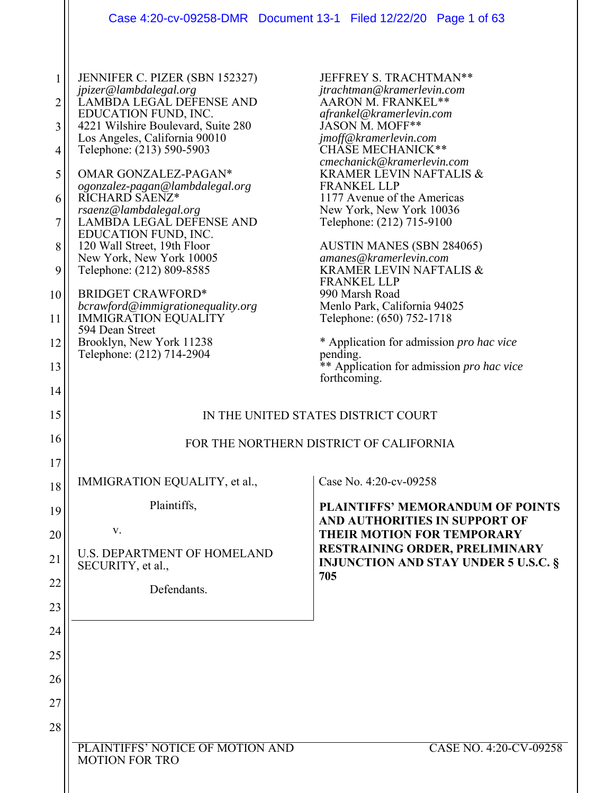|                                           | Case 4:20-cv-09258-DMR  Document 13-1  Filed 12/22/20  Page 1 of 63                                                                                                                                                                                                                                                                                                                                                                                                   |                                                                                                                                                                                                                                                                                                                                                                                                                                                                          |
|-------------------------------------------|-----------------------------------------------------------------------------------------------------------------------------------------------------------------------------------------------------------------------------------------------------------------------------------------------------------------------------------------------------------------------------------------------------------------------------------------------------------------------|--------------------------------------------------------------------------------------------------------------------------------------------------------------------------------------------------------------------------------------------------------------------------------------------------------------------------------------------------------------------------------------------------------------------------------------------------------------------------|
| 1<br>2<br>3<br>4<br>5<br>6<br>7<br>8<br>9 | JENNIFER C. PIZER (SBN 152327)<br>jpizer@lambdalegal.org<br>LAMBDA LEGAL DEFENSE AND<br>EDUCATION FUND, INC.<br>4221 Wilshire Boulevard, Suite 280<br>Los Angeles, California 90010<br>Telephone: (213) 590-5903<br>OMAR GONZALEZ-PAGAN*<br>ogonzalez-pagan@lambdalegal.org<br>RICHARD SAENZ*<br>$rsaenz@lambdadegal.org$<br>LAMBDA LEGAĽ DEFENSE AND<br>EDUCATION FUND, INC.<br>120 Wall Street, 19th Floor<br>New York, New York 10005<br>Telephone: (212) 809-8585 | JEFFREY S. TRACHTMAN**<br>jtrachtman@kramerlevin.com<br>AARON M. FRANKEL**<br>afrankel@kramerlevin.com<br>JASON M. MOFF**<br>jmoff@kramerlevin.com<br>CHÄSE MECHANICK**<br>cmechanick@kramerlevin.com<br>KRAMER LEVIN NAFTALIS &<br><b>FRANKEL LLP</b><br>1177 Avenue of the Americas<br>New York, New York 10036<br>Telephone: (212) 715-9100<br><b>AUSTIN MANES (SBN 284065)</b><br>amanes@kramerlevin.com<br><b>KRAMER LEVIN NAFTALIS &amp;</b><br><b>FRANKEL LLP</b> |
| 10                                        | <b>BRIDGET CRAWFORD*</b><br>bcrawford@immigrationequality.org                                                                                                                                                                                                                                                                                                                                                                                                         | 990 Marsh Road<br>Menlo Park, California 94025                                                                                                                                                                                                                                                                                                                                                                                                                           |
| 11                                        | <b>IMMIGRATION EQUALITY</b><br>594 Dean Street                                                                                                                                                                                                                                                                                                                                                                                                                        | Telephone: (650) 752-1718                                                                                                                                                                                                                                                                                                                                                                                                                                                |
| 12<br>13                                  | Brooklyn, New York 11238<br>Telephone: (212) 714-2904                                                                                                                                                                                                                                                                                                                                                                                                                 | * Application for admission <i>pro hac vice</i><br>pending.<br>** Application for admission pro hac vice                                                                                                                                                                                                                                                                                                                                                                 |
| 14                                        |                                                                                                                                                                                                                                                                                                                                                                                                                                                                       | forthcoming.                                                                                                                                                                                                                                                                                                                                                                                                                                                             |
| 15                                        |                                                                                                                                                                                                                                                                                                                                                                                                                                                                       | IN THE UNITED STATES DISTRICT COURT                                                                                                                                                                                                                                                                                                                                                                                                                                      |
| 16                                        |                                                                                                                                                                                                                                                                                                                                                                                                                                                                       | FOR THE NORTHERN DISTRICT OF CALIFORNIA                                                                                                                                                                                                                                                                                                                                                                                                                                  |
| 17                                        |                                                                                                                                                                                                                                                                                                                                                                                                                                                                       |                                                                                                                                                                                                                                                                                                                                                                                                                                                                          |
| 18                                        | IMMIGRATION EQUALITY, et al.,                                                                                                                                                                                                                                                                                                                                                                                                                                         | Case No. 4:20-cv-09258                                                                                                                                                                                                                                                                                                                                                                                                                                                   |
| 19                                        | Plaintiffs,                                                                                                                                                                                                                                                                                                                                                                                                                                                           | <b>PLAINTIFFS' MEMORANDUM OF POINTS</b><br>AND AUTHORITIES IN SUPPORT OF                                                                                                                                                                                                                                                                                                                                                                                                 |
| 20                                        | V.<br><b>U.S. DEPARTMENT OF HOMELAND</b>                                                                                                                                                                                                                                                                                                                                                                                                                              | <b>THEIR MOTION FOR TEMPORARY</b><br>RESTRAINING ORDER, PRELIMINARY                                                                                                                                                                                                                                                                                                                                                                                                      |
| 21                                        | SECURITY, et al.,                                                                                                                                                                                                                                                                                                                                                                                                                                                     | <b>INJUNCTION AND STAY UNDER 5 U.S.C. §</b><br>705                                                                                                                                                                                                                                                                                                                                                                                                                       |
| 22<br>23                                  | Defendants.                                                                                                                                                                                                                                                                                                                                                                                                                                                           |                                                                                                                                                                                                                                                                                                                                                                                                                                                                          |
| 24                                        |                                                                                                                                                                                                                                                                                                                                                                                                                                                                       |                                                                                                                                                                                                                                                                                                                                                                                                                                                                          |
| 25                                        |                                                                                                                                                                                                                                                                                                                                                                                                                                                                       |                                                                                                                                                                                                                                                                                                                                                                                                                                                                          |
| 26                                        |                                                                                                                                                                                                                                                                                                                                                                                                                                                                       |                                                                                                                                                                                                                                                                                                                                                                                                                                                                          |
| 27                                        |                                                                                                                                                                                                                                                                                                                                                                                                                                                                       |                                                                                                                                                                                                                                                                                                                                                                                                                                                                          |
| 28                                        |                                                                                                                                                                                                                                                                                                                                                                                                                                                                       |                                                                                                                                                                                                                                                                                                                                                                                                                                                                          |
|                                           | PLAINTIFFS' NOTICE OF MOTION AND<br><b>MOTION FOR TRO</b>                                                                                                                                                                                                                                                                                                                                                                                                             | CASE NO. 4:20-CV-09258                                                                                                                                                                                                                                                                                                                                                                                                                                                   |

 $\parallel$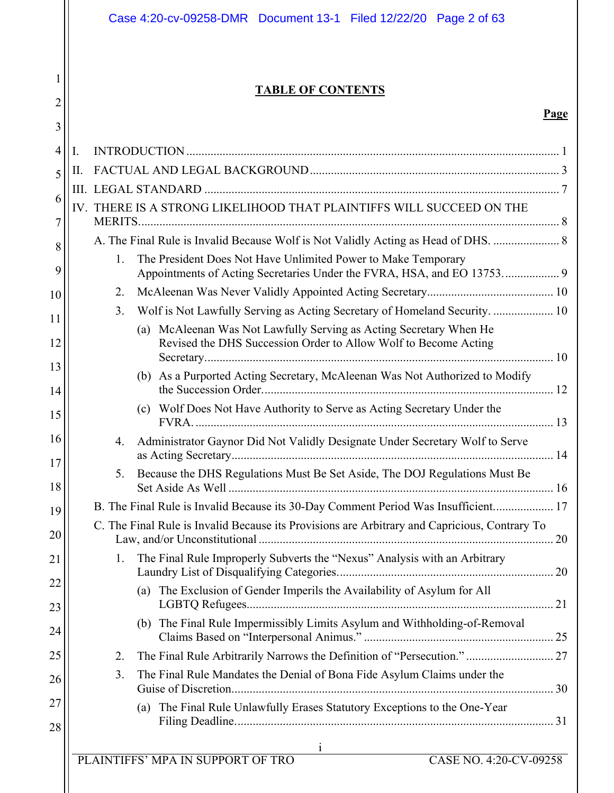| 1<br><b>TABLE OF CONTENTS</b><br>$\overline{2}$<br>3<br>4<br>Ι.<br>Π.<br>5<br>6<br>IV. THERE IS A STRONG LIKELIHOOD THAT PLAINTIFFS WILL SUCCEED ON THE<br>7<br>A. The Final Rule is Invalid Because Wolf is Not Validly Acting as Head of DHS.  8<br>8<br>1.<br>The President Does Not Have Unlimited Power to Make Temporary<br>9<br>2.<br>10<br>3.<br>Wolf is Not Lawfully Serving as Acting Secretary of Homeland Security.  10<br>11<br>McAleenan Was Not Lawfully Serving as Acting Secretary When He<br>(a)<br>Revised the DHS Succession Order to Allow Wolf to Become Acting<br>12<br>13<br>As a Purported Acting Secretary, McAleenan Was Not Authorized to Modify<br>(b)<br>14<br>(c) Wolf Does Not Have Authority to Serve as Acting Secretary Under the<br>15<br>16<br>Administrator Gaynor Did Not Validly Designate Under Secretary Wolf to Serve<br>4.<br>17<br>Because the DHS Regulations Must Be Set Aside, The DOJ Regulations Must Be<br>5.<br>18<br>B. The Final Rule is Invalid Because its 30-Day Comment Period Was Insufficient 17<br>19<br>C. The Final Rule is Invalid Because its Provisions are Arbitrary and Capricious, Contrary To<br>20<br>The Final Rule Improperly Subverts the "Nexus" Analysis with an Arbitrary<br>1.<br>21<br>22<br>(a) The Exclusion of Gender Imperils the Availability of Asylum for All<br>23<br>(b) The Final Rule Impermissibly Limits Asylum and Withholding-of-Removal<br>24<br>The Final Rule Arbitrarily Narrows the Definition of "Persecution." 27<br>25<br>2.<br>3.<br>The Final Rule Mandates the Denial of Bona Fide Asylum Claims under the<br>26<br>27<br>(a) The Final Rule Unlawfully Erases Statutory Exceptions to the One-Year<br>28<br>1<br>PLAINTIFFS' MPA IN SUPPORT OF TRO<br>CASE NO. 4:20-CV-09258 | Case 4:20-cv-09258-DMR  Document 13-1  Filed 12/22/20  Page 2 of 63 |      |
|----------------------------------------------------------------------------------------------------------------------------------------------------------------------------------------------------------------------------------------------------------------------------------------------------------------------------------------------------------------------------------------------------------------------------------------------------------------------------------------------------------------------------------------------------------------------------------------------------------------------------------------------------------------------------------------------------------------------------------------------------------------------------------------------------------------------------------------------------------------------------------------------------------------------------------------------------------------------------------------------------------------------------------------------------------------------------------------------------------------------------------------------------------------------------------------------------------------------------------------------------------------------------------------------------------------------------------------------------------------------------------------------------------------------------------------------------------------------------------------------------------------------------------------------------------------------------------------------------------------------------------------------------------------------------------------------------------------------------------------------------------------------------------------|---------------------------------------------------------------------|------|
|                                                                                                                                                                                                                                                                                                                                                                                                                                                                                                                                                                                                                                                                                                                                                                                                                                                                                                                                                                                                                                                                                                                                                                                                                                                                                                                                                                                                                                                                                                                                                                                                                                                                                                                                                                                        |                                                                     |      |
|                                                                                                                                                                                                                                                                                                                                                                                                                                                                                                                                                                                                                                                                                                                                                                                                                                                                                                                                                                                                                                                                                                                                                                                                                                                                                                                                                                                                                                                                                                                                                                                                                                                                                                                                                                                        |                                                                     |      |
|                                                                                                                                                                                                                                                                                                                                                                                                                                                                                                                                                                                                                                                                                                                                                                                                                                                                                                                                                                                                                                                                                                                                                                                                                                                                                                                                                                                                                                                                                                                                                                                                                                                                                                                                                                                        |                                                                     | Page |
|                                                                                                                                                                                                                                                                                                                                                                                                                                                                                                                                                                                                                                                                                                                                                                                                                                                                                                                                                                                                                                                                                                                                                                                                                                                                                                                                                                                                                                                                                                                                                                                                                                                                                                                                                                                        |                                                                     |      |
|                                                                                                                                                                                                                                                                                                                                                                                                                                                                                                                                                                                                                                                                                                                                                                                                                                                                                                                                                                                                                                                                                                                                                                                                                                                                                                                                                                                                                                                                                                                                                                                                                                                                                                                                                                                        |                                                                     |      |
|                                                                                                                                                                                                                                                                                                                                                                                                                                                                                                                                                                                                                                                                                                                                                                                                                                                                                                                                                                                                                                                                                                                                                                                                                                                                                                                                                                                                                                                                                                                                                                                                                                                                                                                                                                                        |                                                                     |      |
|                                                                                                                                                                                                                                                                                                                                                                                                                                                                                                                                                                                                                                                                                                                                                                                                                                                                                                                                                                                                                                                                                                                                                                                                                                                                                                                                                                                                                                                                                                                                                                                                                                                                                                                                                                                        |                                                                     |      |
|                                                                                                                                                                                                                                                                                                                                                                                                                                                                                                                                                                                                                                                                                                                                                                                                                                                                                                                                                                                                                                                                                                                                                                                                                                                                                                                                                                                                                                                                                                                                                                                                                                                                                                                                                                                        |                                                                     |      |
|                                                                                                                                                                                                                                                                                                                                                                                                                                                                                                                                                                                                                                                                                                                                                                                                                                                                                                                                                                                                                                                                                                                                                                                                                                                                                                                                                                                                                                                                                                                                                                                                                                                                                                                                                                                        |                                                                     |      |
|                                                                                                                                                                                                                                                                                                                                                                                                                                                                                                                                                                                                                                                                                                                                                                                                                                                                                                                                                                                                                                                                                                                                                                                                                                                                                                                                                                                                                                                                                                                                                                                                                                                                                                                                                                                        |                                                                     |      |
|                                                                                                                                                                                                                                                                                                                                                                                                                                                                                                                                                                                                                                                                                                                                                                                                                                                                                                                                                                                                                                                                                                                                                                                                                                                                                                                                                                                                                                                                                                                                                                                                                                                                                                                                                                                        |                                                                     |      |
|                                                                                                                                                                                                                                                                                                                                                                                                                                                                                                                                                                                                                                                                                                                                                                                                                                                                                                                                                                                                                                                                                                                                                                                                                                                                                                                                                                                                                                                                                                                                                                                                                                                                                                                                                                                        |                                                                     |      |
|                                                                                                                                                                                                                                                                                                                                                                                                                                                                                                                                                                                                                                                                                                                                                                                                                                                                                                                                                                                                                                                                                                                                                                                                                                                                                                                                                                                                                                                                                                                                                                                                                                                                                                                                                                                        |                                                                     |      |
|                                                                                                                                                                                                                                                                                                                                                                                                                                                                                                                                                                                                                                                                                                                                                                                                                                                                                                                                                                                                                                                                                                                                                                                                                                                                                                                                                                                                                                                                                                                                                                                                                                                                                                                                                                                        |                                                                     |      |
|                                                                                                                                                                                                                                                                                                                                                                                                                                                                                                                                                                                                                                                                                                                                                                                                                                                                                                                                                                                                                                                                                                                                                                                                                                                                                                                                                                                                                                                                                                                                                                                                                                                                                                                                                                                        |                                                                     |      |
|                                                                                                                                                                                                                                                                                                                                                                                                                                                                                                                                                                                                                                                                                                                                                                                                                                                                                                                                                                                                                                                                                                                                                                                                                                                                                                                                                                                                                                                                                                                                                                                                                                                                                                                                                                                        |                                                                     |      |
|                                                                                                                                                                                                                                                                                                                                                                                                                                                                                                                                                                                                                                                                                                                                                                                                                                                                                                                                                                                                                                                                                                                                                                                                                                                                                                                                                                                                                                                                                                                                                                                                                                                                                                                                                                                        |                                                                     |      |
|                                                                                                                                                                                                                                                                                                                                                                                                                                                                                                                                                                                                                                                                                                                                                                                                                                                                                                                                                                                                                                                                                                                                                                                                                                                                                                                                                                                                                                                                                                                                                                                                                                                                                                                                                                                        |                                                                     |      |
|                                                                                                                                                                                                                                                                                                                                                                                                                                                                                                                                                                                                                                                                                                                                                                                                                                                                                                                                                                                                                                                                                                                                                                                                                                                                                                                                                                                                                                                                                                                                                                                                                                                                                                                                                                                        |                                                                     |      |
|                                                                                                                                                                                                                                                                                                                                                                                                                                                                                                                                                                                                                                                                                                                                                                                                                                                                                                                                                                                                                                                                                                                                                                                                                                                                                                                                                                                                                                                                                                                                                                                                                                                                                                                                                                                        |                                                                     |      |
|                                                                                                                                                                                                                                                                                                                                                                                                                                                                                                                                                                                                                                                                                                                                                                                                                                                                                                                                                                                                                                                                                                                                                                                                                                                                                                                                                                                                                                                                                                                                                                                                                                                                                                                                                                                        |                                                                     |      |
|                                                                                                                                                                                                                                                                                                                                                                                                                                                                                                                                                                                                                                                                                                                                                                                                                                                                                                                                                                                                                                                                                                                                                                                                                                                                                                                                                                                                                                                                                                                                                                                                                                                                                                                                                                                        |                                                                     |      |
|                                                                                                                                                                                                                                                                                                                                                                                                                                                                                                                                                                                                                                                                                                                                                                                                                                                                                                                                                                                                                                                                                                                                                                                                                                                                                                                                                                                                                                                                                                                                                                                                                                                                                                                                                                                        |                                                                     |      |
|                                                                                                                                                                                                                                                                                                                                                                                                                                                                                                                                                                                                                                                                                                                                                                                                                                                                                                                                                                                                                                                                                                                                                                                                                                                                                                                                                                                                                                                                                                                                                                                                                                                                                                                                                                                        |                                                                     |      |
|                                                                                                                                                                                                                                                                                                                                                                                                                                                                                                                                                                                                                                                                                                                                                                                                                                                                                                                                                                                                                                                                                                                                                                                                                                                                                                                                                                                                                                                                                                                                                                                                                                                                                                                                                                                        |                                                                     |      |
|                                                                                                                                                                                                                                                                                                                                                                                                                                                                                                                                                                                                                                                                                                                                                                                                                                                                                                                                                                                                                                                                                                                                                                                                                                                                                                                                                                                                                                                                                                                                                                                                                                                                                                                                                                                        |                                                                     |      |
|                                                                                                                                                                                                                                                                                                                                                                                                                                                                                                                                                                                                                                                                                                                                                                                                                                                                                                                                                                                                                                                                                                                                                                                                                                                                                                                                                                                                                                                                                                                                                                                                                                                                                                                                                                                        |                                                                     |      |
|                                                                                                                                                                                                                                                                                                                                                                                                                                                                                                                                                                                                                                                                                                                                                                                                                                                                                                                                                                                                                                                                                                                                                                                                                                                                                                                                                                                                                                                                                                                                                                                                                                                                                                                                                                                        |                                                                     |      |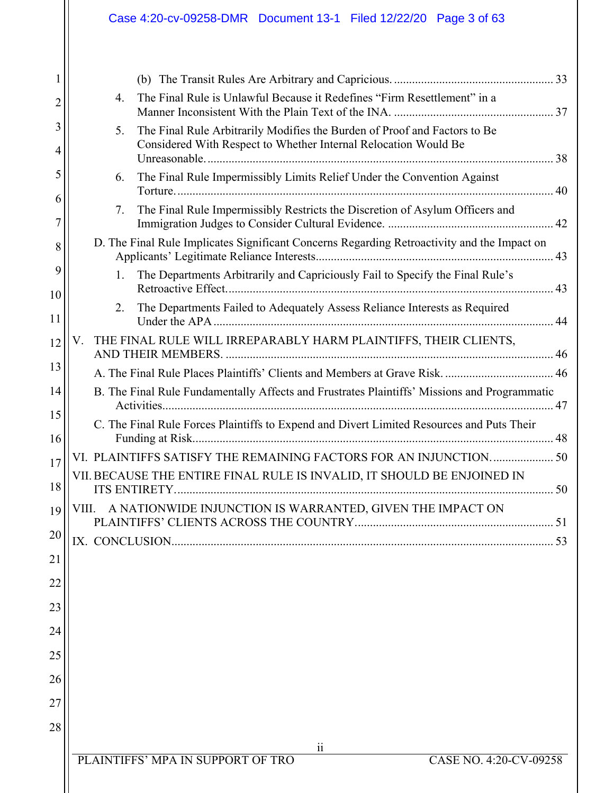| 2        | The Final Rule is Unlawful Because it Redefines "Firm Resettlement" in a<br>4.                                                                     |
|----------|----------------------------------------------------------------------------------------------------------------------------------------------------|
| 3<br>4   | The Final Rule Arbitrarily Modifies the Burden of Proof and Factors to Be<br>5.<br>Considered With Respect to Whether Internal Relocation Would Be |
| 5        | The Final Rule Impermissibly Limits Relief Under the Convention Against<br>6.                                                                      |
| 6<br>7   | The Final Rule Impermissibly Restricts the Discretion of Asylum Officers and<br>7.                                                                 |
| 8        | D. The Final Rule Implicates Significant Concerns Regarding Retroactivity and the Impact on                                                        |
| 9        | The Departments Arbitrarily and Capriciously Fail to Specify the Final Rule's<br>1.                                                                |
| 10<br>11 | The Departments Failed to Adequately Assess Reliance Interests as Required<br>2.                                                                   |
| 12       | THE FINAL RULE WILL IRREPARABLY HARM PLAINTIFFS, THEIR CLIENTS,<br>V.                                                                              |
| 13       | A. The Final Rule Places Plaintiffs' Clients and Members at Grave Risk.  46                                                                        |
| 14       | B. The Final Rule Fundamentally Affects and Frustrates Plaintiffs' Missions and Programmatic                                                       |
| 15       |                                                                                                                                                    |
| 16       | C. The Final Rule Forces Plaintiffs to Expend and Divert Limited Resources and Puts Their                                                          |
| 17       | VI. PLAINTIFFS SATISFY THE REMAINING FACTORS FOR AN INJUNCTION 50                                                                                  |
| 18       | VII. BECAUSE THE ENTIRE FINAL RULE IS INVALID, IT SHOULD BE ENJOINED IN                                                                            |
| 19       | VIII. A NATIONWIDE INJUNCTION IS WARRANTED, GIVEN THE IMPACT ON                                                                                    |
| 20       |                                                                                                                                                    |
| 21       |                                                                                                                                                    |
| 22       |                                                                                                                                                    |
| 23       |                                                                                                                                                    |
| 24       |                                                                                                                                                    |
| 25       |                                                                                                                                                    |
| 26       |                                                                                                                                                    |
| 27       |                                                                                                                                                    |
| 28       |                                                                                                                                                    |
|          | $\ddot{\rm ii}$                                                                                                                                    |
|          | PLAINTIFFS' MPA IN SUPPORT OF TRO<br>CASE NO. 4:20-CV-09258                                                                                        |
|          |                                                                                                                                                    |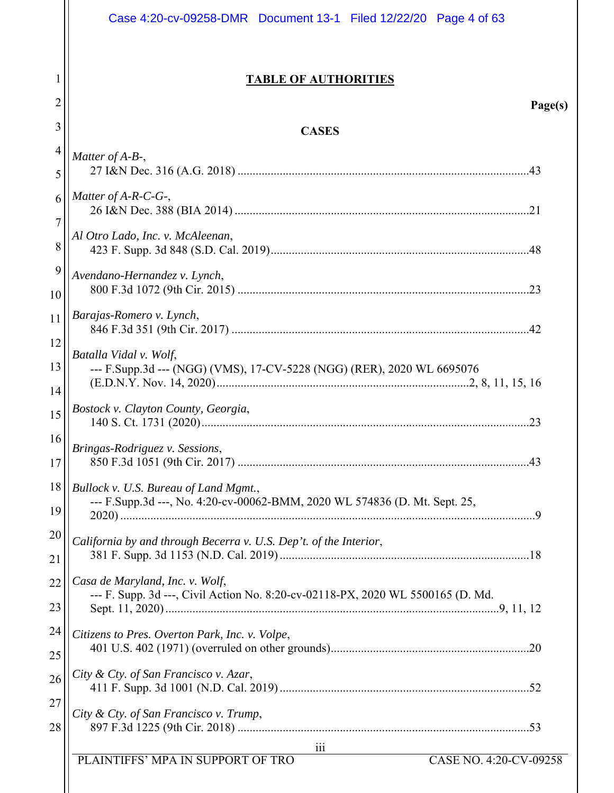|              | Case 4:20-cv-09258-DMR  Document 13-1  Filed 12/22/20  Page 4 of 63             |
|--------------|---------------------------------------------------------------------------------|
| $\mathbf{I}$ | <b>TABLE OF AUTHORITIES</b>                                                     |
| 2            | Page(s)                                                                         |
| 3            | <b>CASES</b>                                                                    |
| 4            | Matter of A-B-,                                                                 |
| 5            |                                                                                 |
| 6            | Matter of $A-R-C-G$ -,                                                          |
| 7            | Al Otro Lado, Inc. v. McAleenan,                                                |
| 8            |                                                                                 |
| 9            | Avendano-Hernandez v. Lynch,                                                    |
| 10           |                                                                                 |
| 11           | Barajas-Romero v. Lynch,                                                        |
| 12           | Batalla Vidal v. Wolf,                                                          |
| 13           | --- F.Supp.3d --- (NGG) (VMS), 17-CV-5228 (NGG) (RER), 2020 WL 6695076          |
| 14           | Bostock v. Clayton County, Georgia,                                             |
| 15<br>16     |                                                                                 |
| 17           | Bringas-Rodriguez v. Sessions,                                                  |
| 18           | Bullock v. U.S. Bureau of Land Mgmt.,                                           |
| 19           | --- F.Supp.3d ---, No. 4:20-cv-00062-BMM, 2020 WL 574836 (D. Mt. Sept. 25,      |
| 20           | California by and through Becerra v. U.S. Dep't. of the Interior,               |
| 21           |                                                                                 |
| 22           | Casa de Maryland, Inc. v. Wolf,                                                 |
| 23           | --- F. Supp. 3d ---, Civil Action No. 8:20-cv-02118-PX, 2020 WL 5500165 (D. Md. |
| 24           | Citizens to Pres. Overton Park, Inc. v. Volpe,                                  |
| 25           |                                                                                 |
| 26           | City & Cty. of San Francisco v. Azar,                                           |
| 27           | City & Cty. of San Francisco v. Trump,                                          |
| 28           |                                                                                 |
|              | 111<br>PLAINTIFFS' MPA IN SUPPORT OF TRO<br>CASE NO. 4:20-CV-09258              |
|              |                                                                                 |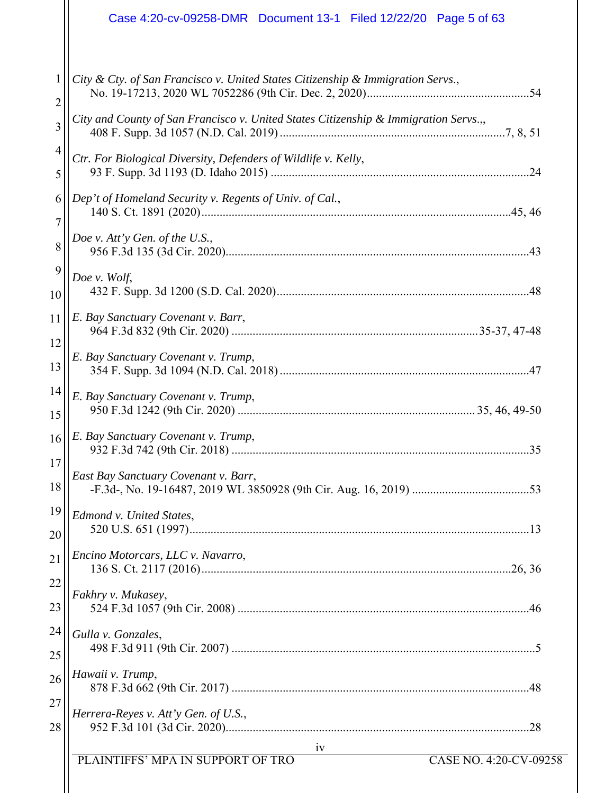|                | Case 4:20-cv-09258-DMR  Document 13-1  Filed 12/22/20  Page 5 of 63                  |
|----------------|--------------------------------------------------------------------------------------|
| 1              | City & Cty. of San Francisco v. United States Citizenship & Immigration Servs.,      |
| $\overline{c}$ |                                                                                      |
| 3              | City and County of San Francisco v. United States Citizenship & Immigration Servs.,, |
| 4              | Ctr. For Biological Diversity, Defenders of Wildlife v. Kelly,                       |
| 5              |                                                                                      |
| 6              | Dep't of Homeland Security v. Regents of Univ. of Cal.,                              |
| 7              |                                                                                      |
| 8              | Doe v. Att'y Gen. of the U.S.,                                                       |
| 9              | Doe v. Wolf,                                                                         |
| 10             |                                                                                      |
| 11             | E. Bay Sanctuary Covenant v. Barr,                                                   |
| 12             | E. Bay Sanctuary Covenant v. Trump,                                                  |
| 13             |                                                                                      |
| 14             | E. Bay Sanctuary Covenant v. Trump,                                                  |
| 15             |                                                                                      |
| 16<br>17       | E. Bay Sanctuary Covenant v. Trump,<br>35                                            |
| 18             | East Bay Sanctuary Covenant v. Barr,                                                 |
| 19             | Edmond v. United States,                                                             |
| 20             |                                                                                      |
| 21             | Encino Motorcars, LLC v. Navarro,                                                    |
| 22             | Fakhry v. Mukasey,                                                                   |
| 23             |                                                                                      |
| 24             | Gulla v. Gonzales,                                                                   |
| 25             |                                                                                      |
| 26             | Hawaii v. Trump,                                                                     |
| 27             | Herrera-Reyes v. Att'y Gen. of U.S.,                                                 |
| 28             |                                                                                      |
|                | iv                                                                                   |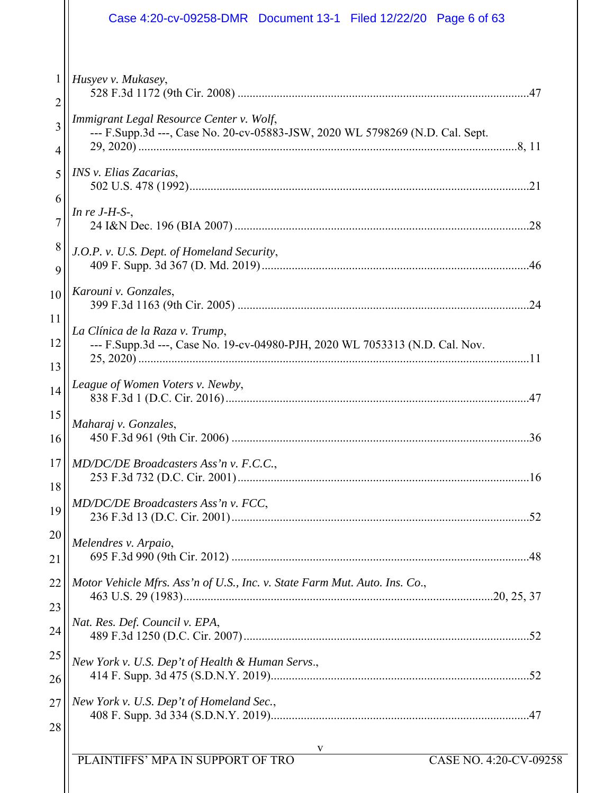| Case 4:20-cv-09258-DMR  Document 13-1  Filed 12/22/20  Page 6 of 63                                                                 |                                                                                                                                                                                                                                                                                                       |
|-------------------------------------------------------------------------------------------------------------------------------------|-------------------------------------------------------------------------------------------------------------------------------------------------------------------------------------------------------------------------------------------------------------------------------------------------------|
| 1<br>Husyev v. Mukasey,<br>2                                                                                                        |                                                                                                                                                                                                                                                                                                       |
| Immigrant Legal Resource Center v. Wolf,<br>3<br>--- F.Supp.3d ---, Case No. 20-cv-05883-JSW, 2020 WL 5798269 (N.D. Cal. Sept.<br>4 |                                                                                                                                                                                                                                                                                                       |
| INS v. Elias Zacarias,<br>5                                                                                                         |                                                                                                                                                                                                                                                                                                       |
| In re $J-H-S$ -,<br>7                                                                                                               |                                                                                                                                                                                                                                                                                                       |
| J.O.P. v. U.S. Dept. of Homeland Security,<br>9                                                                                     |                                                                                                                                                                                                                                                                                                       |
| 10<br>11                                                                                                                            |                                                                                                                                                                                                                                                                                                       |
| 12<br>--- F.Supp.3d ---, Case No. 19-cv-04980-PJH, 2020 WL 7053313 (N.D. Cal. Nov.<br>13                                            |                                                                                                                                                                                                                                                                                                       |
| League of Women Voters v. Newby,<br>14                                                                                              |                                                                                                                                                                                                                                                                                                       |
| Maharaj v. Gonzales,<br>16                                                                                                          |                                                                                                                                                                                                                                                                                                       |
| MD/DC/DE Broadcasters Ass'n v. F.C.C.,<br>18                                                                                        |                                                                                                                                                                                                                                                                                                       |
| 19<br>20                                                                                                                            |                                                                                                                                                                                                                                                                                                       |
| 21                                                                                                                                  |                                                                                                                                                                                                                                                                                                       |
| 23                                                                                                                                  |                                                                                                                                                                                                                                                                                                       |
| 25<br>New York v. U.S. Dep't of Health & Human Servs.,                                                                              |                                                                                                                                                                                                                                                                                                       |
| 26<br>New York v. U.S. Dep't of Homeland Sec.,<br>27                                                                                |                                                                                                                                                                                                                                                                                                       |
| 28                                                                                                                                  |                                                                                                                                                                                                                                                                                                       |
| 6<br>8<br>15<br>17<br>22<br>24                                                                                                      | Karouni v. Gonzales,<br>La Clínica de la Raza v. Trump,<br>MD/DC/DE Broadcasters Ass'n v. FCC,<br>Melendres v. Arpaio,<br>Motor Vehicle Mfrs. Ass'n of U.S., Inc. v. State Farm Mut. Auto. Ins. Co.,<br>Nat. Res. Def. Council v. EPA,<br>PLAINTIFFS' MPA IN SUPPORT OF TRO<br>CASE NO. 4:20-CV-09258 |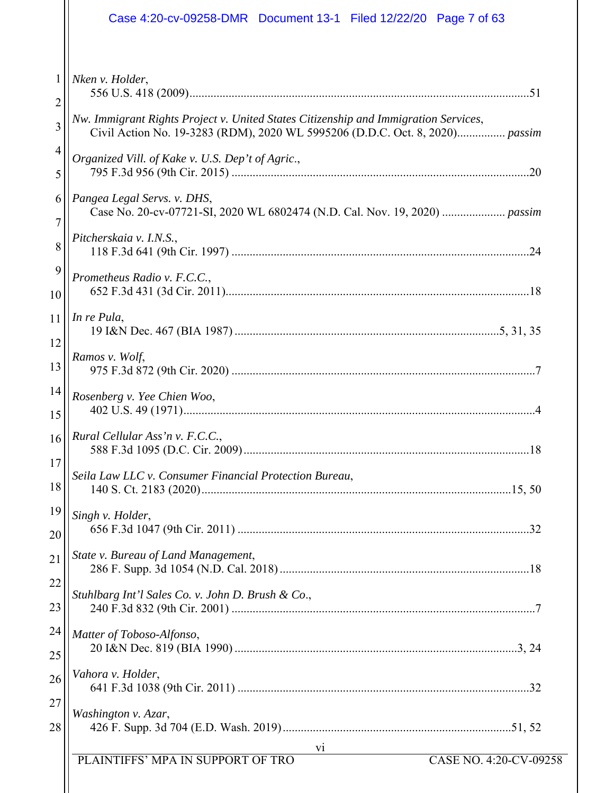|    | Case 4:20-cv-09258-DMR  Document 13-1  Filed 12/22/20  Page 7 of 63                                                                                                 |
|----|---------------------------------------------------------------------------------------------------------------------------------------------------------------------|
| 1  | Nken v. Holder,                                                                                                                                                     |
| 2  |                                                                                                                                                                     |
| 3  | Nw. Immigrant Rights Project v. United States Citizenship and Immigration Services,<br>Civil Action No. 19-3283 (RDM), 2020 WL 5995206 (D.D.C. Oct. 8, 2020) passim |
| 4  | Organized Vill. of Kake v. U.S. Dep't of Agric.,                                                                                                                    |
| 5  |                                                                                                                                                                     |
| 6  | Pangea Legal Servs. v. DHS,                                                                                                                                         |
| 7  | Pitcherskaia v. I.N.S.,                                                                                                                                             |
| 8  |                                                                                                                                                                     |
| 9  | Prometheus Radio v. F.C.C.,                                                                                                                                         |
| 10 |                                                                                                                                                                     |
| 11 | In re Pula,                                                                                                                                                         |
| 12 | Ramos v. Wolf,                                                                                                                                                      |
| 13 |                                                                                                                                                                     |
| 14 | Rosenberg v. Yee Chien Woo,                                                                                                                                         |
| 15 |                                                                                                                                                                     |
| 16 | Rural Cellular Ass'n v. F.C.C.,                                                                                                                                     |
| 17 | Seila Law LLC v. Consumer Financial Protection Bureau,                                                                                                              |
| 18 |                                                                                                                                                                     |
| 19 | Singh v. Holder,                                                                                                                                                    |
| 20 |                                                                                                                                                                     |
| 21 | State v. Bureau of Land Management,                                                                                                                                 |
| 22 | Stuhlbarg Int'l Sales Co. v. John D. Brush & Co.,                                                                                                                   |
| 23 |                                                                                                                                                                     |
| 24 | Matter of Toboso-Alfonso,                                                                                                                                           |
| 25 |                                                                                                                                                                     |
| 26 | Vahora v. Holder,                                                                                                                                                   |
| 27 | Washington v. Azar,                                                                                                                                                 |
| 28 |                                                                                                                                                                     |
|    | V1<br>PLAINTIFFS' MPA IN SUPPORT OF TRO<br>CASE NO. 4:20-CV-09258                                                                                                   |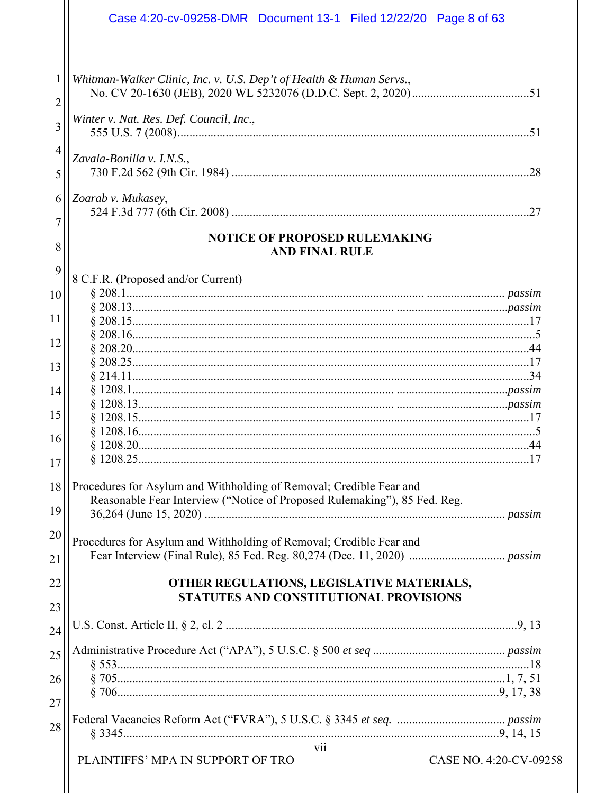|                     | Case 4:20-cv-09258-DMR  Document 13-1  Filed 12/22/20  Page 8 of 63                                                                              |
|---------------------|--------------------------------------------------------------------------------------------------------------------------------------------------|
| $\mathbf{1}$<br>2   | Whitman-Walker Clinic, Inc. v. U.S. Dep't of Health & Human Servs.,                                                                              |
| 3                   | Winter v. Nat. Res. Def. Council, Inc.,                                                                                                          |
| $\overline{4}$<br>5 | Zavala-Bonilla v. I.N.S.,                                                                                                                        |
| 6                   | Zoarab v. Mukasey,                                                                                                                               |
| 7<br>8              | <b>NOTICE OF PROPOSED RULEMAKING</b><br><b>AND FINAL RULE</b>                                                                                    |
| 9                   | 8 C.F.R. (Proposed and/or Current)                                                                                                               |
| 10                  |                                                                                                                                                  |
| 11                  |                                                                                                                                                  |
|                     |                                                                                                                                                  |
| 12                  |                                                                                                                                                  |
| 13                  |                                                                                                                                                  |
|                     |                                                                                                                                                  |
| 14                  |                                                                                                                                                  |
| 15                  |                                                                                                                                                  |
|                     |                                                                                                                                                  |
| 16                  |                                                                                                                                                  |
| 17                  |                                                                                                                                                  |
| 18<br>19            | Procedures for Asylum and Withholding of Removal; Credible Fear and<br>Reasonable Fear Interview ("Notice of Proposed Rulemaking"), 85 Fed. Reg. |
| 20                  |                                                                                                                                                  |
|                     | Procedures for Asylum and Withholding of Removal; Credible Fear and                                                                              |
| 21                  |                                                                                                                                                  |
| 22                  | OTHER REGULATIONS, LEGISLATIVE MATERIALS,<br>STATUTES AND CONSTITUTIONAL PROVISIONS                                                              |
| 23                  |                                                                                                                                                  |
| 24                  |                                                                                                                                                  |
| 25                  |                                                                                                                                                  |
| 26<br>27            |                                                                                                                                                  |
| 28                  |                                                                                                                                                  |
|                     | vii<br>PLAINTIFFS' MPA IN SUPPORT OF TRO<br>CASE NO. 4:20-CV-09258                                                                               |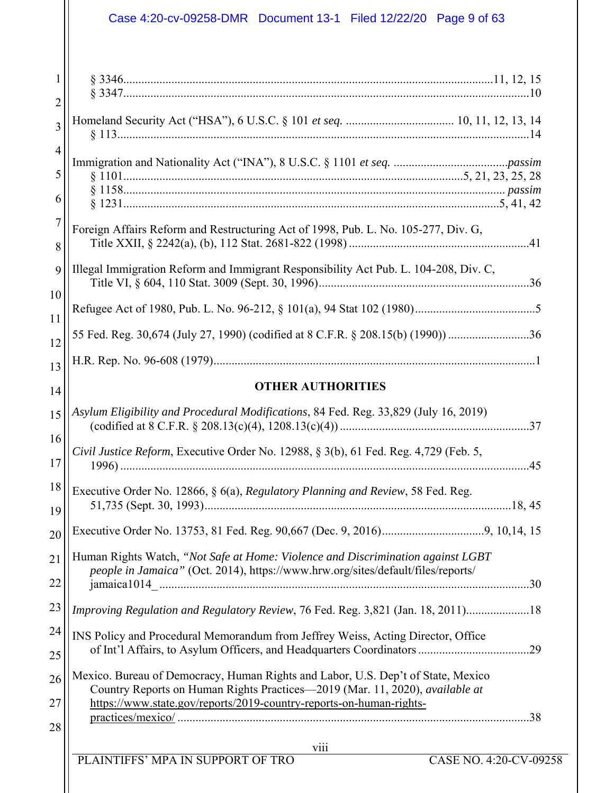| $\overline{2}$<br>3 |                                                                                                                                                                                                                                         |
|---------------------|-----------------------------------------------------------------------------------------------------------------------------------------------------------------------------------------------------------------------------------------|
| 4<br>5              |                                                                                                                                                                                                                                         |
| 6                   |                                                                                                                                                                                                                                         |
| 7<br>8              | Foreign Affairs Reform and Restructuring Act of 1998, Pub. L. No. 105-277, Div. G,                                                                                                                                                      |
| 9<br>10             | Illegal Immigration Reform and Immigrant Responsibility Act Pub. L. 104-208, Div. C,                                                                                                                                                    |
| 11                  |                                                                                                                                                                                                                                         |
| 12                  | 55 Fed. Reg. 30,674 (July 27, 1990) (codified at 8 C.F.R. § 208.15(b) (1990)) 36                                                                                                                                                        |
| 13                  |                                                                                                                                                                                                                                         |
| 14                  | <b>OTHER AUTHORITIES</b>                                                                                                                                                                                                                |
| 15                  | Asylum Eligibility and Procedural Modifications, 84 Fed. Reg. 33,829 (July 16, 2019)                                                                                                                                                    |
| 16<br>17            | <i>Civil Justice Reform</i> , Executive Order No. 12988, § 3(b), 61 Fed. Reg. 4,729 (Feb. 5,<br>.45                                                                                                                                     |
| 18<br>19            | Executive Order No. 12866, § 6(a), Regulatory Planning and Review, 58 Fed. Reg.                                                                                                                                                         |
| 20                  |                                                                                                                                                                                                                                         |
| 21<br>22            | Human Rights Watch, "Not Safe at Home: Violence and Discrimination against LGBT<br>people in Jamaica" (Oct. 2014), https://www.hrw.org/sites/default/files/reports/                                                                     |
| 23                  | Improving Regulation and Regulatory Review, 76 Fed. Reg. 3,821 (Jan. 18, 2011)18                                                                                                                                                        |
| 24<br>25            | INS Policy and Procedural Memorandum from Jeffrey Weiss, Acting Director, Office                                                                                                                                                        |
| 26<br>27            | Mexico. Bureau of Democracy, Human Rights and Labor, U.S. Dep't of State, Mexico<br>Country Reports on Human Rights Practices-2019 (Mar. 11, 2020), available at<br>https://www.state.gov/reports/2019-country-reports-on-human-rights- |
| 28                  | viii                                                                                                                                                                                                                                    |
|                     | PLAINTIFFS' MPA IN SUPPORT OF TRO<br><b>CASE NO. 4:20-CV-09258</b>                                                                                                                                                                      |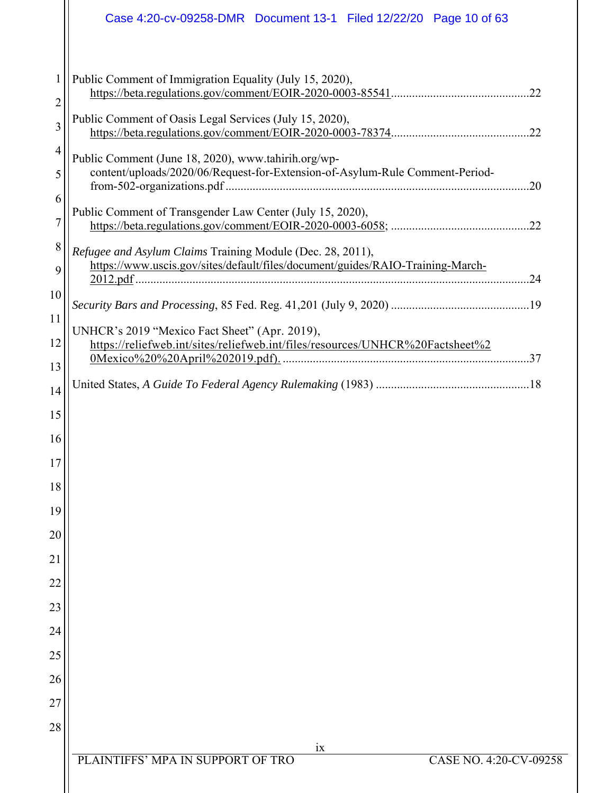|                     | Case 4:20-cv-09258-DMR  Document 13-1  Filed 12/22/20  Page 10 of 63                                                                         |
|---------------------|----------------------------------------------------------------------------------------------------------------------------------------------|
| 1<br>$\overline{c}$ | Public Comment of Immigration Equality (July 15, 2020),                                                                                      |
| 3                   | Public Comment of Oasis Legal Services (July 15, 2020),                                                                                      |
| 4<br>5              | Public Comment (June 18, 2020), www.tahirih.org/wp-<br>content/uploads/2020/06/Request-for-Extension-of-Asylum-Rule Comment-Period-<br>.20   |
| 6<br>$\overline{7}$ | Public Comment of Transgender Law Center (July 15, 2020),                                                                                    |
| 8<br>9              | Refugee and Asylum Claims Training Module (Dec. 28, 2011),<br>https://www.uscis.gov/sites/default/files/document/guides/RAIO-Training-March- |
| 10<br>11            |                                                                                                                                              |
| 12                  | UNHCR's 2019 "Mexico Fact Sheet" (Apr. 2019),<br>https://reliefweb.int/sites/reliefweb.int/files/resources/UNHCR%20Factsheet%2               |
| 13<br>14            |                                                                                                                                              |
| 15                  |                                                                                                                                              |
| 16<br>17            |                                                                                                                                              |
| 18                  |                                                                                                                                              |
| 19                  |                                                                                                                                              |
| 20                  |                                                                                                                                              |
| 21<br>22            |                                                                                                                                              |
| 23                  |                                                                                                                                              |
| 24                  |                                                                                                                                              |
| 25                  |                                                                                                                                              |
| 26                  |                                                                                                                                              |
| 27<br>28            |                                                                                                                                              |
|                     | 1X                                                                                                                                           |
|                     | PLAINTIFFS' MPA IN SUPPORT OF TRO<br>CASE NO. 4:20-CV-09258                                                                                  |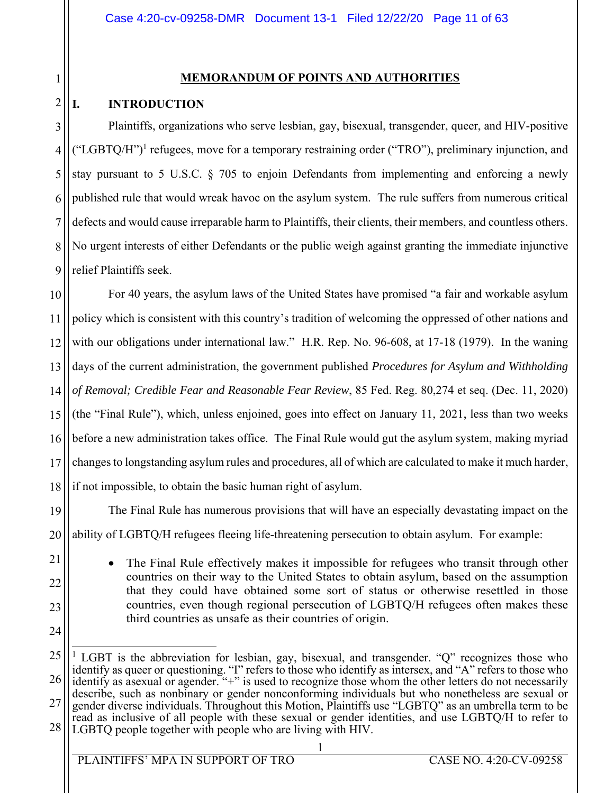# **MEMORANDUM OF POINTS AND AUTHORITIES**

# **I. INTRODUCTION**

1

2

21

22

23

24

3 4 5 6 7 8 9 Plaintiffs, organizations who serve lesbian, gay, bisexual, transgender, queer, and HIV-positive  $("LGBTQ/H")<sup>1</sup>$  refugees, move for a temporary restraining order ("TRO"), preliminary injunction, and stay pursuant to 5 U.S.C. § 705 to enjoin Defendants from implementing and enforcing a newly published rule that would wreak havoc on the asylum system. The rule suffers from numerous critical defects and would cause irreparable harm to Plaintiffs, their clients, their members, and countless others. No urgent interests of either Defendants or the public weigh against granting the immediate injunctive relief Plaintiffs seek.

10 11 12 13 14 15 16 17 18 For 40 years, the asylum laws of the United States have promised "a fair and workable asylum policy which is consistent with this country's tradition of welcoming the oppressed of other nations and with our obligations under international law." H.R. Rep. No. 96-608, at 17-18 (1979). In the waning days of the current administration, the government published *Procedures for Asylum and Withholding of Removal; Credible Fear and Reasonable Fear Review*, 85 Fed. Reg. 80,274 et seq. (Dec. 11, 2020) (the "Final Rule"), which, unless enjoined, goes into effect on January 11, 2021, less than two weeks before a new administration takes office. The Final Rule would gut the asylum system, making myriad changes to longstanding asylum rules and procedures, all of which are calculated to make it much harder, if not impossible, to obtain the basic human right of asylum.

19 20 The Final Rule has numerous provisions that will have an especially devastating impact on the ability of LGBTQ/H refugees fleeing life-threatening persecution to obtain asylum. For example:

> The Final Rule effectively makes it impossible for refugees who transit through other countries on their way to the United States to obtain asylum, based on the assumption that they could have obtained some sort of status or otherwise resettled in those countries, even though regional persecution of LGBTQ/H refugees often makes these third countries as unsafe as their countries of origin.

25 26 27 28  $\overline{a}$ <sup>1</sup> LGBT is the abbreviation for lesbian, gay, bisexual, and transgender. "Q" recognizes those who identify as queer or questioning. "I" refers to those who identify as intersex, and "A" refers to those who identify as asexual or agender. "+" is used to recognize those whom the other letters do not necessarily describe, such as nonbinary or gender nonconforming individuals but who nonetheless are sexual or gender diverse individuals. Throughout this Motion, Plaintiffs use "LGBTQ" as an umbrella term to be read as inclusive of all people with these sexual or gender identities, and use LGBTQ/H to refer to LGBTQ people together with people who are living with HIV.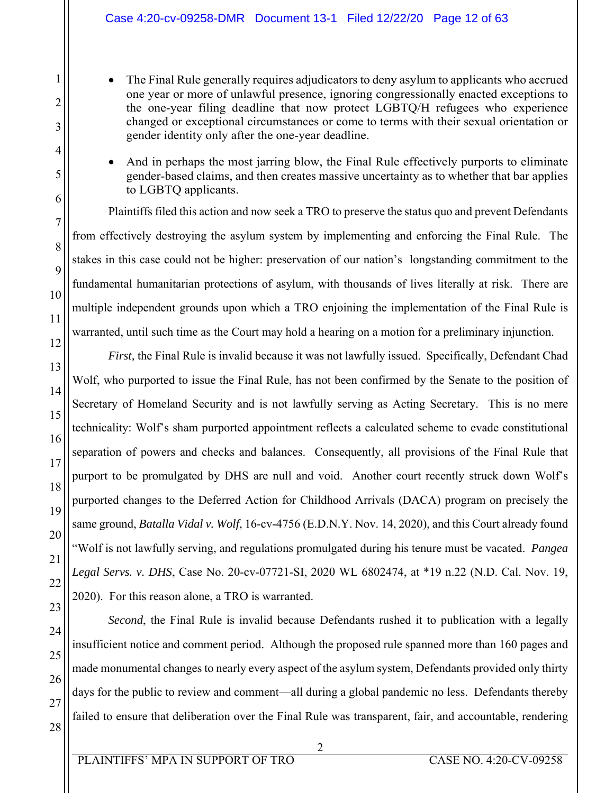- The Final Rule generally requires adjudicators to deny asylum to applicants who accrued one year or more of unlawful presence, ignoring congressionally enacted exceptions to the one-year filing deadline that now protect LGBTQ/H refugees who experience changed or exceptional circumstances or come to terms with their sexual orientation or gender identity only after the one-year deadline.
- And in perhaps the most jarring blow, the Final Rule effectively purports to eliminate gender-based claims, and then creates massive uncertainty as to whether that bar applies to LGBTQ applicants.

Plaintiffs filed this action and now seek a TRO to preserve the status quo and prevent Defendants from effectively destroying the asylum system by implementing and enforcing the Final Rule. The stakes in this case could not be higher: preservation of our nation's longstanding commitment to the fundamental humanitarian protections of asylum, with thousands of lives literally at risk. There are multiple independent grounds upon which a TRO enjoining the implementation of the Final Rule is warranted, until such time as the Court may hold a hearing on a motion for a preliminary injunction.

*First*, the Final Rule is invalid because it was not lawfully issued. Specifically, Defendant Chad Wolf, who purported to issue the Final Rule, has not been confirmed by the Senate to the position of Secretary of Homeland Security and is not lawfully serving as Acting Secretary. This is no mere technicality: Wolf's sham purported appointment reflects a calculated scheme to evade constitutional separation of powers and checks and balances. Consequently, all provisions of the Final Rule that purport to be promulgated by DHS are null and void. Another court recently struck down Wolf's purported changes to the Deferred Action for Childhood Arrivals (DACA) program on precisely the same ground, *Batalla Vidal v. Wolf*, 16-cv-4756 (E.D.N.Y. Nov. 14, 2020), and this Court already found "Wolf is not lawfully serving, and regulations promulgated during his tenure must be vacated. *Pangea Legal Servs. v. DHS*, Case No. 20-cv-07721-SI, 2020 WL 6802474, at \*19 n.22 (N.D. Cal. Nov. 19, 2020). For this reason alone, a TRO is warranted.

*Second*, the Final Rule is invalid because Defendants rushed it to publication with a legally insufficient notice and comment period. Although the proposed rule spanned more than 160 pages and made monumental changes to nearly every aspect of the asylum system, Defendants provided only thirty days for the public to review and comment—all during a global pandemic no less. Defendants thereby failed to ensure that deliberation over the Final Rule was transparent, fair, and accountable, rendering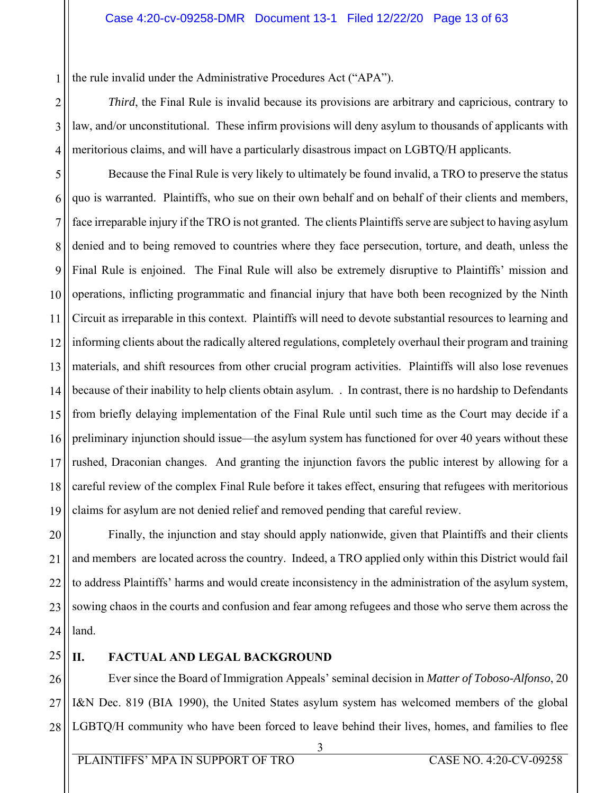the rule invalid under the Administrative Procedures Act ("APA").

3 4 *Third*, the Final Rule is invalid because its provisions are arbitrary and capricious, contrary to law, and/or unconstitutional. These infirm provisions will deny asylum to thousands of applicants with meritorious claims, and will have a particularly disastrous impact on LGBTQ/H applicants.

5 6 7 8 9 10 11 12 13 14 15 16 17 18 19 Because the Final Rule is very likely to ultimately be found invalid, a TRO to preserve the status quo is warranted. Plaintiffs, who sue on their own behalf and on behalf of their clients and members, face irreparable injury if the TRO is not granted. The clients Plaintiffs serve are subject to having asylum denied and to being removed to countries where they face persecution, torture, and death, unless the Final Rule is enjoined. The Final Rule will also be extremely disruptive to Plaintiffs' mission and operations, inflicting programmatic and financial injury that have both been recognized by the Ninth Circuit as irreparable in this context. Plaintiffs will need to devote substantial resources to learning and informing clients about the radically altered regulations, completely overhaul their program and training materials, and shift resources from other crucial program activities. Plaintiffs will also lose revenues because of their inability to help clients obtain asylum. . In contrast, there is no hardship to Defendants from briefly delaying implementation of the Final Rule until such time as the Court may decide if a preliminary injunction should issue—the asylum system has functioned for over 40 years without these rushed, Draconian changes. And granting the injunction favors the public interest by allowing for a careful review of the complex Final Rule before it takes effect, ensuring that refugees with meritorious claims for asylum are not denied relief and removed pending that careful review.

20 21 22 23 24 Finally, the injunction and stay should apply nationwide, given that Plaintiffs and their clients and members are located across the country. Indeed, a TRO applied only within this District would fail to address Plaintiffs' harms and would create inconsistency in the administration of the asylum system, sowing chaos in the courts and confusion and fear among refugees and those who serve them across the land.

25

1

2

# **II. FACTUAL AND LEGAL BACKGROUND**

26 27 28 Ever since the Board of Immigration Appeals' seminal decision in *Matter of Toboso-Alfonso*, 20 I&N Dec. 819 (BIA 1990), the United States asylum system has welcomed members of the global LGBTQ/H community who have been forced to leave behind their lives, homes, and families to flee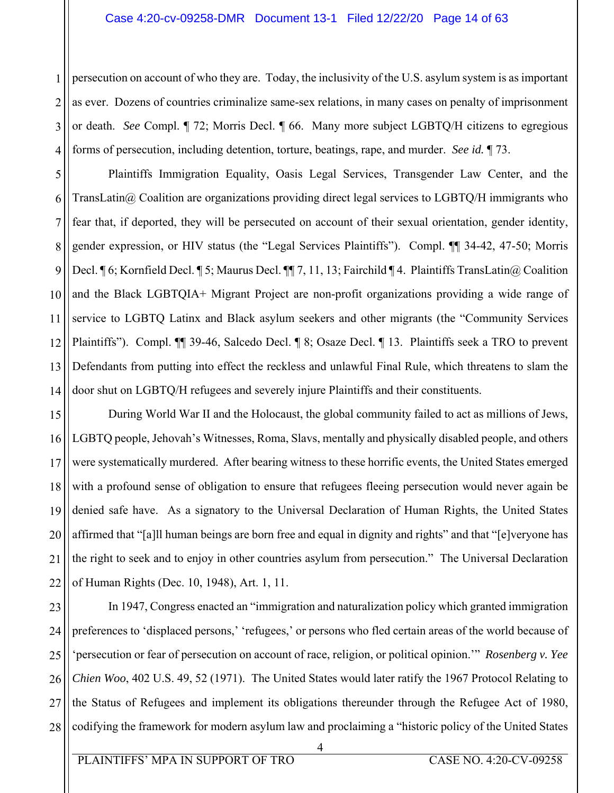#### Case 4:20-cv-09258-DMR Document 13-1 Filed 12/22/20 Page 14 of 63

1 2 3 4 persecution on account of who they are. Today, the inclusivity of the U.S. asylum system is as important as ever. Dozens of countries criminalize same-sex relations, in many cases on penalty of imprisonment or death. *See* Compl. ¶ 72; Morris Decl. ¶ 66. Many more subject LGBTQ/H citizens to egregious forms of persecution, including detention, torture, beatings, rape, and murder. *See id.* ¶ 73.

5 6 7 8 9 10 11 12 13 14 Plaintiffs Immigration Equality, Oasis Legal Services, Transgender Law Center, and the TransLatin $@$  Coalition are organizations providing direct legal services to LGBTQ/H immigrants who fear that, if deported, they will be persecuted on account of their sexual orientation, gender identity, gender expression, or HIV status (the "Legal Services Plaintiffs"). Compl. ¶¶ 34-42, 47-50; Morris Decl. ¶ 6; Kornfield Decl. ¶ 5; Maurus Decl. ¶¶ 7, 11, 13; Fairchild ¶ 4. Plaintiffs TransLatin@ Coalition and the Black LGBTQIA+ Migrant Project are non-profit organizations providing a wide range of service to LGBTQ Latinx and Black asylum seekers and other migrants (the "Community Services Plaintiffs"). Compl. ¶¶ 39-46, Salcedo Decl. ¶ 8; Osaze Decl. ¶ 13. Plaintiffs seek a TRO to prevent Defendants from putting into effect the reckless and unlawful Final Rule, which threatens to slam the door shut on LGBTQ/H refugees and severely injure Plaintiffs and their constituents.

15 16 17 18 19 20 21 22 During World War II and the Holocaust, the global community failed to act as millions of Jews, LGBTQ people, Jehovah's Witnesses, Roma, Slavs, mentally and physically disabled people, and others were systematically murdered. After bearing witness to these horrific events, the United States emerged with a profound sense of obligation to ensure that refugees fleeing persecution would never again be denied safe have. As a signatory to the Universal Declaration of Human Rights, the United States affirmed that "[a]ll human beings are born free and equal in dignity and rights" and that "[e]veryone has the right to seek and to enjoy in other countries asylum from persecution." The Universal Declaration of Human Rights (Dec. 10, 1948), Art. 1, 11.

23 24 25 26 27 28 In 1947, Congress enacted an "immigration and naturalization policy which granted immigration preferences to 'displaced persons,' 'refugees,' or persons who fled certain areas of the world because of 'persecution or fear of persecution on account of race, religion, or political opinion.'" *Rosenberg v. Yee Chien Woo*, 402 U.S. 49, 52 (1971). The United States would later ratify the 1967 Protocol Relating to the Status of Refugees and implement its obligations thereunder through the Refugee Act of 1980, codifying the framework for modern asylum law and proclaiming a "historic policy of the United States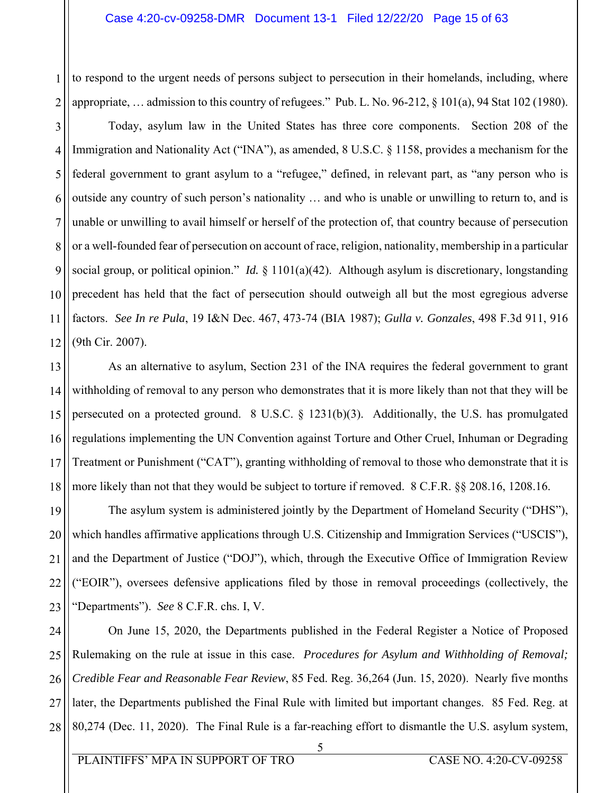to respond to the urgent needs of persons subject to persecution in their homelands, including, where appropriate, … admission to this country of refugees." Pub. L. No. 96-212, § 101(a), 94 Stat 102 (1980).

1

2

3 4 5 6 7 8 9 10 11 12 Today, asylum law in the United States has three core components. Section 208 of the Immigration and Nationality Act ("INA"), as amended, 8 U.S.C. § 1158, provides a mechanism for the federal government to grant asylum to a "refugee," defined, in relevant part, as "any person who is outside any country of such person's nationality … and who is unable or unwilling to return to, and is unable or unwilling to avail himself or herself of the protection of, that country because of persecution or a well-founded fear of persecution on account of race, religion, nationality, membership in a particular social group, or political opinion." *Id.* § 1101(a)(42). Although asylum is discretionary, longstanding precedent has held that the fact of persecution should outweigh all but the most egregious adverse factors. *See In re Pula*, 19 I&N Dec. 467, 473-74 (BIA 1987); *Gulla v. Gonzales*, 498 F.3d 911, 916 (9th Cir. 2007).

13 14 15 16 17 18 As an alternative to asylum, Section 231 of the INA requires the federal government to grant withholding of removal to any person who demonstrates that it is more likely than not that they will be persecuted on a protected ground. 8 U.S.C. § 1231(b)(3). Additionally, the U.S. has promulgated regulations implementing the UN Convention against Torture and Other Cruel, Inhuman or Degrading Treatment or Punishment ("CAT"), granting withholding of removal to those who demonstrate that it is more likely than not that they would be subject to torture if removed. 8 C.F.R. §§ 208.16, 1208.16.

19 20 21 22 23 The asylum system is administered jointly by the Department of Homeland Security ("DHS"), which handles affirmative applications through U.S. Citizenship and Immigration Services ("USCIS"), and the Department of Justice ("DOJ"), which, through the Executive Office of Immigration Review ("EOIR"), oversees defensive applications filed by those in removal proceedings (collectively, the "Departments"). *See* 8 C.F.R. chs. I, V.

24 25 26 27 28 On June 15, 2020, the Departments published in the Federal Register a Notice of Proposed Rulemaking on the rule at issue in this case. *Procedures for Asylum and Withholding of Removal; Credible Fear and Reasonable Fear Review*, 85 Fed. Reg. 36,264 (Jun. 15, 2020). Nearly five months later, the Departments published the Final Rule with limited but important changes. 85 Fed. Reg. at 80,274 (Dec. 11, 2020). The Final Rule is a far-reaching effort to dismantle the U.S. asylum system,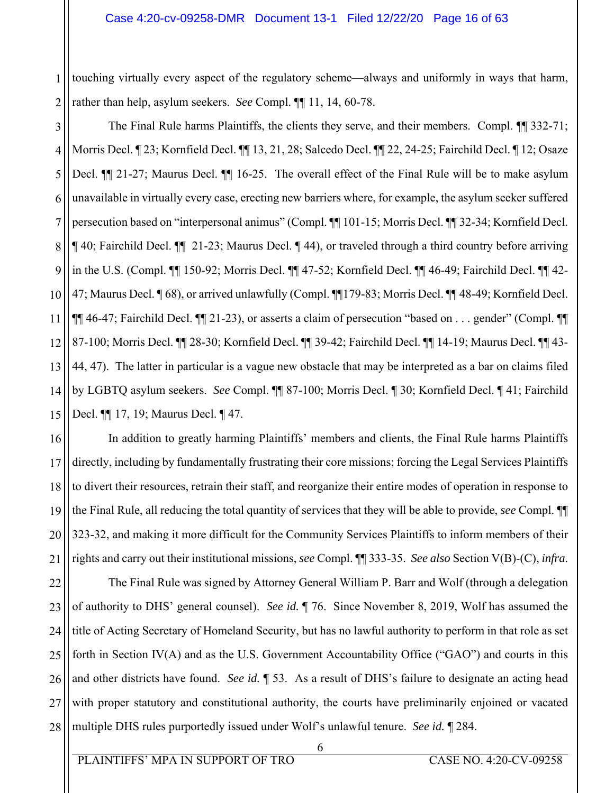1 2 touching virtually every aspect of the regulatory scheme—always and uniformly in ways that harm, rather than help, asylum seekers. *See* Compl. ¶¶ 11, 14, 60-78.

3 4 5 6 7 8 9 10 11 12 13 14 15 The Final Rule harms Plaintiffs, the clients they serve, and their members. Compl.  $\P$  332-71; Morris Decl. ¶ 23; Kornfield Decl. ¶¶ 13, 21, 28; Salcedo Decl. ¶¶ 22, 24-25; Fairchild Decl. ¶ 12; Osaze Decl.  $\P$  21-27; Maurus Decl.  $\P$  16-25. The overall effect of the Final Rule will be to make asylum unavailable in virtually every case, erecting new barriers where, for example, the asylum seeker suffered persecution based on "interpersonal animus" (Compl. ¶¶ 101-15; Morris Decl. ¶¶ 32-34; Kornfield Decl. ¶ 40; Fairchild Decl. ¶¶ 21-23; Maurus Decl. ¶ 44), or traveled through a third country before arriving in the U.S. (Compl. ¶¶ 150-92; Morris Decl. ¶¶ 47-52; Kornfield Decl. ¶¶ 46-49; Fairchild Decl. ¶¶ 42- 47; Maurus Decl. ¶ 68), or arrived unlawfully (Compl. ¶¶179-83; Morris Decl. ¶¶ 48-49; Kornfield Decl. ¶¶ 46-47; Fairchild Decl. ¶¶ 21-23), or asserts a claim of persecution "based on . . . gender" (Compl. ¶¶ 87-100; Morris Decl. ¶¶ 28-30; Kornfield Decl. ¶¶ 39-42; Fairchild Decl. ¶¶ 14-19; Maurus Decl. ¶¶ 43- 44, 47). The latter in particular is a vague new obstacle that may be interpreted as a bar on claims filed by LGBTQ asylum seekers. *See* Compl. ¶¶ 87-100; Morris Decl. ¶ 30; Kornfield Decl. ¶ 41; Fairchild Decl. ¶¶ 17, 19; Maurus Decl. ¶ 47.

16 17 18 19 20 21 In addition to greatly harming Plaintiffs' members and clients, the Final Rule harms Plaintiffs directly, including by fundamentally frustrating their core missions; forcing the Legal Services Plaintiffs to divert their resources, retrain their staff, and reorganize their entire modes of operation in response to the Final Rule, all reducing the total quantity of services that they will be able to provide, *see* Compl. ¶¶ 323-32, and making it more difficult for the Community Services Plaintiffs to inform members of their rights and carry out their institutional missions, *see* Compl. ¶¶ 333-35. *See also* Section V(B)-(C), *infra*.

22 23 24 25 26 27 28 The Final Rule was signed by Attorney General William P. Barr and Wolf (through a delegation of authority to DHS' general counsel). *See id.* ¶ 76. Since November 8, 2019, Wolf has assumed the title of Acting Secretary of Homeland Security, but has no lawful authority to perform in that role as set forth in Section IV(A) and as the U.S. Government Accountability Office ("GAO") and courts in this and other districts have found. *See id.* ¶ 53. As a result of DHS's failure to designate an acting head with proper statutory and constitutional authority, the courts have preliminarily enjoined or vacated multiple DHS rules purportedly issued under Wolf's unlawful tenure. *See id.* ¶ 284.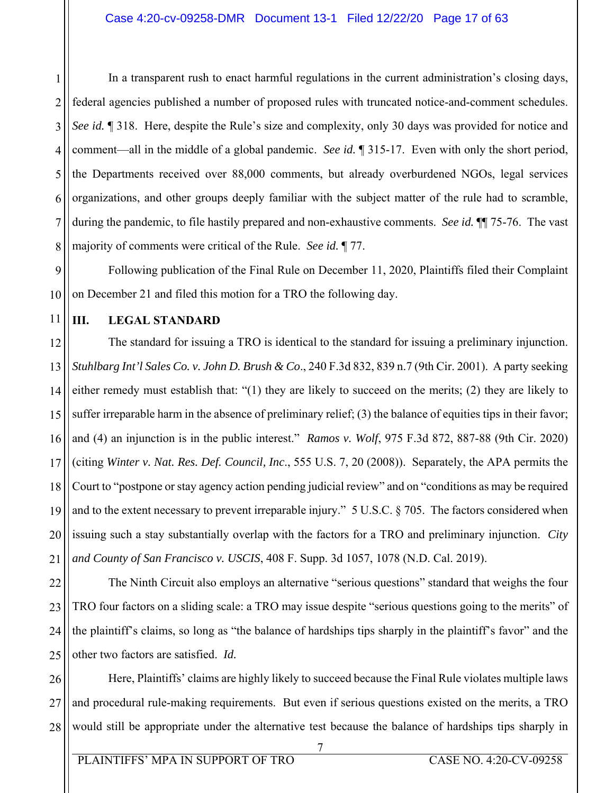1 2 3 4 5 6 7 8 In a transparent rush to enact harmful regulations in the current administration's closing days, federal agencies published a number of proposed rules with truncated notice-and-comment schedules. *See id.* ¶ 318. Here, despite the Rule's size and complexity, only 30 days was provided for notice and comment—all in the middle of a global pandemic. *See id.* ¶ 315-17. Even with only the short period, the Departments received over 88,000 comments, but already overburdened NGOs, legal services organizations, and other groups deeply familiar with the subject matter of the rule had to scramble, during the pandemic, to file hastily prepared and non-exhaustive comments. *See id.* ¶¶ 75-76. The vast majority of comments were critical of the Rule. *See id.* ¶ 77.

9 10 Following publication of the Final Rule on December 11, 2020, Plaintiffs filed their Complaint on December 21 and filed this motion for a TRO the following day.

11

# **III. LEGAL STANDARD**

12 13 14 15 16 17 18 19 20 21 The standard for issuing a TRO is identical to the standard for issuing a preliminary injunction. *Stuhlbarg Int'l Sales Co. v. John D. Brush & Co*., 240 F.3d 832, 839 n.7 (9th Cir. 2001). A party seeking either remedy must establish that: "(1) they are likely to succeed on the merits; (2) they are likely to suffer irreparable harm in the absence of preliminary relief; (3) the balance of equities tips in their favor; and (4) an injunction is in the public interest." *Ramos v. Wolf*, 975 F.3d 872, 887-88 (9th Cir. 2020) (citing *Winter v. Nat. Res. Def. Council, Inc*., 555 U.S. 7, 20 (2008)). Separately, the APA permits the Court to "postpone or stay agency action pending judicial review" and on "conditions as may be required and to the extent necessary to prevent irreparable injury." 5 U.S.C. § 705. The factors considered when issuing such a stay substantially overlap with the factors for a TRO and preliminary injunction. *City and County of San Francisco v. USCIS*, 408 F. Supp. 3d 1057, 1078 (N.D. Cal. 2019).

22 23 24 25 The Ninth Circuit also employs an alternative "serious questions" standard that weighs the four TRO four factors on a sliding scale: a TRO may issue despite "serious questions going to the merits" of the plaintiff's claims, so long as "the balance of hardships tips sharply in the plaintiff's favor" and the other two factors are satisfied. *Id.*

26 27 28 Here, Plaintiffs' claims are highly likely to succeed because the Final Rule violates multiple laws and procedural rule-making requirements. But even if serious questions existed on the merits, a TRO would still be appropriate under the alternative test because the balance of hardships tips sharply in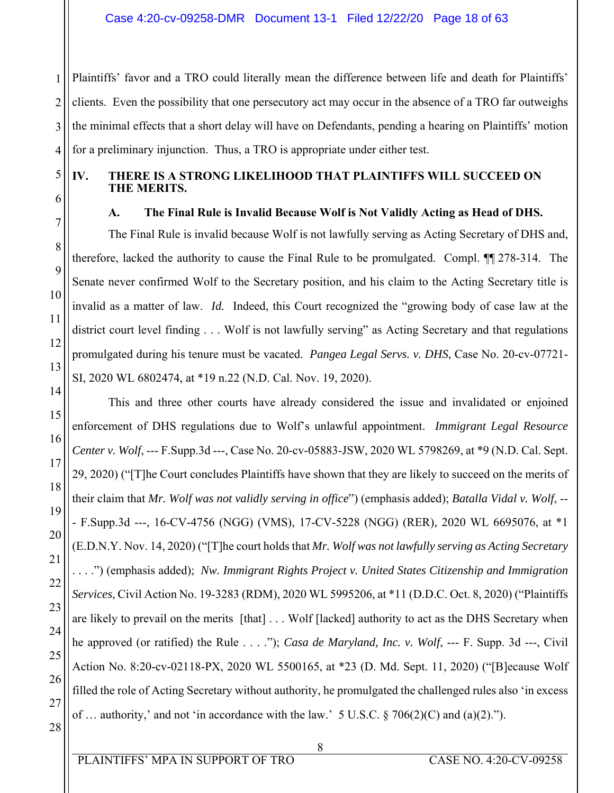2 3 Plaintiffs' favor and a TRO could literally mean the difference between life and death for Plaintiffs' clients. Even the possibility that one persecutory act may occur in the absence of a TRO far outweighs the minimal effects that a short delay will have on Defendants, pending a hearing on Plaintiffs' motion for a preliminary injunction. Thus, a TRO is appropriate under either test.

1

4

5

6

7

8

9

# **IV. THERE IS A STRONG LIKELIHOOD THAT PLAINTIFFS WILL SUCCEED ON THE MERITS.**

# **A. The Final Rule is Invalid Because Wolf is Not Validly Acting as Head of DHS.**

The Final Rule is invalid because Wolf is not lawfully serving as Acting Secretary of DHS and, therefore, lacked the authority to cause the Final Rule to be promulgated. Compl. ¶¶ 278-314. The Senate never confirmed Wolf to the Secretary position, and his claim to the Acting Secretary title is invalid as a matter of law. *Id.* Indeed, this Court recognized the "growing body of case law at the district court level finding . . . Wolf is not lawfully serving" as Acting Secretary and that regulations promulgated during his tenure must be vacated. *Pangea Legal Servs. v. DHS*, Case No. 20-cv-07721- SI, 2020 WL 6802474, at \*19 n.22 (N.D. Cal. Nov. 19, 2020).

This and three other courts have already considered the issue and invalidated or enjoined enforcement of DHS regulations due to Wolf's unlawful appointment. *Immigrant Legal Resource Center v. Wolf*, --- F.Supp.3d ---, Case No. 20-cv-05883-JSW, 2020 WL 5798269, at \*9 (N.D. Cal. Sept. 29, 2020) ("[T]he Court concludes Plaintiffs have shown that they are likely to succeed on the merits of their claim that *Mr. Wolf was not validly serving in office*") (emphasis added); *Batalla Vidal v. Wolf*, -- - F.Supp.3d ---, 16-CV-4756 (NGG) (VMS), 17-CV-5228 (NGG) (RER), 2020 WL 6695076, at \*1 (E.D.N.Y. Nov. 14, 2020) ("[T]he court holds that *Mr. Wolf was not lawfully serving as Acting Secretary* . . . .") (emphasis added); *Nw. Immigrant Rights Project v. United States Citizenship and Immigration Services*, Civil Action No. 19-3283 (RDM), 2020 WL 5995206, at \*11 (D.D.C. Oct. 8, 2020) ("Plaintiffs are likely to prevail on the merits [that] . . . Wolf [lacked] authority to act as the DHS Secretary when he approved (or ratified) the Rule . . . ."); *Casa de Maryland, Inc. v. Wolf*, --- F. Supp. 3d ---, Civil Action No. 8:20-cv-02118-PX, 2020 WL 5500165, at \*23 (D. Md. Sept. 11, 2020) ("[B]ecause Wolf filled the role of Acting Secretary without authority, he promulgated the challenged rules also 'in excess of ... authority,' and not 'in accordance with the law.' 5 U.S.C.  $\S 706(2)(C)$  and (a)(2).").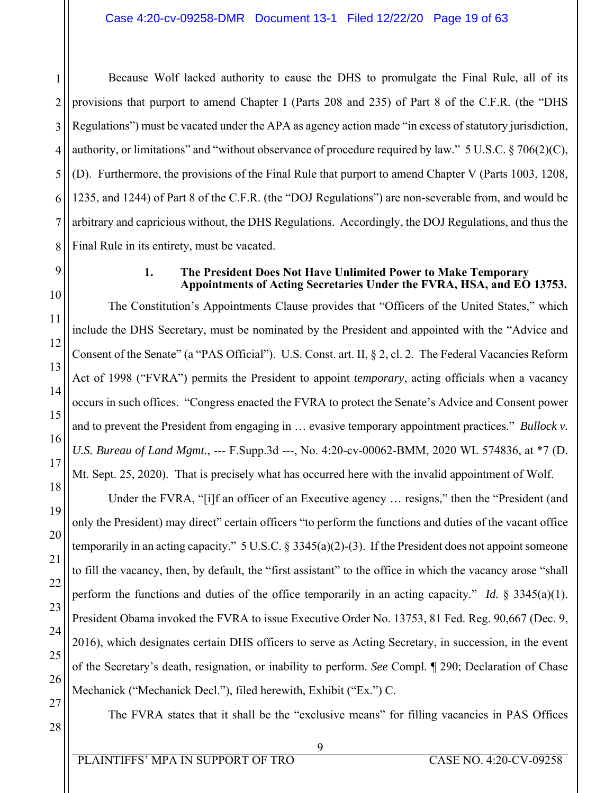1 2 3 4 5 6 7 8 Because Wolf lacked authority to cause the DHS to promulgate the Final Rule, all of its provisions that purport to amend Chapter I (Parts 208 and 235) of Part 8 of the C.F.R. (the "DHS Regulations") must be vacated under the APA as agency action made "in excess of statutory jurisdiction, authority, or limitations" and "without observance of procedure required by law." 5 U.S.C.  $\S 706(2)(C)$ , (D). Furthermore, the provisions of the Final Rule that purport to amend Chapter V (Parts 1003, 1208, 1235, and 1244) of Part 8 of the C.F.R. (the "DOJ Regulations") are non-severable from, and would be arbitrary and capricious without, the DHS Regulations. Accordingly, the DOJ Regulations, and thus the Final Rule in its entirety, must be vacated.

# 9

10

11

12

13

14

15

16

17

18

19

20

21

22

23

24

25

26

### **1. The President Does Not Have Unlimited Power to Make Temporary Appointments of Acting Secretaries Under the FVRA, HSA, and EO 13753.**

The Constitution's Appointments Clause provides that "Officers of the United States," which include the DHS Secretary, must be nominated by the President and appointed with the "Advice and Consent of the Senate" (a "PAS Official"). U.S. Const. art. II, § 2, cl. 2. The Federal Vacancies Reform Act of 1998 ("FVRA") permits the President to appoint *temporary*, acting officials when a vacancy occurs in such offices. "Congress enacted the FVRA to protect the Senate's Advice and Consent power and to prevent the President from engaging in … evasive temporary appointment practices." *Bullock v. U.S. Bureau of Land Mgmt.*, --- F.Supp.3d ---, No. 4:20-cv-00062-BMM, 2020 WL 574836, at \*7 (D. Mt. Sept. 25, 2020). That is precisely what has occurred here with the invalid appointment of Wolf.

Under the FVRA, "[i]f an officer of an Executive agency … resigns," then the "President (and only the President) may direct" certain officers "to perform the functions and duties of the vacant office temporarily in an acting capacity." 5 U.S.C. § 3345(a)(2)-(3). If the President does not appoint someone to fill the vacancy, then, by default, the "first assistant" to the office in which the vacancy arose "shall perform the functions and duties of the office temporarily in an acting capacity." *Id.* § 3345(a)(1). President Obama invoked the FVRA to issue Executive Order No. 13753, 81 Fed. Reg. 90,667 (Dec. 9, 2016), which designates certain DHS officers to serve as Acting Secretary, in succession, in the event of the Secretary's death, resignation, or inability to perform. *See* Compl. ¶ 290; Declaration of Chase Mechanick ("Mechanick Decl."), filed herewith, Exhibit ("Ex.") C.

27

28

The FVRA states that it shall be the "exclusive means" for filling vacancies in PAS Offices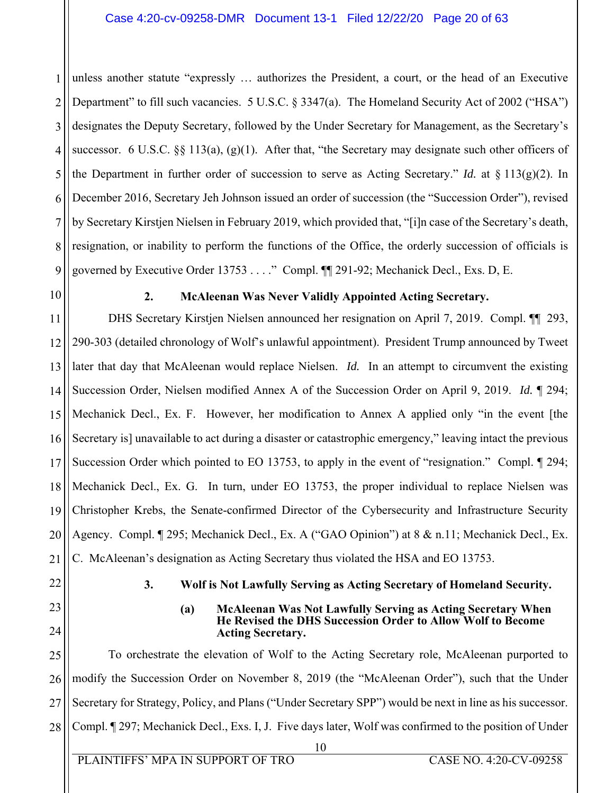#### Case 4:20-cv-09258-DMR Document 13-1 Filed 12/22/20 Page 20 of 63

1 2 3 4 5 6 7 8 9 unless another statute "expressly … authorizes the President, a court, or the head of an Executive Department" to fill such vacancies. 5 U.S.C. § 3347(a). The Homeland Security Act of 2002 ("HSA") designates the Deputy Secretary, followed by the Under Secretary for Management, as the Secretary's successor. 6 U.S.C.  $\S$  113(a), (g)(1). After that, "the Secretary may designate such other officers of the Department in further order of succession to serve as Acting Secretary." *Id.* at  $\S 113(g)(2)$ . In December 2016, Secretary Jeh Johnson issued an order of succession (the "Succession Order"), revised by Secretary Kirstjen Nielsen in February 2019, which provided that, "[i]n case of the Secretary's death, resignation, or inability to perform the functions of the Office, the orderly succession of officials is governed by Executive Order 13753 . . . ." Compl. ¶¶ 291-92; Mechanick Decl., Exs. D, E.

10

# **2. McAleenan Was Never Validly Appointed Acting Secretary.**

11 12 13 14 15 16 17 18 19 20 21 DHS Secretary Kirstjen Nielsen announced her resignation on April 7, 2019. Compl. ¶¶ 293, 290-303 (detailed chronology of Wolf's unlawful appointment). President Trump announced by Tweet later that day that McAleenan would replace Nielsen. *Id.* In an attempt to circumvent the existing Succession Order, Nielsen modified Annex A of the Succession Order on April 9, 2019. *Id.* ¶ 294; Mechanick Decl., Ex. F. However, her modification to Annex A applied only "in the event [the Secretary is] unavailable to act during a disaster or catastrophic emergency," leaving intact the previous Succession Order which pointed to EO 13753, to apply in the event of "resignation." Compl. ¶ 294; Mechanick Decl., Ex. G. In turn, under EO 13753, the proper individual to replace Nielsen was Christopher Krebs, the Senate-confirmed Director of the Cybersecurity and Infrastructure Security Agency. Compl. ¶ 295; Mechanick Decl., Ex. A ("GAO Opinion") at 8 & n.11; Mechanick Decl., Ex. C. McAleenan's designation as Acting Secretary thus violated the HSA and EO 13753.

- 22
- 23

24

#### **3. Wolf is Not Lawfully Serving as Acting Secretary of Homeland Security.**

#### **(a) McAleenan Was Not Lawfully Serving as Acting Secretary When He Revised the DHS Succession Order to Allow Wolf to Become Acting Secretary.**

25 26 27 28 To orchestrate the elevation of Wolf to the Acting Secretary role, McAleenan purported to modify the Succession Order on November 8, 2019 (the "McAleenan Order"), such that the Under Secretary for Strategy, Policy, and Plans ("Under Secretary SPP") would be next in line as his successor. Compl. ¶ 297; Mechanick Decl., Exs. I, J. Five days later, Wolf was confirmed to the position of Under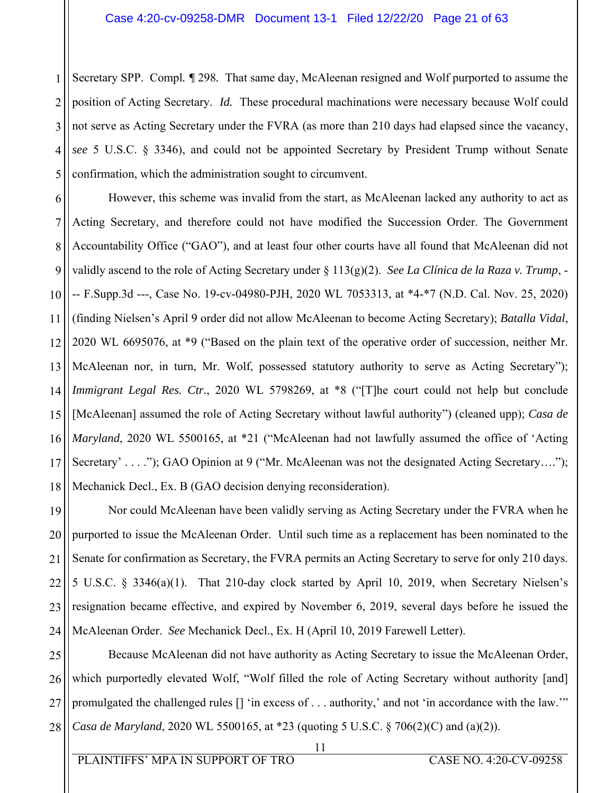1 2 3 4 5 Secretary SPP. Compl*. ¶* 298*.* That same day, McAleenan resigned and Wolf purported to assume the position of Acting Secretary. *Id.* These procedural machinations were necessary because Wolf could not serve as Acting Secretary under the FVRA (as more than 210 days had elapsed since the vacancy, *see* 5 U.S.C. § 3346), and could not be appointed Secretary by President Trump without Senate confirmation, which the administration sought to circumvent.

6 7 8 9 10 11 12 13 14 15 16 17 18 However, this scheme was invalid from the start, as McAleenan lacked any authority to act as Acting Secretary, and therefore could not have modified the Succession Order. The Government Accountability Office ("GAO"), and at least four other courts have all found that McAleenan did not validly ascend to the role of Acting Secretary under § 113(g)(2). *See La Clínica de la Raza v. Trump*, - -- F.Supp.3d ---, Case No. 19-cv-04980-PJH, 2020 WL 7053313, at \*4-\*7 (N.D. Cal. Nov. 25, 2020) (finding Nielsen's April 9 order did not allow McAleenan to become Acting Secretary); *Batalla Vidal*, 2020 WL 6695076, at \*9 ("Based on the plain text of the operative order of succession, neither Mr. McAleenan nor, in turn, Mr. Wolf, possessed statutory authority to serve as Acting Secretary"); *Immigrant Legal Res. Ctr.*, 2020 WL 5798269, at \*8 ("[T]he court could not help but conclude [McAleenan] assumed the role of Acting Secretary without lawful authority") (cleaned upp); *Casa de Maryland*, 2020 WL 5500165, at \*21 ("McAleenan had not lawfully assumed the office of 'Acting Secretary' . . . ."); GAO Opinion at 9 ("Mr. McAleenan was not the designated Acting Secretary...."); Mechanick Decl., Ex. B (GAO decision denying reconsideration).

19 20 21 22 23 24 Nor could McAleenan have been validly serving as Acting Secretary under the FVRA when he purported to issue the McAleenan Order. Until such time as a replacement has been nominated to the Senate for confirmation as Secretary, the FVRA permits an Acting Secretary to serve for only 210 days. 5 U.S.C. § 3346(a)(1). That 210-day clock started by April 10, 2019, when Secretary Nielsen's resignation became effective, and expired by November 6, 2019, several days before he issued the McAleenan Order. *See* Mechanick Decl., Ex. H (April 10, 2019 Farewell Letter).

25 26 27 28 Because McAleenan did not have authority as Acting Secretary to issue the McAleenan Order, which purportedly elevated Wolf, "Wolf filled the role of Acting Secretary without authority [and] promulgated the challenged rules [] 'in excess of . . . authority,' and not 'in accordance with the law.'" *Casa de Maryland*, 2020 WL 5500165, at \*23 (quoting 5 U.S.C. § 706(2)(C) and (a)(2)).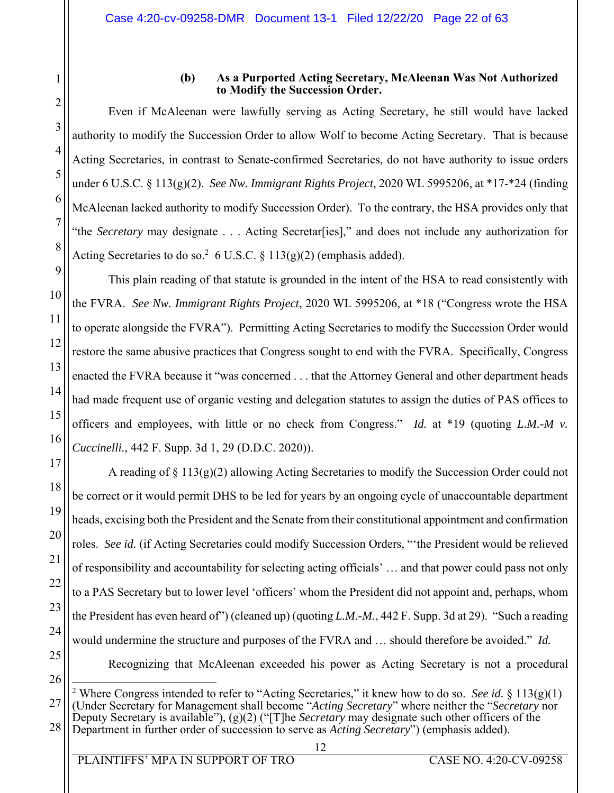1

2

3

4

5

6

7

8

9

10

11

12

13

14

15

16

17

18

19

20

21

22

23

24

25

#### **(b) As a Purported Acting Secretary, McAleenan Was Not Authorized to Modify the Succession Order.**

Even if McAleenan were lawfully serving as Acting Secretary, he still would have lacked authority to modify the Succession Order to allow Wolf to become Acting Secretary. That is because Acting Secretaries, in contrast to Senate-confirmed Secretaries, do not have authority to issue orders under 6 U.S.C. § 113(g)(2). *See Nw. Immigrant Rights Project*, 2020 WL 5995206, at \*17-\*24 (finding McAleenan lacked authority to modify Succession Order). To the contrary, the HSA provides only that "the *Secretary* may designate . . . Acting Secretar[ies]," and does not include any authorization for Acting Secretaries to do so.<sup>2</sup> 6 U.S.C. § 113(g)(2) (emphasis added).

This plain reading of that statute is grounded in the intent of the HSA to read consistently with the FVRA. *See Nw. Immigrant Rights Project*, 2020 WL 5995206, at \*18 ("Congress wrote the HSA to operate alongside the FVRA"). Permitting Acting Secretaries to modify the Succession Order would restore the same abusive practices that Congress sought to end with the FVRA. Specifically, Congress enacted the FVRA because it "was concerned . . . that the Attorney General and other department heads had made frequent use of organic vesting and delegation statutes to assign the duties of PAS offices to officers and employees, with little or no check from Congress." *Id.* at \*19 (quoting *L.M.-M v. Cuccinelli.*, 442 F. Supp. 3d 1, 29 (D.D.C. 2020)).

A reading of  $\S 113(g)(2)$  allowing Acting Secretaries to modify the Succession Order could not be correct or it would permit DHS to be led for years by an ongoing cycle of unaccountable department heads, excising both the President and the Senate from their constitutional appointment and confirmation roles. *See id.* (if Acting Secretaries could modify Succession Orders, "'the President would be relieved of responsibility and accountability for selecting acting officials' … and that power could pass not only to a PAS Secretary but to lower level 'officers' whom the President did not appoint and, perhaps, whom the President has even heard of") (cleaned up) (quoting *L.M.-M.*, 442 F. Supp. 3d at 29). "Such a reading would undermine the structure and purposes of the FVRA and … should therefore be avoided." *Id.* Recognizing that McAleenan exceeded his power as Acting Secretary is not a procedural

26

 $\overline{a}$ 

27 28 <sup>2</sup> Where Congress intended to refer to "Acting Secretaries," it knew how to do so. *See id.* § 113(g)(1) (Under Secretary for Management shall become "*Acting Secretary*" where neither the "*Secretary* nor Deputy Secretary is available"), (g)(2) ("[T]he *Secretary* may designate such other officers of the Department in further order of succession to serve as *Acting Secretary*") (emphasis added).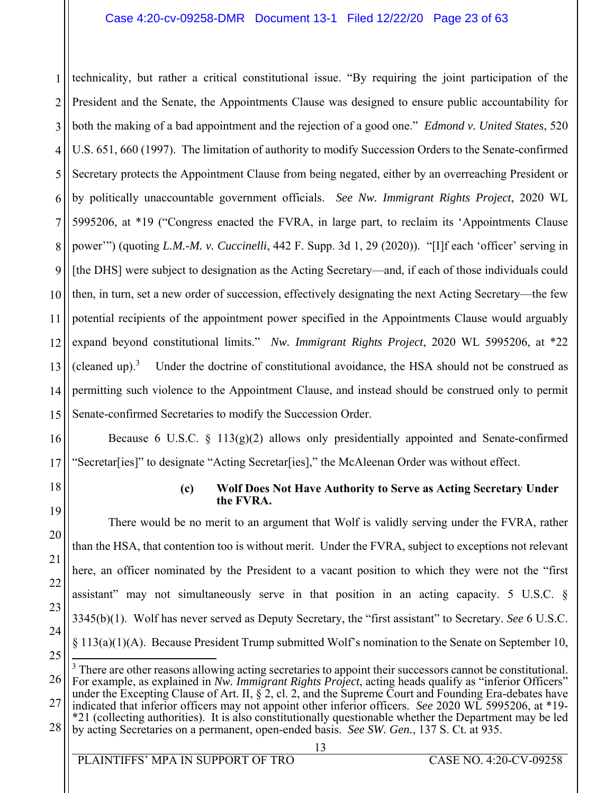### Case 4:20-cv-09258-DMR Document 13-1 Filed 12/22/20 Page 23 of 63

1 2 3 4 5 6 7 8 9 10 11 12 13 14 15 technicality, but rather a critical constitutional issue. "By requiring the joint participation of the President and the Senate, the Appointments Clause was designed to ensure public accountability for both the making of a bad appointment and the rejection of a good one." *Edmond v. United States*, 520 U.S. 651, 660 (1997). The limitation of authority to modify Succession Orders to the Senate-confirmed Secretary protects the Appointment Clause from being negated, either by an overreaching President or by politically unaccountable government officials. *See Nw. Immigrant Rights Project*, 2020 WL 5995206, at \*19 ("Congress enacted the FVRA, in large part, to reclaim its 'Appointments Clause power'") (quoting *L.M.-M. v. Cuccinelli*, 442 F. Supp. 3d 1, 29 (2020)). "[I]f each 'officer' serving in [the DHS] were subject to designation as the Acting Secretary—and, if each of those individuals could then, in turn, set a new order of succession, effectively designating the next Acting Secretary—the few potential recipients of the appointment power specified in the Appointments Clause would arguably expand beyond constitutional limits." *Nw. Immigrant Rights Project*, 2020 WL 5995206, at \*22 (cleaned up). $3$  Under the doctrine of constitutional avoidance, the HSA should not be construed as permitting such violence to the Appointment Clause, and instead should be construed only to permit Senate-confirmed Secretaries to modify the Succession Order.

16 17 Because 6 U.S.C.  $\S$  113(g)(2) allows only presidentially appointed and Senate-confirmed "Secretar[ies]" to designate "Acting Secretar[ies]," the McAleenan Order was without effect.

22

23

24

25

#### **(c) Wolf Does Not Have Authority to Serve as Acting Secretary Under the FVRA.**

There would be no merit to an argument that Wolf is validly serving under the FVRA, rather than the HSA, that contention too is without merit. Under the FVRA, subject to exceptions not relevant here, an officer nominated by the President to a vacant position to which they were not the "first assistant" may not simultaneously serve in that position in an acting capacity. 5 U.S.C. § 3345(b)(1). Wolf has never served as Deputy Secretary, the "first assistant" to Secretary. *See* 6 U.S.C. § 113(a)(1)(A). Because President Trump submitted Wolf's nomination to the Senate on September 10,  $\overline{a}$ 

28 by acting Secretaries on a permanent, open-ended basis. *See SW. Gen.*, 137 S. Ct. at 935.

<sup>26</sup> 27 <sup>3</sup> There are other reasons allowing acting secretaries to appoint their successors cannot be constitutional. For example, as explained in *Nw. Immigrant Rights Project*, acting heads qualify as "inferior Officers" under the Excepting Clause of Art. II,  $\S$  2, cl. 2, and the Supreme Court and Founding Era-debates have indicated that inferior officers may not appoint other inferior officers. *See* 2020 WL 5995206, at \*19- \*21 (collecting authorities). It is also constitutionally questionable whether the Department may be led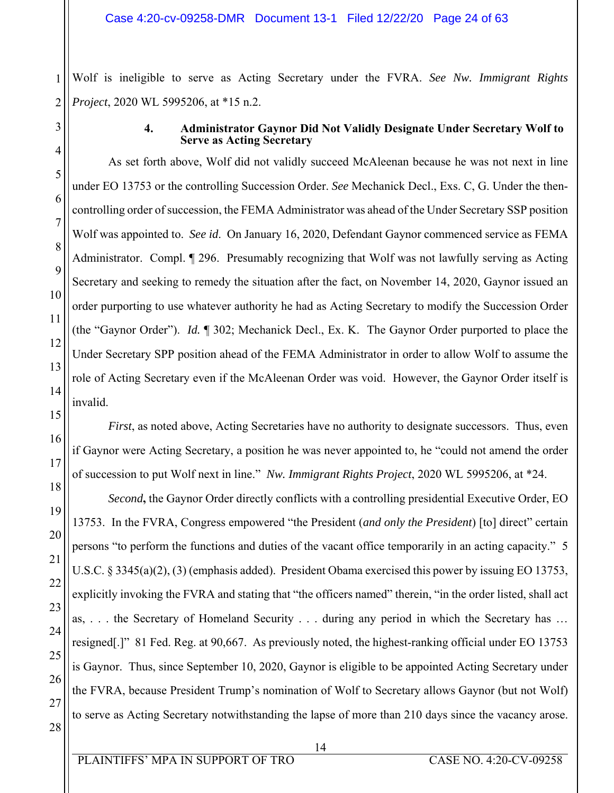Wolf is ineligible to serve as Acting Secretary under the FVRA. *See Nw. Immigrant Rights Project*, 2020 WL 5995206, at \*15 n.2.

#### **4. Administrator Gaynor Did Not Validly Designate Under Secretary Wolf to Serve as Acting Secretary**

As set forth above, Wolf did not validly succeed McAleenan because he was not next in line under EO 13753 or the controlling Succession Order. *See* Mechanick Decl., Exs. C, G. Under the thencontrolling order of succession, the FEMA Administrator was ahead of the Under Secretary SSP position Wolf was appointed to. *See id*. On January 16, 2020, Defendant Gaynor commenced service as FEMA Administrator. Compl. ¶ 296. Presumably recognizing that Wolf was not lawfully serving as Acting Secretary and seeking to remedy the situation after the fact, on November 14, 2020, Gaynor issued an order purporting to use whatever authority he had as Acting Secretary to modify the Succession Order (the "Gaynor Order"). *Id.* ¶ 302; Mechanick Decl., Ex. K. The Gaynor Order purported to place the Under Secretary SPP position ahead of the FEMA Administrator in order to allow Wolf to assume the role of Acting Secretary even if the McAleenan Order was void. However, the Gaynor Order itself is invalid.

*First*, as noted above, Acting Secretaries have no authority to designate successors. Thus, even if Gaynor were Acting Secretary, a position he was never appointed to, he "could not amend the order of succession to put Wolf next in line." *Nw. Immigrant Rights Project*, 2020 WL 5995206, at \*24.

*Second***,** the Gaynor Order directly conflicts with a controlling presidential Executive Order, EO 13753. In the FVRA, Congress empowered "the President (*and only the President*) [to] direct" certain persons "to perform the functions and duties of the vacant office temporarily in an acting capacity." 5 U.S.C. § 3345(a)(2), (3) (emphasis added). President Obama exercised this power by issuing EO 13753, explicitly invoking the FVRA and stating that "the officers named" therein, "in the order listed, shall act as, . . . the Secretary of Homeland Security . . . during any period in which the Secretary has … resigned[.]" 81 Fed. Reg. at 90,667. As previously noted, the highest-ranking official under EO 13753 is Gaynor. Thus, since September 10, 2020, Gaynor is eligible to be appointed Acting Secretary under the FVRA, because President Trump's nomination of Wolf to Secretary allows Gaynor (but not Wolf) to serve as Acting Secretary notwithstanding the lapse of more than 210 days since the vacancy arose.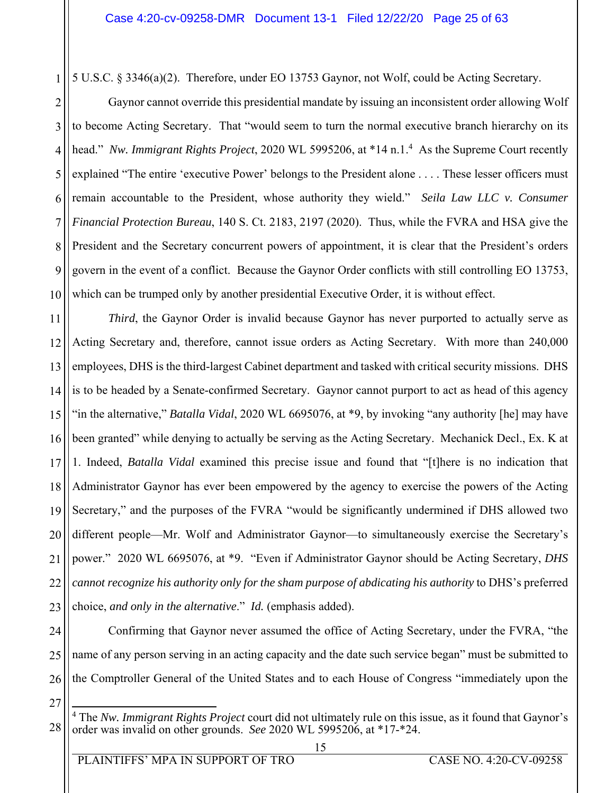5 U.S.C. § 3346(a)(2). Therefore, under EO 13753 Gaynor, not Wolf, could be Acting Secretary.

2 3 4 5 6 7 8 9 10 Gaynor cannot override this presidential mandate by issuing an inconsistent order allowing Wolf to become Acting Secretary. That "would seem to turn the normal executive branch hierarchy on its head." *Nw. Immigrant Rights Project*, 2020 WL 5995206, at \*14 n.1.<sup>4</sup> As the Supreme Court recently explained "The entire 'executive Power' belongs to the President alone . . . . These lesser officers must remain accountable to the President, whose authority they wield." *Seila Law LLC v. Consumer Financial Protection Bureau*, 140 S. Ct. 2183, 2197 (2020). Thus, while the FVRA and HSA give the President and the Secretary concurrent powers of appointment, it is clear that the President's orders govern in the event of a conflict. Because the Gaynor Order conflicts with still controlling EO 13753, which can be trumped only by another presidential Executive Order, it is without effect.

11 12 13 14 15 16 17 18 19 20 21 22 23 *Third*, the Gaynor Order is invalid because Gaynor has never purported to actually serve as Acting Secretary and, therefore, cannot issue orders as Acting Secretary. With more than 240,000 employees, DHS is the third-largest Cabinet department and tasked with critical security missions. DHS is to be headed by a Senate-confirmed Secretary. Gaynor cannot purport to act as head of this agency "in the alternative," *Batalla Vidal*, 2020 WL 6695076, at \*9, by invoking "any authority [he] may have been granted" while denying to actually be serving as the Acting Secretary. Mechanick Decl., Ex. K at 1. Indeed, *Batalla Vidal* examined this precise issue and found that "[t]here is no indication that Administrator Gaynor has ever been empowered by the agency to exercise the powers of the Acting Secretary," and the purposes of the FVRA "would be significantly undermined if DHS allowed two different people—Mr. Wolf and Administrator Gaynor—to simultaneously exercise the Secretary's power." 2020 WL 6695076, at \*9. "Even if Administrator Gaynor should be Acting Secretary, *DHS cannot recognize his authority only for the sham purpose of abdicating his authority* to DHS's preferred choice, *and only in the alternative*." *Id.* (emphasis added).

24 25 26 Confirming that Gaynor never assumed the office of Acting Secretary, under the FVRA, "the name of any person serving in an acting capacity and the date such service began" must be submitted to the Comptroller General of the United States and to each House of Congress "immediately upon the

27

28

 $\overline{a}$ 4 The *Nw. Immigrant Rights Project* court did not ultimately rule on this issue, as it found that Gaynor's order was invalid on other grounds. *See* 2020 WL 5995206, at \*17-\*24.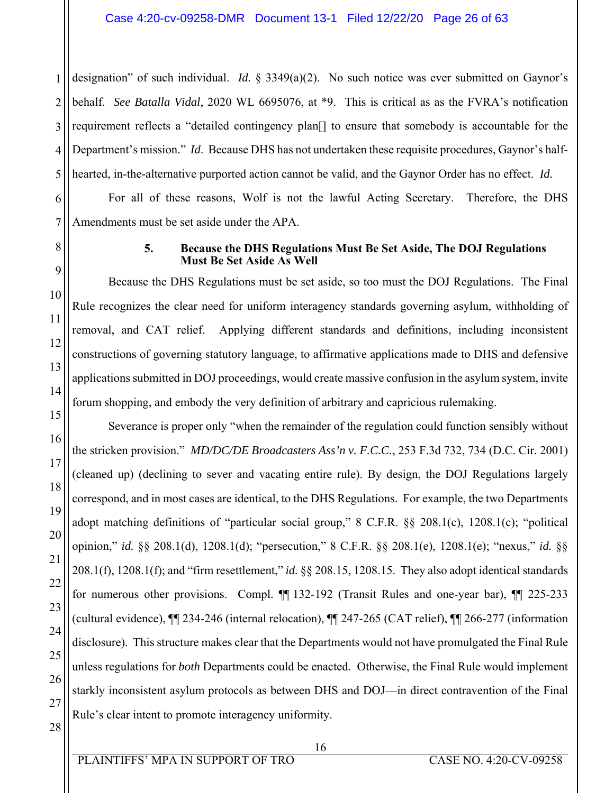1 2 3 4 5 designation" of such individual. *Id.* § 3349(a)(2). No such notice was ever submitted on Gaynor's behalf. *See Batalla Vidal*, 2020 WL 6695076, at \*9. This is critical as as the FVRA's notification requirement reflects a "detailed contingency plan[] to ensure that somebody is accountable for the Department's mission." *Id*. Because DHS has not undertaken these requisite procedures, Gaynor's halfhearted, in-the-alternative purported action cannot be valid, and the Gaynor Order has no effect. *Id.*

6 7 For all of these reasons, Wolf is not the lawful Acting Secretary. Therefore, the DHS Amendments must be set aside under the APA.

8

9

10

11

12

13

14

15

16

17

18

19

20

21

22

23

24

25

26

#### **5. Because the DHS Regulations Must Be Set Aside, The DOJ Regulations Must Be Set Aside As Well**

Because the DHS Regulations must be set aside, so too must the DOJ Regulations. The Final Rule recognizes the clear need for uniform interagency standards governing asylum, withholding of removal, and CAT relief. Applying different standards and definitions, including inconsistent constructions of governing statutory language, to affirmative applications made to DHS and defensive applications submitted in DOJ proceedings, would create massive confusion in the asylum system, invite forum shopping, and embody the very definition of arbitrary and capricious rulemaking.

Severance is proper only "when the remainder of the regulation could function sensibly without the stricken provision." *MD/DC/DE Broadcasters Ass'n v. F.C.C.*, 253 F.3d 732, 734 (D.C. Cir. 2001) (cleaned up) (declining to sever and vacating entire rule). By design, the DOJ Regulations largely correspond, and in most cases are identical, to the DHS Regulations. For example, the two Departments adopt matching definitions of "particular social group," 8 C.F.R. §§ 208.1(c), 1208.1(c); "political opinion," *id.* §§ 208.1(d), 1208.1(d); "persecution," 8 C.F.R. §§ 208.1(e), 1208.1(e); "nexus," *id.* §§ 208.1(f), 1208.1(f); and "firm resettlement," *id.* §§ 208.15, 1208.15. They also adopt identical standards for numerous other provisions. Compl. ¶¶ 132-192 (Transit Rules and one-year bar), ¶¶ 225-233 (cultural evidence), ¶¶ 234-246 (internal relocation), ¶¶ 247-265 (CAT relief), ¶¶ 266-277 (information disclosure). This structure makes clear that the Departments would not have promulgated the Final Rule unless regulations for *both* Departments could be enacted. Otherwise, the Final Rule would implement starkly inconsistent asylum protocols as between DHS and DOJ—in direct contravention of the Final Rule's clear intent to promote interagency uniformity.

28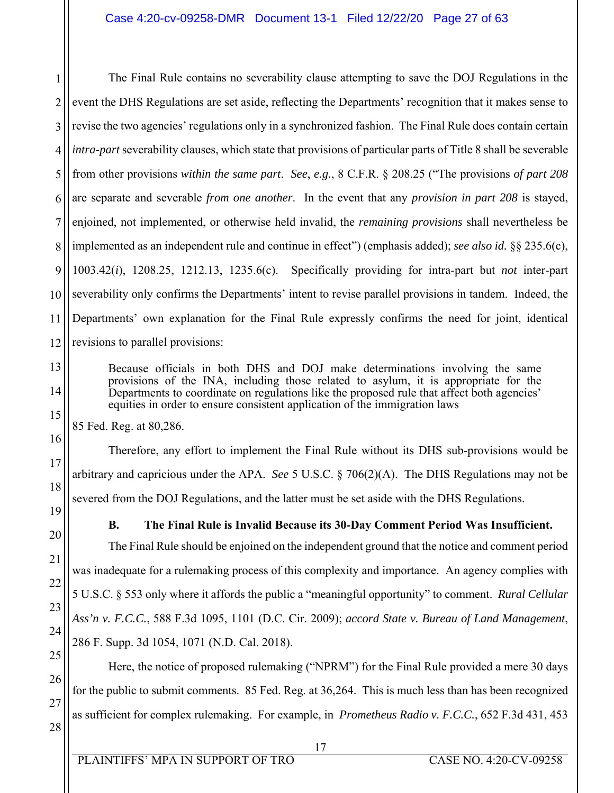1 2 3 4 5 6 7 8 9 10 11 12 The Final Rule contains no severability clause attempting to save the DOJ Regulations in the event the DHS Regulations are set aside, reflecting the Departments' recognition that it makes sense to revise the two agencies' regulations only in a synchronized fashion. The Final Rule does contain certain *intra-part* severability clauses, which state that provisions of particular parts of Title 8 shall be severable from other provisions *within the same part*. *See*, *e.g.*, 8 C.F.R. § 208.25 ("The provisions *of part 208* are separate and severable *from one another*. In the event that any *provision in part 208* is stayed, enjoined, not implemented, or otherwise held invalid, the *remaining provisions* shall nevertheless be implemented as an independent rule and continue in effect") (emphasis added); *see also id.* §§ 235.6(c), 1003.42(*i*), 1208.25, 1212.13, 1235.6(c). Specifically providing for intra-part but *not* inter-part severability only confirms the Departments' intent to revise parallel provisions in tandem. Indeed, the Departments' own explanation for the Final Rule expressly confirms the need for joint, identical revisions to parallel provisions:

Because officials in both DHS and DOJ make determinations involving the same provisions of the INA, including those related to asylum, it is appropriate for the Departments to coordinate on regulations like the proposed rule that affect both agencies' equities in order to ensure consistent application of the immigration laws

85 Fed. Reg. at 80,286.

Therefore, any effort to implement the Final Rule without its DHS sub-provisions would be arbitrary and capricious under the APA. *See* 5 U.S.C. § 706(2)(A). The DHS Regulations may not be severed from the DOJ Regulations, and the latter must be set aside with the DHS Regulations.

13

14

15

16

17

18

19

20

21

22

23

24

27

# **B. The Final Rule is Invalid Because its 30-Day Comment Period Was Insufficient.**

The Final Rule should be enjoined on the independent ground that the notice and comment period was inadequate for a rulemaking process of this complexity and importance. An agency complies with 5 U.S.C. § 553 only where it affords the public a "meaningful opportunity" to comment. *Rural Cellular Ass'n v. F.C.C.*, 588 F.3d 1095, 1101 (D.C. Cir. 2009); *accord State v. Bureau of Land Management*, 286 F. Supp. 3d 1054, 1071 (N.D. Cal. 2018).

25 26 28 Here, the notice of proposed rulemaking ("NPRM") for the Final Rule provided a mere 30 days for the public to submit comments. 85 Fed. Reg. at 36,264. This is much less than has been recognized as sufficient for complex rulemaking. For example, in *Prometheus Radio v. F.C.C.*, 652 F.3d 431, 453

 17 PLAINTIFFS' MPA IN SUPPORT OF TRO CASE NO. 4:20-CV-09258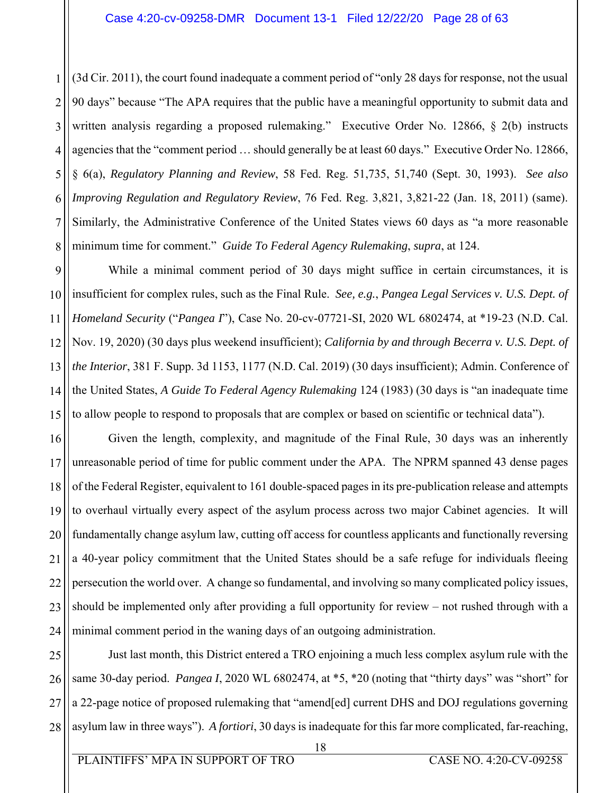1 2 3 4 5 6 7 8 (3d Cir. 2011), the court found inadequate a comment period of "only 28 days for response, not the usual 90 days" because "The APA requires that the public have a meaningful opportunity to submit data and written analysis regarding a proposed rulemaking." Executive Order No. 12866, § 2(b) instructs agencies that the "comment period … should generally be at least 60 days." Executive Order No. 12866, § 6(a), *Regulatory Planning and Review*, 58 Fed. Reg. 51,735, 51,740 (Sept. 30, 1993). *See also Improving Regulation and Regulatory Review*, 76 Fed. Reg. 3,821, 3,821-22 (Jan. 18, 2011) (same). Similarly, the Administrative Conference of the United States views 60 days as "a more reasonable minimum time for comment." *Guide To Federal Agency Rulemaking*, *supra*, at 124.

9 10 11 12 13 14 15 While a minimal comment period of 30 days might suffice in certain circumstances, it is insufficient for complex rules, such as the Final Rule. *See, e.g.*, *Pangea Legal Services v. U.S. Dept. of Homeland Security* ("*Pangea I*"), Case No. 20-cv-07721-SI, 2020 WL 6802474, at \*19-23 (N.D. Cal. Nov. 19, 2020) (30 days plus weekend insufficient); *California by and through Becerra v. U.S. Dept. of the Interior*, 381 F. Supp. 3d 1153, 1177 (N.D. Cal. 2019) (30 days insufficient); Admin. Conference of the United States, *A Guide To Federal Agency Rulemaking* 124 (1983) (30 days is "an inadequate time to allow people to respond to proposals that are complex or based on scientific or technical data").

16 17 18 19 20 21 22 23 24 Given the length, complexity, and magnitude of the Final Rule, 30 days was an inherently unreasonable period of time for public comment under the APA. The NPRM spanned 43 dense pages of the Federal Register, equivalent to 161 double-spaced pages in its pre-publication release and attempts to overhaul virtually every aspect of the asylum process across two major Cabinet agencies. It will fundamentally change asylum law, cutting off access for countless applicants and functionally reversing a 40-year policy commitment that the United States should be a safe refuge for individuals fleeing persecution the world over. A change so fundamental, and involving so many complicated policy issues, should be implemented only after providing a full opportunity for review – not rushed through with a minimal comment period in the waning days of an outgoing administration.

25 26 27 28 Just last month, this District entered a TRO enjoining a much less complex asylum rule with the same 30-day period. *Pangea I*, 2020 WL 6802474, at \*5, \*20 (noting that "thirty days" was "short" for a 22-page notice of proposed rulemaking that "amend[ed] current DHS and DOJ regulations governing asylum law in three ways"). *A fortiori*, 30 days is inadequate for this far more complicated, far-reaching,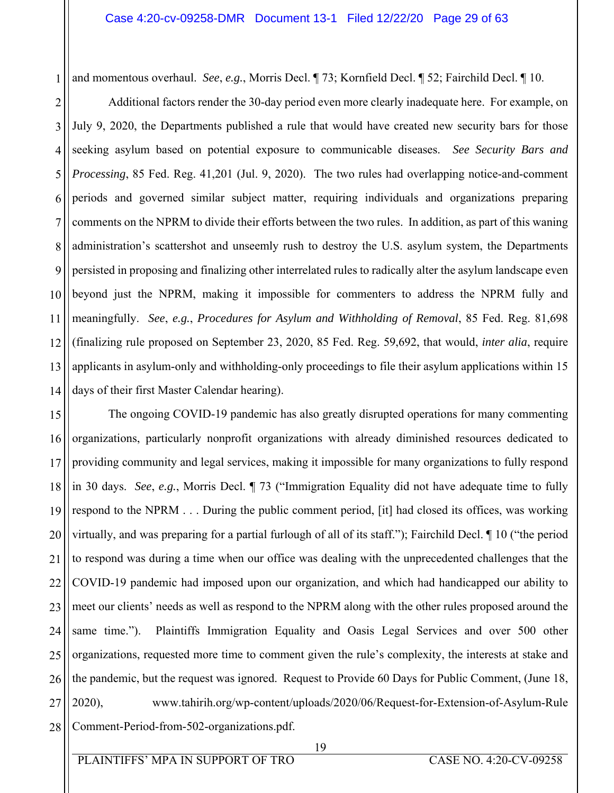1 and momentous overhaul. *See*, *e.g.*, Morris Decl. ¶ 73; Kornfield Decl. ¶ 52; Fairchild Decl. ¶ 10.

2 3 4 5 6 7 8 9 10 11 12 13 14 Additional factors render the 30-day period even more clearly inadequate here. For example, on July 9, 2020, the Departments published a rule that would have created new security bars for those seeking asylum based on potential exposure to communicable diseases. *See Security Bars and Processing*, 85 Fed. Reg. 41,201 (Jul. 9, 2020). The two rules had overlapping notice-and-comment periods and governed similar subject matter, requiring individuals and organizations preparing comments on the NPRM to divide their efforts between the two rules. In addition, as part of this waning administration's scattershot and unseemly rush to destroy the U.S. asylum system, the Departments persisted in proposing and finalizing other interrelated rules to radically alter the asylum landscape even beyond just the NPRM, making it impossible for commenters to address the NPRM fully and meaningfully. *See*, *e.g.*, *Procedures for Asylum and Withholding of Removal*, 85 Fed. Reg. 81,698 (finalizing rule proposed on September 23, 2020, 85 Fed. Reg. 59,692, that would, *inter alia*, require applicants in asylum-only and withholding-only proceedings to file their asylum applications within 15 days of their first Master Calendar hearing).

15 16 17 18 19 20 21 22 23 24 25 26 27 28 The ongoing COVID-19 pandemic has also greatly disrupted operations for many commenting organizations, particularly nonprofit organizations with already diminished resources dedicated to providing community and legal services, making it impossible for many organizations to fully respond in 30 days. *See*, *e.g.*, Morris Decl. ¶ 73 ("Immigration Equality did not have adequate time to fully respond to the NPRM . . . During the public comment period, [it] had closed its offices, was working virtually, and was preparing for a partial furlough of all of its staff."); Fairchild Decl. ¶ 10 ("the period to respond was during a time when our office was dealing with the unprecedented challenges that the COVID-19 pandemic had imposed upon our organization, and which had handicapped our ability to meet our clients' needs as well as respond to the NPRM along with the other rules proposed around the same time."). Plaintiffs Immigration Equality and Oasis Legal Services and over 500 other organizations, requested more time to comment given the rule's complexity, the interests at stake and the pandemic, but the request was ignored. Request to Provide 60 Days for Public Comment, (June 18, 2020), www.tahirih.org/wp-content/uploads/2020/06/Request-for-Extension-of-Asylum-Rule Comment-Period-from-502-organizations.pdf.

 19 PLAINTIFFS' MPA IN SUPPORT OF TRO CASE NO. 4:20-CV-09258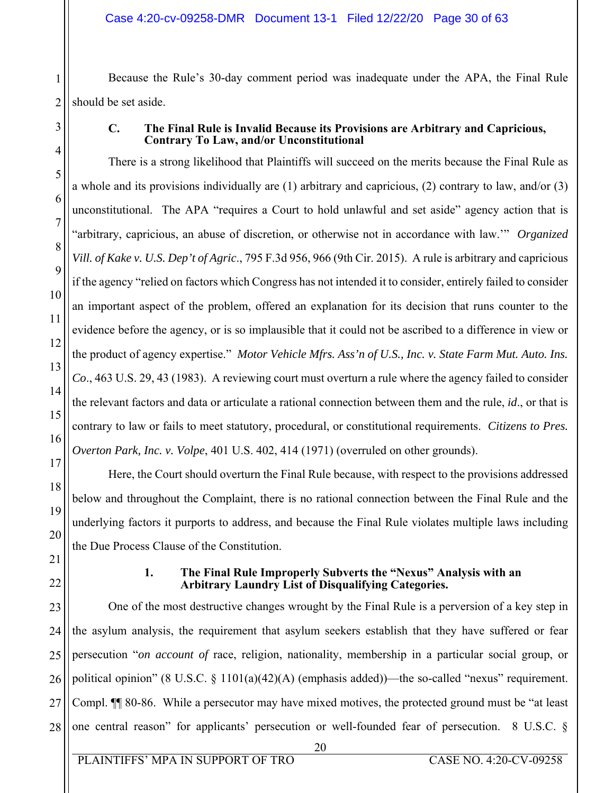Because the Rule's 30-day comment period was inadequate under the APA, the Final Rule should be set aside.

1

# **C. The Final Rule is Invalid Because its Provisions are Arbitrary and Capricious, Contrary To Law, and/or Unconstitutional**

There is a strong likelihood that Plaintiffs will succeed on the merits because the Final Rule as a whole and its provisions individually are (1) arbitrary and capricious, (2) contrary to law, and/or (3) unconstitutional. The APA "requires a Court to hold unlawful and set aside" agency action that is "arbitrary, capricious, an abuse of discretion, or otherwise not in accordance with law.'" *Organized Vill. of Kake v. U.S. Dep't of Agric*., 795 F.3d 956, 966 (9th Cir. 2015). A rule is arbitrary and capricious if the agency "relied on factors which Congress has not intended it to consider, entirely failed to consider an important aspect of the problem, offered an explanation for its decision that runs counter to the evidence before the agency, or is so implausible that it could not be ascribed to a difference in view or the product of agency expertise." *Motor Vehicle Mfrs. Ass'n of U.S., Inc. v. State Farm Mut. Auto. Ins. Co*., 463 U.S. 29, 43 (1983). A reviewing court must overturn a rule where the agency failed to consider the relevant factors and data or articulate a rational connection between them and the rule, *id*., or that is contrary to law or fails to meet statutory, procedural, or constitutional requirements. *Citizens to Pres. Overton Park, Inc. v. Volpe*, 401 U.S. 402, 414 (1971) (overruled on other grounds).

Here, the Court should overturn the Final Rule because, with respect to the provisions addressed below and throughout the Complaint, there is no rational connection between the Final Rule and the underlying factors it purports to address, and because the Final Rule violates multiple laws including the Due Process Clause of the Constitution.

# **1. The Final Rule Improperly Subverts the "Nexus" Analysis with an Arbitrary Laundry List of Disqualifying Categories.**

One of the most destructive changes wrought by the Final Rule is a perversion of a key step in the asylum analysis, the requirement that asylum seekers establish that they have suffered or fear persecution "*on account of* race, religion, nationality, membership in a particular social group, or political opinion" (8 U.S.C.  $\S$  1101(a)(42)(A) (emphasis added))—the so-called "nexus" requirement. Compl. ¶¶ 80-86. While a persecutor may have mixed motives, the protected ground must be "at least one central reason" for applicants' persecution or well-founded fear of persecution. 8 U.S.C. §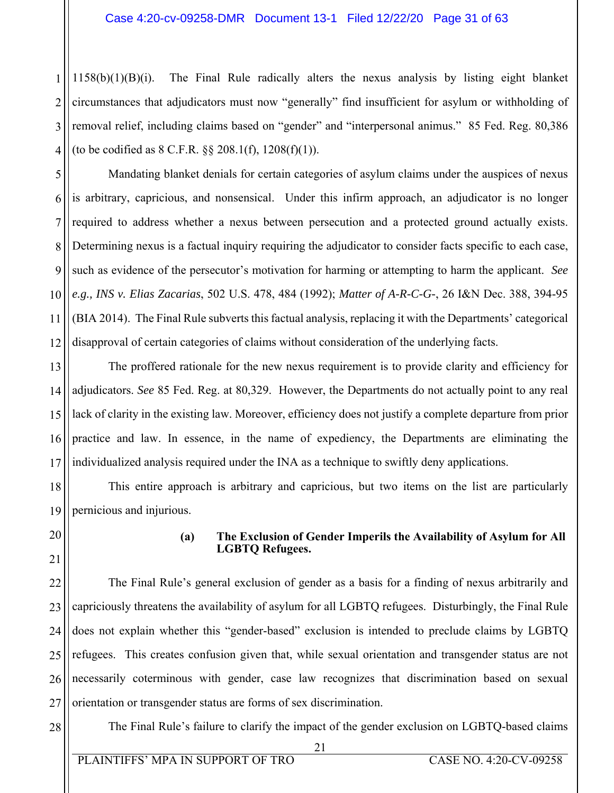3 4  $1158(b)(1)(B)(i)$ . The Final Rule radically alters the nexus analysis by listing eight blanket circumstances that adjudicators must now "generally" find insufficient for asylum or withholding of removal relief, including claims based on "gender" and "interpersonal animus." 85 Fed. Reg. 80,386 (to be codified as  $8 \text{ C.F.R. }$   $\S$   $\S$   $208.1(f)$ ,  $1208(f)(1)$ ).

5 6 7 8 9 10 12 Mandating blanket denials for certain categories of asylum claims under the auspices of nexus is arbitrary, capricious, and nonsensical. Under this infirm approach, an adjudicator is no longer required to address whether a nexus between persecution and a protected ground actually exists. Determining nexus is a factual inquiry requiring the adjudicator to consider facts specific to each case, such as evidence of the persecutor's motivation for harming or attempting to harm the applicant. *See e.g., INS v. Elias Zacarias*, 502 U.S. 478, 484 (1992); *Matter of A-R-C-G-*, 26 I&N Dec. 388, 394-95 (BIA 2014). The Final Rule subverts this factual analysis, replacing it with the Departments' categorical disapproval of certain categories of claims without consideration of the underlying facts.

13 14 15 16 17 The proffered rationale for the new nexus requirement is to provide clarity and efficiency for adjudicators. *See* 85 Fed. Reg. at 80,329. However, the Departments do not actually point to any real lack of clarity in the existing law. Moreover, efficiency does not justify a complete departure from prior practice and law. In essence, in the name of expediency, the Departments are eliminating the individualized analysis required under the INA as a technique to swiftly deny applications.

18 19 This entire approach is arbitrary and capricious, but two items on the list are particularly pernicious and injurious.

20 21

11

1

2

# **(a) The Exclusion of Gender Imperils the Availability of Asylum for All LGBTQ Refugees.**

22 23 24 25 26 27 The Final Rule's general exclusion of gender as a basis for a finding of nexus arbitrarily and capriciously threatens the availability of asylum for all LGBTQ refugees. Disturbingly, the Final Rule does not explain whether this "gender-based" exclusion is intended to preclude claims by LGBTQ refugees. This creates confusion given that, while sexual orientation and transgender status are not necessarily coterminous with gender, case law recognizes that discrimination based on sexual orientation or transgender status are forms of sex discrimination.

28

The Final Rule's failure to clarify the impact of the gender exclusion on LGBTQ-based claims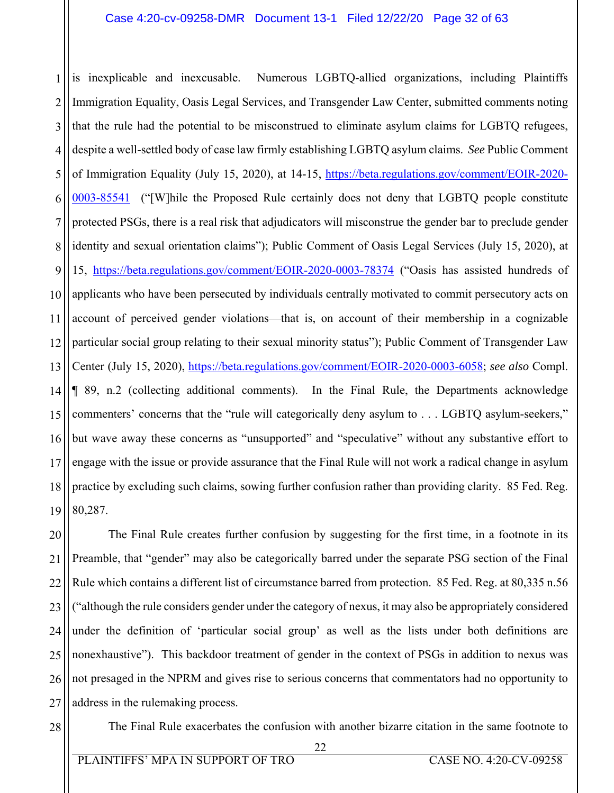1 2 3 4 5 6 7 8 9 10 11 12 13 14 15 16 17 18 19 is inexplicable and inexcusable. Numerous LGBTQ-allied organizations, including Plaintiffs Immigration Equality, Oasis Legal Services, and Transgender Law Center, submitted comments noting that the rule had the potential to be misconstrued to eliminate asylum claims for LGBTQ refugees, despite a well-settled body of case law firmly establishing LGBTQ asylum claims. *See* Public Comment of Immigration Equality (July 15, 2020), at 14-15, https://beta.regulations.gov/comment/EOIR-2020-0003-85541 ("[W]hile the Proposed Rule certainly does not deny that LGBTQ people constitute protected PSGs, there is a real risk that adjudicators will misconstrue the gender bar to preclude gender identity and sexual orientation claims"); Public Comment of Oasis Legal Services (July 15, 2020), at 15, https://beta.regulations.gov/comment/EOIR-2020-0003-78374 ("Oasis has assisted hundreds of applicants who have been persecuted by individuals centrally motivated to commit persecutory acts on account of perceived gender violations—that is, on account of their membership in a cognizable particular social group relating to their sexual minority status"); Public Comment of Transgender Law Center (July 15, 2020), https://beta.regulations.gov/comment/EOIR-2020-0003-6058; *see also* Compl. ¶ 89, n.2 (collecting additional comments). In the Final Rule, the Departments acknowledge commenters' concerns that the "rule will categorically deny asylum to . . . LGBTQ asylum-seekers," but wave away these concerns as "unsupported" and "speculative" without any substantive effort to engage with the issue or provide assurance that the Final Rule will not work a radical change in asylum practice by excluding such claims, sowing further confusion rather than providing clarity. 85 Fed. Reg. 80,287.

20 21 22 23 24 25 26 27 The Final Rule creates further confusion by suggesting for the first time, in a footnote in its Preamble, that "gender" may also be categorically barred under the separate PSG section of the Final Rule which contains a different list of circumstance barred from protection. 85 Fed. Reg. at 80,335 n.56 ("although the rule considers gender under the category of nexus, it may also be appropriately considered under the definition of 'particular social group' as well as the lists under both definitions are nonexhaustive"). This backdoor treatment of gender in the context of PSGs in addition to nexus was not presaged in the NPRM and gives rise to serious concerns that commentators had no opportunity to address in the rulemaking process.

28

The Final Rule exacerbates the confusion with another bizarre citation in the same footnote to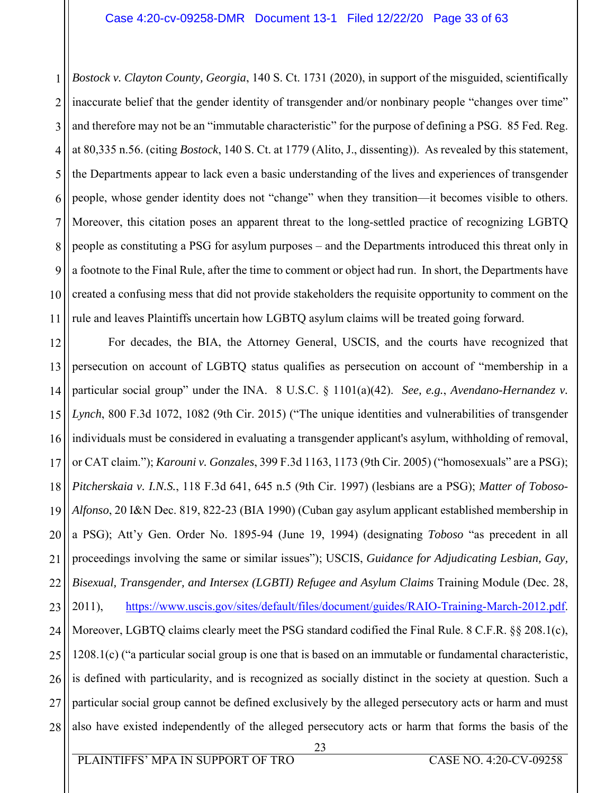1 2 3 4 5 6 7 8 9 10 11 *Bostock v. Clayton County, Georgia*, 140 S. Ct. 1731 (2020), in support of the misguided, scientifically inaccurate belief that the gender identity of transgender and/or nonbinary people "changes over time" and therefore may not be an "immutable characteristic" for the purpose of defining a PSG. 85 Fed. Reg. at 80,335 n.56. (citing *Bostock*, 140 S. Ct. at 1779 (Alito, J., dissenting)). As revealed by this statement, the Departments appear to lack even a basic understanding of the lives and experiences of transgender people, whose gender identity does not "change" when they transition—it becomes visible to others. Moreover, this citation poses an apparent threat to the long-settled practice of recognizing LGBTQ people as constituting a PSG for asylum purposes – and the Departments introduced this threat only in a footnote to the Final Rule, after the time to comment or object had run. In short, the Departments have created a confusing mess that did not provide stakeholders the requisite opportunity to comment on the rule and leaves Plaintiffs uncertain how LGBTQ asylum claims will be treated going forward.

12 13 14 15 16 17 18 19 20 21 22 23 24 25 26 27 28 For decades, the BIA, the Attorney General, USCIS, and the courts have recognized that persecution on account of LGBTQ status qualifies as persecution on account of "membership in a particular social group" under the INA. 8 U.S.C. § 1101(a)(42). *See, e.g.*, *Avendano-Hernandez v. Lynch*, 800 F.3d 1072, 1082 (9th Cir. 2015) ("The unique identities and vulnerabilities of transgender individuals must be considered in evaluating a transgender applicant's asylum, withholding of removal, or CAT claim."); *Karouni v. Gonzales*, 399 F.3d 1163, 1173 (9th Cir. 2005) ("homosexuals" are a PSG); *Pitcherskaia v. I.N.S.*, 118 F.3d 641, 645 n.5 (9th Cir. 1997) (lesbians are a PSG); *Matter of Toboso-Alfonso*, 20 I&N Dec. 819, 822-23 (BIA 1990) (Cuban gay asylum applicant established membership in a PSG); Att'y Gen. Order No. 1895-94 (June 19, 1994) (designating *Toboso* "as precedent in all proceedings involving the same or similar issues"); USCIS, *Guidance for Adjudicating Lesbian, Gay, Bisexual, Transgender, and Intersex (LGBTI) Refugee and Asylum Claims* Training Module (Dec. 28, 2011), https://www.uscis.gov/sites/default/files/document/guides/RAIO-Training-March-2012.pdf. Moreover, LGBTQ claims clearly meet the PSG standard codified the Final Rule. 8 C.F.R. §§ 208.1(c), 1208.1(c) ("a particular social group is one that is based on an immutable or fundamental characteristic, is defined with particularity, and is recognized as socially distinct in the society at question. Such a particular social group cannot be defined exclusively by the alleged persecutory acts or harm and must also have existed independently of the alleged persecutory acts or harm that forms the basis of the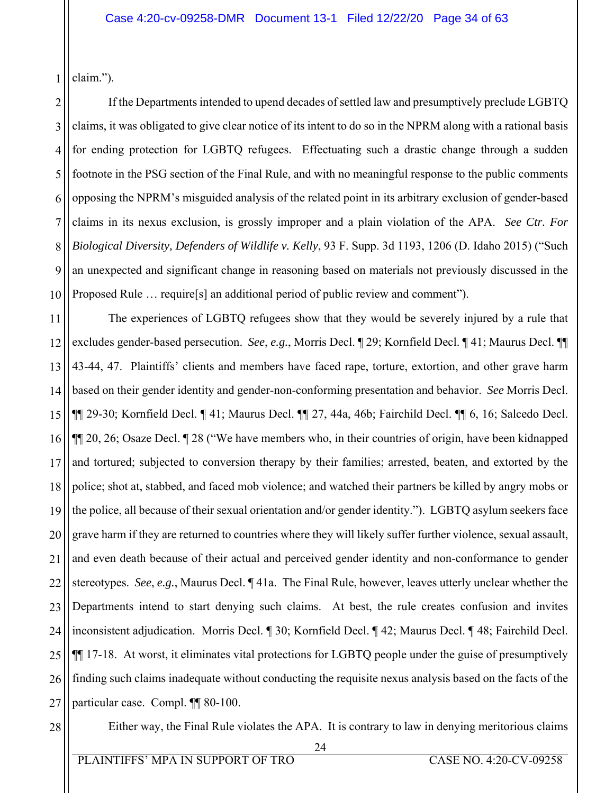1 claim.").

2 3 4 5 6 7 8 9 10 If the Departments intended to upend decades of settled law and presumptively preclude LGBTQ claims, it was obligated to give clear notice of its intent to do so in the NPRM along with a rational basis for ending protection for LGBTQ refugees. Effectuating such a drastic change through a sudden footnote in the PSG section of the Final Rule, and with no meaningful response to the public comments opposing the NPRM's misguided analysis of the related point in its arbitrary exclusion of gender-based claims in its nexus exclusion, is grossly improper and a plain violation of the APA. *See Ctr. For Biological Diversity, Defenders of Wildlife v. Kelly*, 93 F. Supp. 3d 1193, 1206 (D. Idaho 2015) ("Such an unexpected and significant change in reasoning based on materials not previously discussed in the Proposed Rule … require[s] an additional period of public review and comment").

11 12 13 14 15 16 17 18 19 20 21 22 23 24 25 26 27 The experiences of LGBTQ refugees show that they would be severely injured by a rule that excludes gender-based persecution. *See*, *e.g.*, Morris Decl. ¶ 29; Kornfield Decl. ¶ 41; Maurus Decl. ¶¶ 43-44, 47. Plaintiffs' clients and members have faced rape, torture, extortion, and other grave harm based on their gender identity and gender-non-conforming presentation and behavior. *See* Morris Decl. ¶¶ 29-30; Kornfield Decl. ¶ 41; Maurus Decl. ¶¶ 27, 44a, 46b; Fairchild Decl. ¶¶ 6, 16; Salcedo Decl. ¶¶ 20, 26; Osaze Decl. ¶ 28 ("We have members who, in their countries of origin, have been kidnapped and tortured; subjected to conversion therapy by their families; arrested, beaten, and extorted by the police; shot at, stabbed, and faced mob violence; and watched their partners be killed by angry mobs or the police, all because of their sexual orientation and/or gender identity."). LGBTQ asylum seekers face grave harm if they are returned to countries where they will likely suffer further violence, sexual assault, and even death because of their actual and perceived gender identity and non-conformance to gender stereotypes. *See*, *e.g.*, Maurus Decl. ¶ 41a. The Final Rule, however, leaves utterly unclear whether the Departments intend to start denying such claims. At best, the rule creates confusion and invites inconsistent adjudication. Morris Decl. ¶ 30; Kornfield Decl. ¶ 42; Maurus Decl. ¶ 48; Fairchild Decl. ¶¶ 17-18. At worst, it eliminates vital protections for LGBTQ people under the guise of presumptively finding such claims inadequate without conducting the requisite nexus analysis based on the facts of the particular case. Compl. ¶¶ 80-100.

Either way, the Final Rule violates the APA. It is contrary to law in denying meritorious claims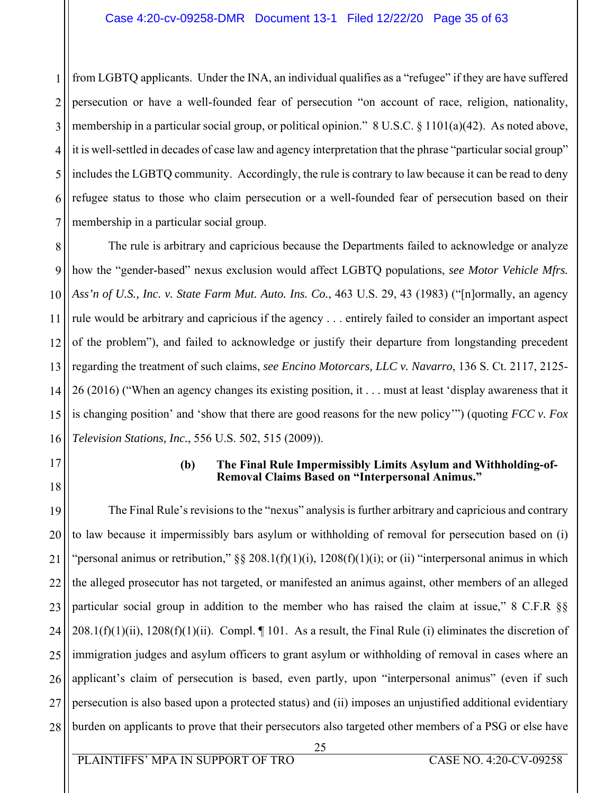1 2 3 4 5 6 7 from LGBTQ applicants. Under the INA, an individual qualifies as a "refugee" if they are have suffered persecution or have a well-founded fear of persecution "on account of race, religion, nationality, membership in a particular social group, or political opinion." 8 U.S.C. § 1101(a)(42). As noted above, it is well-settled in decades of case law and agency interpretation that the phrase "particular social group" includes the LGBTQ community. Accordingly, the rule is contrary to law because it can be read to deny refugee status to those who claim persecution or a well-founded fear of persecution based on their membership in a particular social group.

8 9 10 11 12 13 14 15 16 The rule is arbitrary and capricious because the Departments failed to acknowledge or analyze how the "gender-based" nexus exclusion would affect LGBTQ populations, *see Motor Vehicle Mfrs. Ass'n of U.S., Inc. v. State Farm Mut. Auto. Ins. Co.*, 463 U.S. 29, 43 (1983) ("[n]ormally, an agency rule would be arbitrary and capricious if the agency . . . entirely failed to consider an important aspect of the problem"), and failed to acknowledge or justify their departure from longstanding precedent regarding the treatment of such claims, *see Encino Motorcars, LLC v. Navarro*, 136 S. Ct. 2117, 2125- 26 (2016) ("When an agency changes its existing position, it . . . must at least 'display awareness that it is changing position' and 'show that there are good reasons for the new policy'") (quoting *FCC v. Fox Television Stations, Inc.*, 556 U.S. 502, 515 (2009)).

- 17
- 18

#### **(b) The Final Rule Impermissibly Limits Asylum and Withholding-of-Removal Claims Based on "Interpersonal Animus."**

19 20 21 22 23 24 25 26 27 28 The Final Rule's revisions to the "nexus" analysis is further arbitrary and capricious and contrary to law because it impermissibly bars asylum or withholding of removal for persecution based on (i) "personal animus or retribution,"  $\S$  208.1(f)(1)(i), 1208(f)(1)(i); or (ii) "interpersonal animus in which the alleged prosecutor has not targeted, or manifested an animus against, other members of an alleged particular social group in addition to the member who has raised the claim at issue," 8 C.F.R §§  $208.1(f)(1)(ii)$ ,  $1208(f)(1)(ii)$ . Compl. || 101. As a result, the Final Rule (i) eliminates the discretion of immigration judges and asylum officers to grant asylum or withholding of removal in cases where an applicant's claim of persecution is based, even partly, upon "interpersonal animus" (even if such persecution is also based upon a protected status) and (ii) imposes an unjustified additional evidentiary burden on applicants to prove that their persecutors also targeted other members of a PSG or else have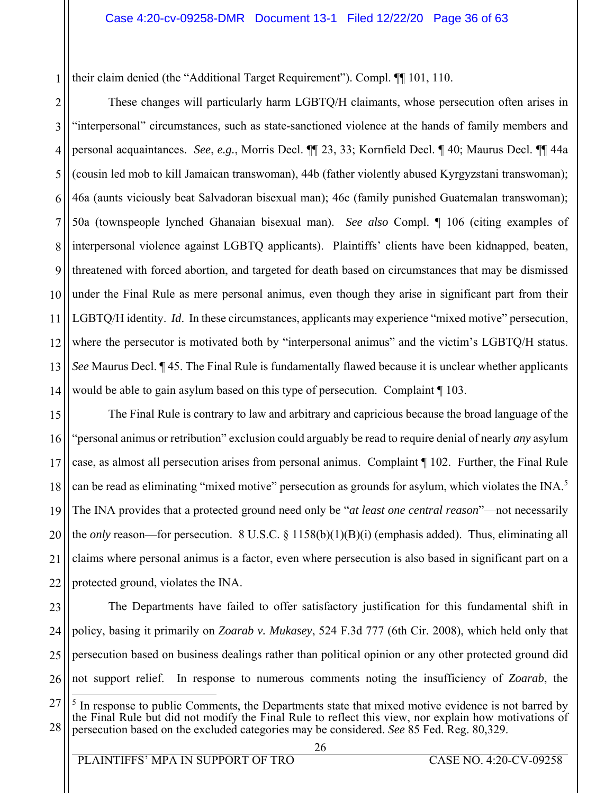their claim denied (the "Additional Target Requirement"). Compl. ¶¶ 101, 110.

1

2 3 4 5 6 7 8 9 10 11 12 13 14 These changes will particularly harm LGBTQ/H claimants, whose persecution often arises in "interpersonal" circumstances, such as state-sanctioned violence at the hands of family members and personal acquaintances. *See*, *e.g.*, Morris Decl. ¶¶ 23, 33; Kornfield Decl. ¶ 40; Maurus Decl. ¶¶ 44a (cousin led mob to kill Jamaican transwoman), 44b (father violently abused Kyrgyzstani transwoman); 46a (aunts viciously beat Salvadoran bisexual man); 46c (family punished Guatemalan transwoman); 50a (townspeople lynched Ghanaian bisexual man). *See also* Compl. ¶ 106 (citing examples of interpersonal violence against LGBTQ applicants). Plaintiffs' clients have been kidnapped, beaten, threatened with forced abortion, and targeted for death based on circumstances that may be dismissed under the Final Rule as mere personal animus, even though they arise in significant part from their LGBTQ/H identity. *Id*. In these circumstances, applicants may experience "mixed motive" persecution, where the persecutor is motivated both by "interpersonal animus" and the victim's LGBTQ/H status. *See* Maurus Decl. ¶ 45. The Final Rule is fundamentally flawed because it is unclear whether applicants would be able to gain asylum based on this type of persecution. Complaint ¶ 103.

15 16 17 18 19 20 21 22 The Final Rule is contrary to law and arbitrary and capricious because the broad language of the "personal animus or retribution" exclusion could arguably be read to require denial of nearly *any* asylum case, as almost all persecution arises from personal animus. Complaint ¶ 102. Further, the Final Rule can be read as eliminating "mixed motive" persecution as grounds for asylum, which violates the INA.<sup>5</sup> The INA provides that a protected ground need only be "*at least one central reason*"—not necessarily the *only* reason—for persecution. 8 U.S.C. § 1158(b)(1)(B)(i) (emphasis added). Thus, eliminating all claims where personal animus is a factor, even where persecution is also based in significant part on a protected ground, violates the INA.

23 24 25 26 The Departments have failed to offer satisfactory justification for this fundamental shift in policy, basing it primarily on *Zoarab v. Mukasey*, 524 F.3d 777 (6th Cir. 2008), which held only that persecution based on business dealings rather than political opinion or any other protected ground did not support relief. In response to numerous comments noting the insufficiency of *Zoarab*, the

<sup>27</sup> 28  $\overline{a}$ <sup>5</sup> In response to public Comments, the Departments state that mixed motive evidence is not barred by the Final Rule but did not modify the Final Rule to reflect this view, nor explain how motivations of persecution based on the excluded categories may be considered. *See* 85 Fed. Reg. 80,329.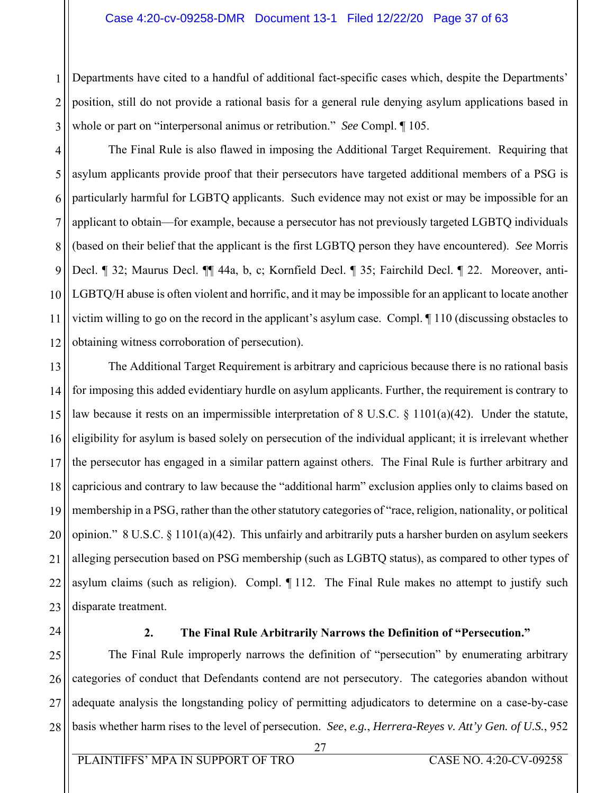#### Case 4:20-cv-09258-DMR Document 13-1 Filed 12/22/20 Page 37 of 63

2 3 Departments have cited to a handful of additional fact-specific cases which, despite the Departments' position, still do not provide a rational basis for a general rule denying asylum applications based in whole or part on "interpersonal animus or retribution." *See* Compl. ¶ 105.

4 5 6 7 8 9 10 11 12 The Final Rule is also flawed in imposing the Additional Target Requirement. Requiring that asylum applicants provide proof that their persecutors have targeted additional members of a PSG is particularly harmful for LGBTQ applicants. Such evidence may not exist or may be impossible for an applicant to obtain—for example, because a persecutor has not previously targeted LGBTQ individuals (based on their belief that the applicant is the first LGBTQ person they have encountered). *See* Morris Decl. ¶ 32; Maurus Decl. ¶¶ 44a, b, c; Kornfield Decl. ¶ 35; Fairchild Decl. ¶ 22. Moreover, anti-LGBTQ/H abuse is often violent and horrific, and it may be impossible for an applicant to locate another victim willing to go on the record in the applicant's asylum case. Compl. ¶ 110 (discussing obstacles to obtaining witness corroboration of persecution).

13 14 15 16 17 18 19 20 21 22 23 The Additional Target Requirement is arbitrary and capricious because there is no rational basis for imposing this added evidentiary hurdle on asylum applicants. Further, the requirement is contrary to law because it rests on an impermissible interpretation of 8 U.S.C. § 1101(a)(42). Under the statute, eligibility for asylum is based solely on persecution of the individual applicant; it is irrelevant whether the persecutor has engaged in a similar pattern against others. The Final Rule is further arbitrary and capricious and contrary to law because the "additional harm" exclusion applies only to claims based on membership in a PSG, rather than the other statutory categories of "race, religion, nationality, or political opinion." 8 U.S.C. § 1101(a)(42). This unfairly and arbitrarily puts a harsher burden on asylum seekers alleging persecution based on PSG membership (such as LGBTQ status), as compared to other types of asylum claims (such as religion). Compl. ¶ 112. The Final Rule makes no attempt to justify such disparate treatment.

24

1

#### **2. The Final Rule Arbitrarily Narrows the Definition of "Persecution."**

25 26 27 28 The Final Rule improperly narrows the definition of "persecution" by enumerating arbitrary categories of conduct that Defendants contend are not persecutory. The categories abandon without adequate analysis the longstanding policy of permitting adjudicators to determine on a case-by-case basis whether harm rises to the level of persecution. *See*, *e.g.*, *Herrera-Reyes v. Att'y Gen. of U.S.*, 952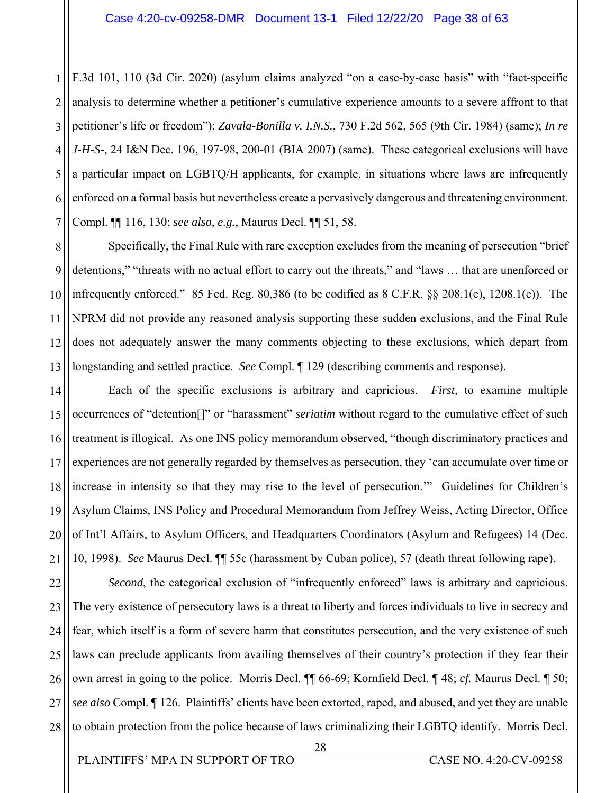1 2 3 4 5 6 7 F.3d 101, 110 (3d Cir. 2020) (asylum claims analyzed "on a case-by-case basis" with "fact-specific analysis to determine whether a petitioner's cumulative experience amounts to a severe affront to that petitioner's life or freedom"); *Zavala-Bonilla v. I.N.S.*, 730 F.2d 562, 565 (9th Cir. 1984) (same); *In re J-H-S-*, 24 I&N Dec. 196, 197-98, 200-01 (BIA 2007) (same). These categorical exclusions will have a particular impact on LGBTQ/H applicants, for example, in situations where laws are infrequently enforced on a formal basis but nevertheless create a pervasively dangerous and threatening environment. Compl. ¶¶ 116, 130; *see also*, *e.g.*, Maurus Decl. ¶¶ 51, 58.

8 9 10 11 12 13 Specifically, the Final Rule with rare exception excludes from the meaning of persecution "brief detentions," "threats with no actual effort to carry out the threats," and "laws … that are unenforced or infrequently enforced." 85 Fed. Reg. 80,386 (to be codified as 8 C.F.R. §§ 208.1(e), 1208.1(e)). The NPRM did not provide any reasoned analysis supporting these sudden exclusions, and the Final Rule does not adequately answer the many comments objecting to these exclusions, which depart from longstanding and settled practice. *See* Compl. ¶ 129 (describing comments and response).

14 15 16 17 18 19 20 21 Each of the specific exclusions is arbitrary and capricious. *First,* to examine multiple occurrences of "detention[]" or "harassment" *seriatim* without regard to the cumulative effect of such treatment is illogical. As one INS policy memorandum observed, "though discriminatory practices and experiences are not generally regarded by themselves as persecution, they 'can accumulate over time or increase in intensity so that they may rise to the level of persecution.'" Guidelines for Children's Asylum Claims, INS Policy and Procedural Memorandum from Jeffrey Weiss, Acting Director, Office of Int'l Affairs, to Asylum Officers, and Headquarters Coordinators (Asylum and Refugees) 14 (Dec. 10, 1998). *See* Maurus Decl. ¶¶ 55c (harassment by Cuban police), 57 (death threat following rape).

22 23 24 25 26 27 28 *Second*, the categorical exclusion of "infrequently enforced" laws is arbitrary and capricious. The very existence of persecutory laws is a threat to liberty and forces individuals to live in secrecy and fear, which itself is a form of severe harm that constitutes persecution, and the very existence of such laws can preclude applicants from availing themselves of their country's protection if they fear their own arrest in going to the police. Morris Decl. ¶¶ 66-69; Kornfield Decl. ¶ 48; *cf.* Maurus Decl. ¶ 50; *see also* Compl. ¶ 126. Plaintiffs' clients have been extorted, raped, and abused, and yet they are unable to obtain protection from the police because of laws criminalizing their LGBTQ identify. Morris Decl.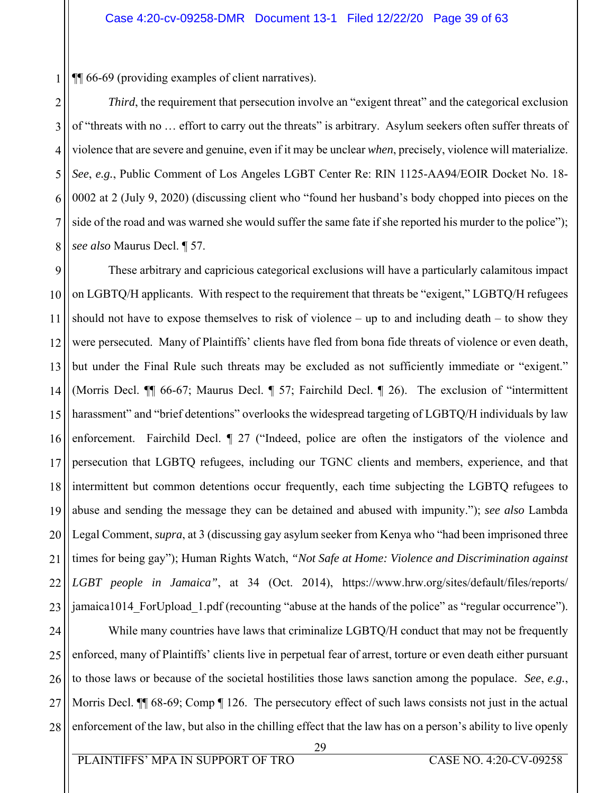1 ¶¶ 66-69 (providing examples of client narratives).

2 3 4 5 6 7 8 *Third*, the requirement that persecution involve an "exigent threat" and the categorical exclusion of "threats with no … effort to carry out the threats" is arbitrary. Asylum seekers often suffer threats of violence that are severe and genuine, even if it may be unclear *when*, precisely, violence will materialize. *See*, *e.g.*, Public Comment of Los Angeles LGBT Center Re: RIN 1125-AA94/EOIR Docket No. 18- 0002 at 2 (July 9, 2020) (discussing client who "found her husband's body chopped into pieces on the side of the road and was warned she would suffer the same fate if she reported his murder to the police"); *see also* Maurus Decl. ¶ 57.

9 10 11 12 13 14 15 16 17 18 19 20 21 22 23 These arbitrary and capricious categorical exclusions will have a particularly calamitous impact on LGBTQ/H applicants. With respect to the requirement that threats be "exigent," LGBTQ/H refugees should not have to expose themselves to risk of violence – up to and including death – to show they were persecuted. Many of Plaintiffs' clients have fled from bona fide threats of violence or even death, but under the Final Rule such threats may be excluded as not sufficiently immediate or "exigent." (Morris Decl. ¶¶ 66-67; Maurus Decl. ¶ 57; Fairchild Decl. ¶ 26). The exclusion of "intermittent harassment" and "brief detentions" overlooks the widespread targeting of LGBTQ/H individuals by law enforcement. Fairchild Decl. ¶ 27 ("Indeed, police are often the instigators of the violence and persecution that LGBTQ refugees, including our TGNC clients and members, experience, and that intermittent but common detentions occur frequently, each time subjecting the LGBTQ refugees to abuse and sending the message they can be detained and abused with impunity."); *see also* Lambda Legal Comment, *supra*, at 3 (discussing gay asylum seeker from Kenya who "had been imprisoned three times for being gay"); Human Rights Watch, *"Not Safe at Home: Violence and Discrimination against LGBT people in Jamaica"*, at 34 (Oct. 2014), https://www.hrw.org/sites/default/files/reports/ jamaica1014 ForUpload 1.pdf (recounting "abuse at the hands of the police" as "regular occurrence").

24 25 26 27 28 While many countries have laws that criminalize LGBTQ/H conduct that may not be frequently enforced, many of Plaintiffs' clients live in perpetual fear of arrest, torture or even death either pursuant to those laws or because of the societal hostilities those laws sanction among the populace. *See*, *e.g.*, Morris Decl.  $\P$  68-69; Comp  $\P$  126. The persecutory effect of such laws consists not just in the actual enforcement of the law, but also in the chilling effect that the law has on a person's ability to live openly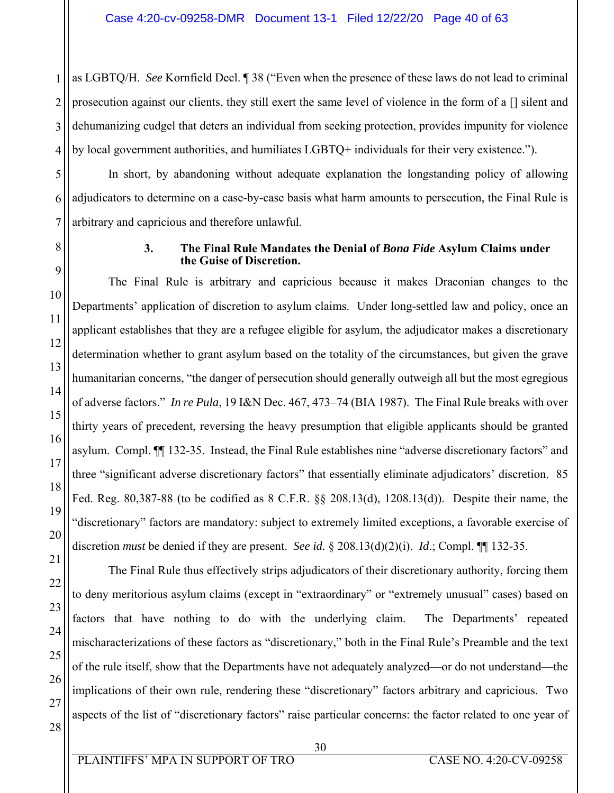1 2 3 4 as LGBTQ/H. *See* Kornfield Decl. ¶ 38 ("Even when the presence of these laws do not lead to criminal prosecution against our clients, they still exert the same level of violence in the form of a [] silent and dehumanizing cudgel that deters an individual from seeking protection, provides impunity for violence by local government authorities, and humiliates LGBTQ+ individuals for their very existence.").

In short, by abandoning without adequate explanation the longstanding policy of allowing adjudicators to determine on a case-by-case basis what harm amounts to persecution, the Final Rule is arbitrary and capricious and therefore unlawful.

#### **3. The Final Rule Mandates the Denial of** *Bona Fide* **Asylum Claims under the Guise of Discretion.**

The Final Rule is arbitrary and capricious because it makes Draconian changes to the Departments' application of discretion to asylum claims. Under long-settled law and policy, once an applicant establishes that they are a refugee eligible for asylum, the adjudicator makes a discretionary determination whether to grant asylum based on the totality of the circumstances, but given the grave humanitarian concerns, "the danger of persecution should generally outweigh all but the most egregious of adverse factors." *In re Pula*, 19 I&N Dec. 467, 473–74 (BIA 1987). The Final Rule breaks with over thirty years of precedent, reversing the heavy presumption that eligible applicants should be granted asylum. Compl. ¶¶ 132-35. Instead, the Final Rule establishes nine "adverse discretionary factors" and three "significant adverse discretionary factors" that essentially eliminate adjudicators' discretion. 85 Fed. Reg. 80,387-88 (to be codified as 8 C.F.R. §§ 208.13(d), 1208.13(d)). Despite their name, the "discretionary" factors are mandatory: subject to extremely limited exceptions, a favorable exercise of discretion *must* be denied if they are present. *See id.* § 208.13(d)(2)(i). *Id*.; Compl. ¶¶ 132-35.

The Final Rule thus effectively strips adjudicators of their discretionary authority, forcing them to deny meritorious asylum claims (except in "extraordinary" or "extremely unusual" cases) based on factors that have nothing to do with the underlying claim. The Departments' repeated mischaracterizations of these factors as "discretionary," both in the Final Rule's Preamble and the text of the rule itself, show that the Departments have not adequately analyzed—or do not understand—the implications of their own rule, rendering these "discretionary" factors arbitrary and capricious. Two aspects of the list of "discretionary factors" raise particular concerns: the factor related to one year of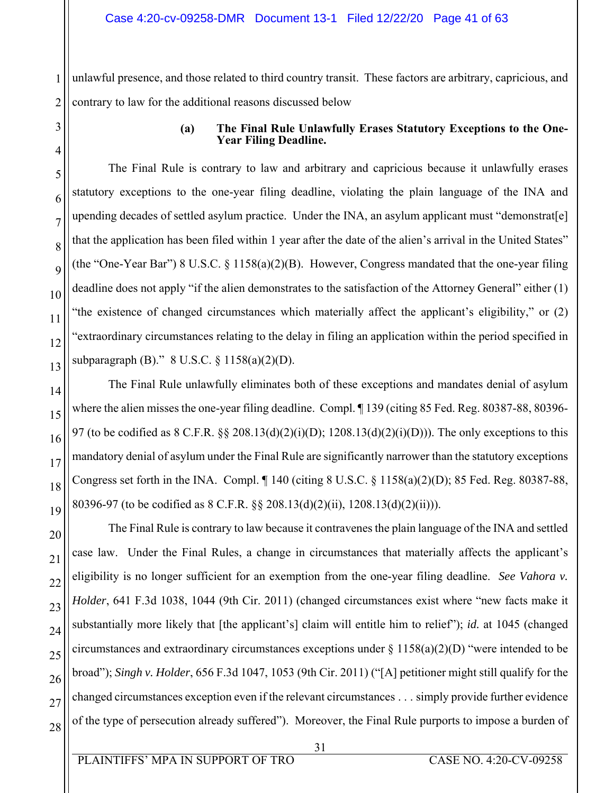unlawful presence, and those related to third country transit. These factors are arbitrary, capricious, and contrary to law for the additional reasons discussed below

### **(a) The Final Rule Unlawfully Erases Statutory Exceptions to the One-Year Filing Deadline.**

The Final Rule is contrary to law and arbitrary and capricious because it unlawfully erases statutory exceptions to the one-year filing deadline, violating the plain language of the INA and upending decades of settled asylum practice. Under the INA, an asylum applicant must "demonstrat[e] that the application has been filed within 1 year after the date of the alien's arrival in the United States" (the "One-Year Bar") 8 U.S.C.  $\S 1158(a)(2)(B)$ . However, Congress mandated that the one-year filing deadline does not apply "if the alien demonstrates to the satisfaction of the Attorney General" either (1) "the existence of changed circumstances which materially affect the applicant's eligibility," or (2) "extraordinary circumstances relating to the delay in filing an application within the period specified in subparagraph (B)." 8 U.S.C. § 1158(a)(2)(D).

The Final Rule unlawfully eliminates both of these exceptions and mandates denial of asylum where the alien misses the one-year filing deadline. Compl. ¶ 139 (citing 85 Fed. Reg. 80387-88, 80396- 97 (to be codified as  $8 \text{ C.F.R. }$  §§ 208.13(d)(2)(i)(D); 1208.13(d)(2)(i)(D))). The only exceptions to this mandatory denial of asylum under the Final Rule are significantly narrower than the statutory exceptions Congress set forth in the INA. Compl. ¶ 140 (citing 8 U.S.C. § 1158(a)(2)(D); 85 Fed. Reg. 80387-88, 80396-97 (to be codified as 8 C.F.R. §§ 208.13(d)(2)(ii), 1208.13(d)(2)(ii))).

The Final Rule is contrary to law because it contravenes the plain language of the INA and settled case law. Under the Final Rules, a change in circumstances that materially affects the applicant's eligibility is no longer sufficient for an exemption from the one-year filing deadline. *See Vahora v. Holder*, 641 F.3d 1038, 1044 (9th Cir. 2011) (changed circumstances exist where "new facts make it substantially more likely that [the applicant's] claim will entitle him to relief"); *id.* at 1045 (changed circumstances and extraordinary circumstances exceptions under  $\S 1158(a)(2)(D)$  "were intended to be broad"); *Singh v. Holder*, 656 F.3d 1047, 1053 (9th Cir. 2011) ("[A] petitioner might still qualify for the changed circumstances exception even if the relevant circumstances . . . simply provide further evidence of the type of persecution already suffered"). Moreover, the Final Rule purports to impose a burden of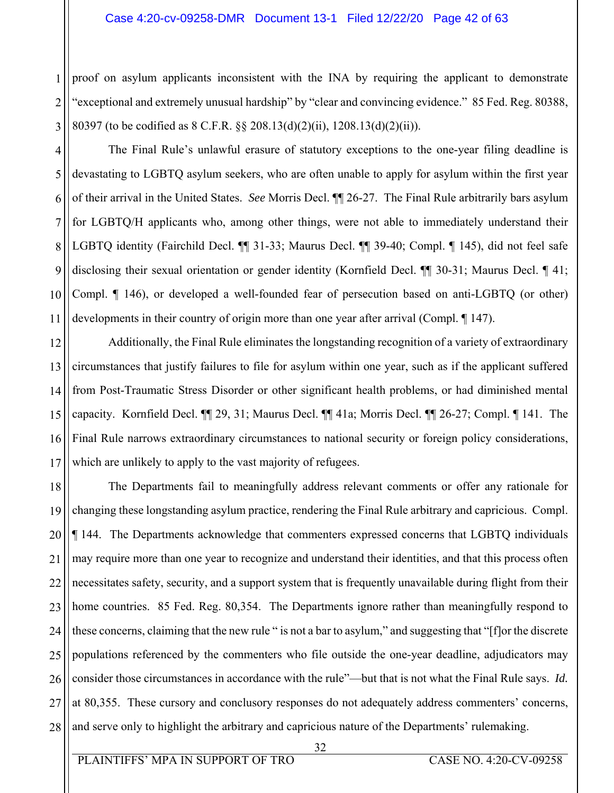#### Case 4:20-cv-09258-DMR Document 13-1 Filed 12/22/20 Page 42 of 63

proof on asylum applicants inconsistent with the INA by requiring the applicant to demonstrate "exceptional and extremely unusual hardship" by "clear and convincing evidence." 85 Fed. Reg. 80388, 80397 (to be codified as 8 C.F.R. §§ 208.13(d)(2)(ii), 1208.13(d)(2)(ii)).

4 5 6 7 8 9 10 11 The Final Rule's unlawful erasure of statutory exceptions to the one-year filing deadline is devastating to LGBTQ asylum seekers, who are often unable to apply for asylum within the first year of their arrival in the United States. *See* Morris Decl. ¶¶ 26-27. The Final Rule arbitrarily bars asylum for LGBTQ/H applicants who, among other things, were not able to immediately understand their LGBTQ identity (Fairchild Decl. ¶¶ 31-33; Maurus Decl. ¶¶ 39-40; Compl. ¶ 145), did not feel safe disclosing their sexual orientation or gender identity (Kornfield Decl. ¶¶ 30-31; Maurus Decl. ¶ 41; Compl. ¶ 146), or developed a well-founded fear of persecution based on anti-LGBTQ (or other) developments in their country of origin more than one year after arrival (Compl. ¶ 147).

12 13 14 15 16 17 Additionally, the Final Rule eliminates the longstanding recognition of a variety of extraordinary circumstances that justify failures to file for asylum within one year, such as if the applicant suffered from Post-Traumatic Stress Disorder or other significant health problems, or had diminished mental capacity. Kornfield Decl. ¶¶ 29, 31; Maurus Decl. ¶¶ 41a; Morris Decl. ¶¶ 26-27; Compl. ¶ 141. The Final Rule narrows extraordinary circumstances to national security or foreign policy considerations, which are unlikely to apply to the vast majority of refugees.

18 19 20 21 22 23 24 25 26 27 28 The Departments fail to meaningfully address relevant comments or offer any rationale for changing these longstanding asylum practice, rendering the Final Rule arbitrary and capricious. Compl. ¶ 144. The Departments acknowledge that commenters expressed concerns that LGBTQ individuals may require more than one year to recognize and understand their identities, and that this process often necessitates safety, security, and a support system that is frequently unavailable during flight from their home countries. 85 Fed. Reg. 80,354. The Departments ignore rather than meaningfully respond to these concerns, claiming that the new rule " is not a bar to asylum," and suggesting that "[f]or the discrete populations referenced by the commenters who file outside the one-year deadline, adjudicators may consider those circumstances in accordance with the rule"—but that is not what the Final Rule says. *Id.* at 80,355. These cursory and conclusory responses do not adequately address commenters' concerns, and serve only to highlight the arbitrary and capricious nature of the Departments' rulemaking.

1

2

3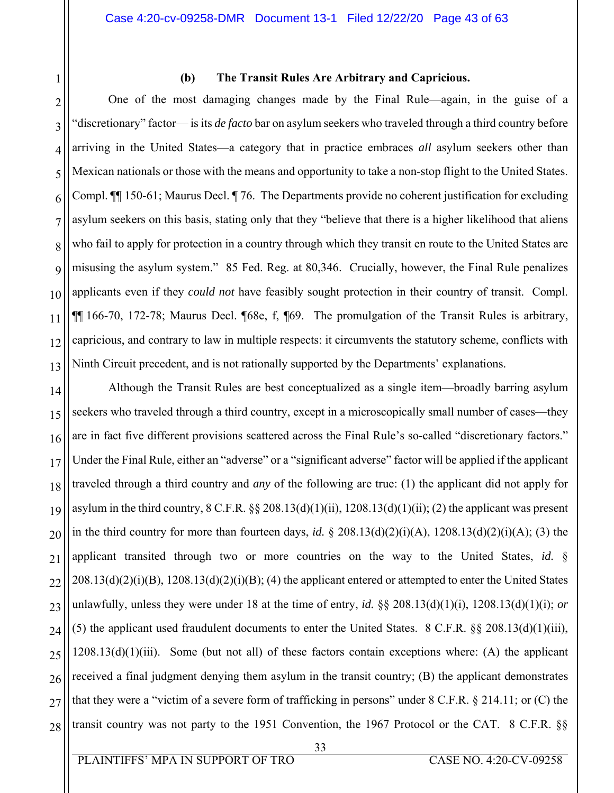# 1 2 3 4 5

11

13

#### **(b) The Transit Rules Are Arbitrary and Capricious.**

6 7 8 9 10 12 One of the most damaging changes made by the Final Rule—again, in the guise of a "discretionary" factor— is its *de facto* bar on asylum seekers who traveled through a third country before arriving in the United States—a category that in practice embraces *all* asylum seekers other than Mexican nationals or those with the means and opportunity to take a non-stop flight to the United States. Compl. ¶¶ 150-61; Maurus Decl. ¶ 76. The Departments provide no coherent justification for excluding asylum seekers on this basis, stating only that they "believe that there is a higher likelihood that aliens who fail to apply for protection in a country through which they transit en route to the United States are misusing the asylum system." 85 Fed. Reg. at 80,346. Crucially, however, the Final Rule penalizes applicants even if they *could not* have feasibly sought protection in their country of transit. Compl. ¶¶ 166-70, 172-78; Maurus Decl. ¶68e, f, ¶69. The promulgation of the Transit Rules is arbitrary, capricious, and contrary to law in multiple respects: it circumvents the statutory scheme, conflicts with Ninth Circuit precedent, and is not rationally supported by the Departments' explanations.

14 15 16 17 18 19 20 21 22 23 24 25 26 27 28 Although the Transit Rules are best conceptualized as a single item—broadly barring asylum seekers who traveled through a third country, except in a microscopically small number of cases—they are in fact five different provisions scattered across the Final Rule's so-called "discretionary factors." Under the Final Rule, either an "adverse" or a "significant adverse" factor will be applied if the applicant traveled through a third country and *any* of the following are true: (1) the applicant did not apply for asylum in the third country,  $8 \text{ C.F.R. }$  §§ 208.13(d)(1)(ii), 1208.13(d)(1)(ii); (2) the applicant was present in the third country for more than fourteen days, *id.* § 208.13(d)(2)(i)(A), 1208.13(d)(2)(i)(A); (3) the applicant transited through two or more countries on the way to the United States, *id.* §  $208.13(d)(2)(i)(B)$ ,  $1208.13(d)(2)(i)(B)$ ; (4) the applicant entered or attempted to enter the United States unlawfully, unless they were under 18 at the time of entry, *id.* §§ 208.13(d)(1)(i), 1208.13(d)(1)(i); *or* (5) the applicant used fraudulent documents to enter the United States. 8 C.F.R.  $\S$ § 208.13(d)(1)(iii),  $1208.13(d)(1)(iii)$ . Some (but not all) of these factors contain exceptions where: (A) the applicant received a final judgment denying them asylum in the transit country; (B) the applicant demonstrates that they were a "victim of a severe form of trafficking in persons" under  $8 \text{ C.F.R. } §$  214.11; or (C) the transit country was not party to the 1951 Convention, the 1967 Protocol or the CAT. 8 C.F.R. §§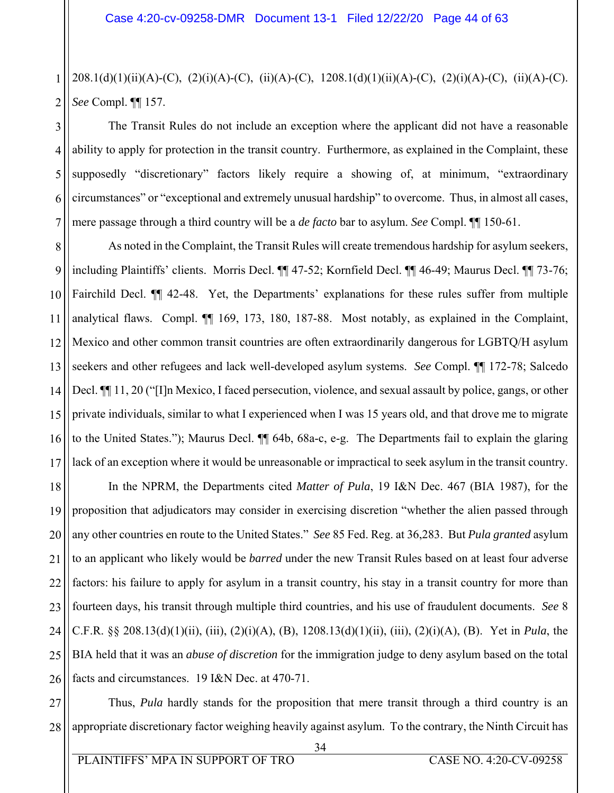1 2 208.1(d)(1)(ii)(A)-(C), (2)(i)(A)-(C), (ii)(A)-(C), 1208.1(d)(1)(ii)(A)-(C), (2)(i)(A)-(C), (ii)(A)-(C). *See* Compl. ¶¶ 157.

3 4 5 6 7 The Transit Rules do not include an exception where the applicant did not have a reasonable ability to apply for protection in the transit country. Furthermore, as explained in the Complaint, these supposedly "discretionary" factors likely require a showing of, at minimum, "extraordinary circumstances" or "exceptional and extremely unusual hardship" to overcome. Thus, in almost all cases, mere passage through a third country will be a *de facto* bar to asylum. *See* Compl. ¶¶ 150-61.

8 9 10 11 12 13 14 15 16 17 As noted in the Complaint, the Transit Rules will create tremendous hardship for asylum seekers, including Plaintiffs' clients. Morris Decl. ¶¶ 47-52; Kornfield Decl. ¶¶ 46-49; Maurus Decl. ¶¶ 73-76; Fairchild Decl. ¶¶ 42-48. Yet, the Departments' explanations for these rules suffer from multiple analytical flaws. Compl. ¶¶ 169, 173, 180, 187-88. Most notably, as explained in the Complaint, Mexico and other common transit countries are often extraordinarily dangerous for LGBTQ/H asylum seekers and other refugees and lack well-developed asylum systems. *See* Compl. ¶¶ 172-78; Salcedo Decl. ¶¶ 11, 20 ("[I]n Mexico, I faced persecution, violence, and sexual assault by police, gangs, or other private individuals, similar to what I experienced when I was 15 years old, and that drove me to migrate to the United States."); Maurus Decl. ¶¶ 64b, 68a-c, e-g. The Departments fail to explain the glaring lack of an exception where it would be unreasonable or impractical to seek asylum in the transit country.

18 19 20 21 22 23 24 25 26 In the NPRM, the Departments cited *Matter of Pula*, 19 I&N Dec. 467 (BIA 1987), for the proposition that adjudicators may consider in exercising discretion "whether the alien passed through any other countries en route to the United States." *See* 85 Fed. Reg. at 36,283. But *Pula granted* asylum to an applicant who likely would be *barred* under the new Transit Rules based on at least four adverse factors: his failure to apply for asylum in a transit country, his stay in a transit country for more than fourteen days, his transit through multiple third countries, and his use of fraudulent documents. *See* 8 C.F.R. §§ 208.13(d)(1)(ii), (iii), (2)(i)(A), (B), 1208.13(d)(1)(ii), (iii), (2)(i)(A), (B). Yet in *Pula*, the BIA held that it was an *abuse of discretion* for the immigration judge to deny asylum based on the total facts and circumstances. 19 I&N Dec. at 470-71.

27 28 Thus, *Pula* hardly stands for the proposition that mere transit through a third country is an appropriate discretionary factor weighing heavily against asylum. To the contrary, the Ninth Circuit has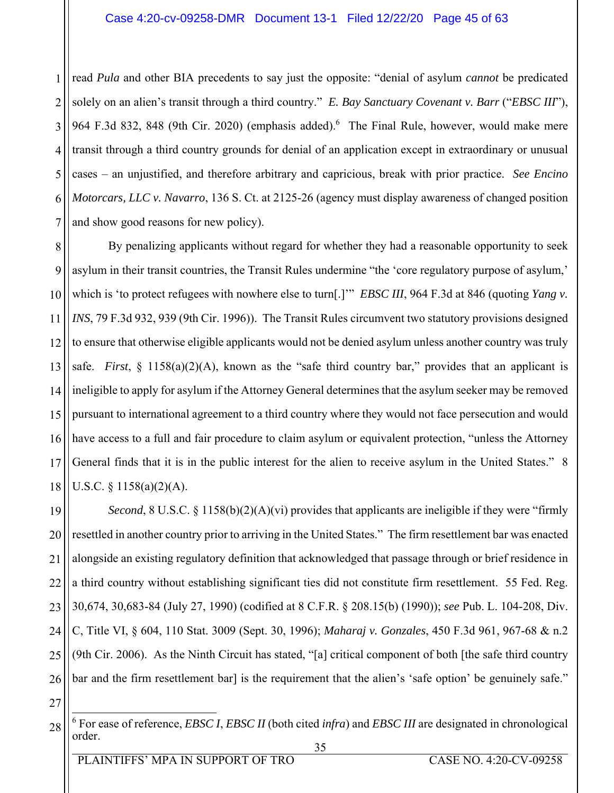1 2 3 4 5 6 7 read *Pula* and other BIA precedents to say just the opposite: "denial of asylum *cannot* be predicated solely on an alien's transit through a third country." *E. Bay Sanctuary Covenant v. Barr* ("*EBSC III*"), 964 F.3d 832, 848 (9th Cir. 2020) (emphasis added). The Final Rule, however, would make mere transit through a third country grounds for denial of an application except in extraordinary or unusual cases – an unjustified, and therefore arbitrary and capricious, break with prior practice. *See Encino Motorcars, LLC v. Navarro*, 136 S. Ct. at 2125-26 (agency must display awareness of changed position and show good reasons for new policy).

8 9 10 11 12 13 14 15 16 17 18 By penalizing applicants without regard for whether they had a reasonable opportunity to seek asylum in their transit countries, the Transit Rules undermine "the 'core regulatory purpose of asylum,' which is 'to protect refugees with nowhere else to turn[.]'" *EBSC III*, 964 F.3d at 846 (quoting *Yang v. INS*, 79 F.3d 932, 939 (9th Cir. 1996)). The Transit Rules circumvent two statutory provisions designed to ensure that otherwise eligible applicants would not be denied asylum unless another country was truly safe. *First*, § 1158(a)(2)(A), known as the "safe third country bar," provides that an applicant is ineligible to apply for asylum if the Attorney General determines that the asylum seeker may be removed pursuant to international agreement to a third country where they would not face persecution and would have access to a full and fair procedure to claim asylum or equivalent protection, "unless the Attorney General finds that it is in the public interest for the alien to receive asylum in the United States." 8 U.S.C. § 1158(a)(2)(A).

19 20 21 22 23 24 25 26 *Second*, 8 U.S.C. § 1158(b)(2)(A)(vi) provides that applicants are ineligible if they were "firmly resettled in another country prior to arriving in the United States." The firm resettlement bar was enacted alongside an existing regulatory definition that acknowledged that passage through or brief residence in a third country without establishing significant ties did not constitute firm resettlement. 55 Fed. Reg. 30,674, 30,683-84 (July 27, 1990) (codified at 8 C.F.R. § 208.15(b) (1990)); *see* Pub. L. 104-208, Div. C, Title VI, § 604, 110 Stat. 3009 (Sept. 30, 1996); *Maharaj v. Gonzales*, 450 F.3d 961, 967-68 & n.2 (9th Cir. 2006). As the Ninth Circuit has stated, "[a] critical component of both [the safe third country bar and the firm resettlement bar] is the requirement that the alien's 'safe option' be genuinely safe."

 <sup>35</sup>  28 6 For ease of reference, *EBSC I*, *EBSC II* (both cited *infra*) and *EBSC III* are designated in chronological order.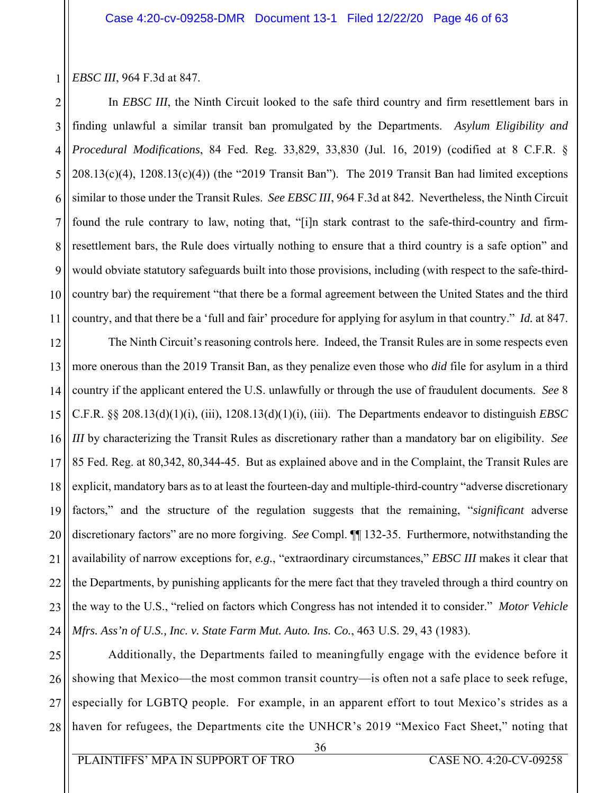1 *EBSC III*, 964 F.3d at 847.

2 3 4 5 6 7 8 9 10 11 In *EBSC III*, the Ninth Circuit looked to the safe third country and firm resettlement bars in finding unlawful a similar transit ban promulgated by the Departments. *Asylum Eligibility and Procedural Modifications*, 84 Fed. Reg. 33,829, 33,830 (Jul. 16, 2019) (codified at 8 C.F.R. §  $208.13(c)(4)$ ,  $1208.13(c)(4)$ ) (the "2019 Transit Ban"). The 2019 Transit Ban had limited exceptions similar to those under the Transit Rules. *See EBSC III*, 964 F.3d at 842. Nevertheless, the Ninth Circuit found the rule contrary to law, noting that, "[i]n stark contrast to the safe-third-country and firmresettlement bars, the Rule does virtually nothing to ensure that a third country is a safe option" and would obviate statutory safeguards built into those provisions, including (with respect to the safe-thirdcountry bar) the requirement "that there be a formal agreement between the United States and the third country, and that there be a 'full and fair' procedure for applying for asylum in that country." *Id.* at 847.

12 13 14 15 16 17 18 19 20 21 22 23 24 The Ninth Circuit's reasoning controls here. Indeed, the Transit Rules are in some respects even more onerous than the 2019 Transit Ban, as they penalize even those who *did* file for asylum in a third country if the applicant entered the U.S. unlawfully or through the use of fraudulent documents. *See* 8 C.F.R. §§ 208.13(d)(1)(i), (iii), 1208.13(d)(1)(i), (iii). The Departments endeavor to distinguish *EBSC III* by characterizing the Transit Rules as discretionary rather than a mandatory bar on eligibility. *See*  85 Fed. Reg. at 80,342, 80,344-45. But as explained above and in the Complaint, the Transit Rules are explicit, mandatory bars as to at least the fourteen-day and multiple-third-country "adverse discretionary factors," and the structure of the regulation suggests that the remaining, "*significant* adverse discretionary factors" are no more forgiving. *See* Compl. ¶¶ 132-35. Furthermore, notwithstanding the availability of narrow exceptions for, *e.g.*, "extraordinary circumstances," *EBSC III* makes it clear that the Departments, by punishing applicants for the mere fact that they traveled through a third country on the way to the U.S., "relied on factors which Congress has not intended it to consider." *Motor Vehicle Mfrs. Ass'n of U.S., Inc. v. State Farm Mut. Auto. Ins. Co.*, 463 U.S. 29, 43 (1983).

25 26 27 28 Additionally, the Departments failed to meaningfully engage with the evidence before it showing that Mexico—the most common transit country—is often not a safe place to seek refuge, especially for LGBTQ people. For example, in an apparent effort to tout Mexico's strides as a haven for refugees, the Departments cite the UNHCR's 2019 "Mexico Fact Sheet," noting that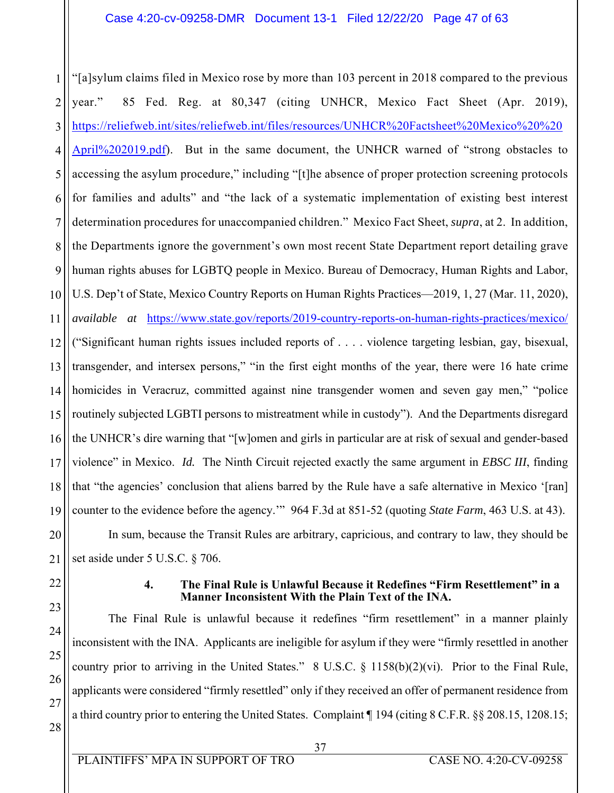#### Case 4:20-cv-09258-DMR Document 13-1 Filed 12/22/20 Page 47 of 63

1 2 3 4 5 6 7 8 9 10 11 12 13 14 15 16 17 18 19 20 21 "[a]sylum claims filed in Mexico rose by more than 103 percent in 2018 compared to the previous year." 85 Fed. Reg. at 80,347 (citing UNHCR, Mexico Fact Sheet (Apr. 2019), https://reliefweb.int/sites/reliefweb.int/files/resources/UNHCR%20Factsheet%20Mexico%20%20 April%202019.pdf). But in the same document, the UNHCR warned of "strong obstacles to accessing the asylum procedure," including "[t]he absence of proper protection screening protocols for families and adults" and "the lack of a systematic implementation of existing best interest determination procedures for unaccompanied children." Mexico Fact Sheet, *supra*, at 2. In addition, the Departments ignore the government's own most recent State Department report detailing grave human rights abuses for LGBTQ people in Mexico. Bureau of Democracy, Human Rights and Labor, U.S. Dep't of State, Mexico Country Reports on Human Rights Practices—2019, 1, 27 (Mar. 11, 2020), *available at* https://www.state.gov/reports/2019-country-reports-on-human-rights-practices/mexico/ ("Significant human rights issues included reports of . . . . violence targeting lesbian, gay, bisexual, transgender, and intersex persons," "in the first eight months of the year, there were 16 hate crime homicides in Veracruz, committed against nine transgender women and seven gay men," "police routinely subjected LGBTI persons to mistreatment while in custody"). And the Departments disregard the UNHCR's dire warning that "[w]omen and girls in particular are at risk of sexual and gender-based violence" in Mexico. *Id.* The Ninth Circuit rejected exactly the same argument in *EBSC III*, finding that "the agencies' conclusion that aliens barred by the Rule have a safe alternative in Mexico '[ran] counter to the evidence before the agency.'" 964 F.3d at 851-52 (quoting *State Farm*, 463 U.S. at 43). In sum, because the Transit Rules are arbitrary, capricious, and contrary to law, they should be set aside under 5 U.S.C. § 706.

22

23

24

25

26

27

28

#### **4. The Final Rule is Unlawful Because it Redefines "Firm Resettlement" in a Manner Inconsistent With the Plain Text of the INA.**

The Final Rule is unlawful because it redefines "firm resettlement" in a manner plainly inconsistent with the INA. Applicants are ineligible for asylum if they were "firmly resettled in another country prior to arriving in the United States." 8 U.S.C.  $\S$  1158(b)(2)(vi). Prior to the Final Rule, applicants were considered "firmly resettled" only if they received an offer of permanent residence from a third country prior to entering the United States. Complaint ¶ 194 (citing 8 C.F.R. §§ 208.15, 1208.15;

 37 PLAINTIFFS' MPA IN SUPPORT OF TRO CASE NO. 4:20-CV-09258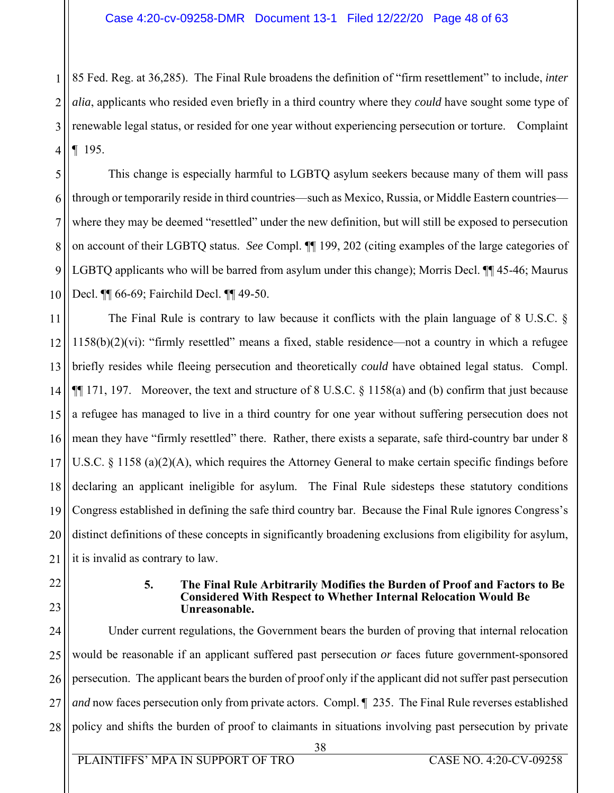1 2 3 4 85 Fed. Reg. at 36,285). The Final Rule broadens the definition of "firm resettlement" to include, *inter alia*, applicants who resided even briefly in a third country where they *could* have sought some type of renewable legal status, or resided for one year without experiencing persecution or torture. Complaint ¶ 195.

5 6 7 8 9 10 This change is especially harmful to LGBTQ asylum seekers because many of them will pass through or temporarily reside in third countries—such as Mexico, Russia, or Middle Eastern countries where they may be deemed "resettled" under the new definition, but will still be exposed to persecution on account of their LGBTQ status. *See* Compl. ¶¶ 199, 202 (citing examples of the large categories of LGBTQ applicants who will be barred from asylum under this change); Morris Decl. ¶¶ 45-46; Maurus Decl. ¶¶ 66-69; Fairchild Decl. ¶¶ 49-50.

11 12 13 14 15 16 17 18 19 20 21 The Final Rule is contrary to law because it conflicts with the plain language of 8 U.S.C. § 1158(b)(2)(vi): "firmly resettled" means a fixed, stable residence—not a country in which a refugee briefly resides while fleeing persecution and theoretically *could* have obtained legal status. Compl.  $\P\P$  171, 197. Moreover, the text and structure of 8 U.S.C. § 1158(a) and (b) confirm that just because a refugee has managed to live in a third country for one year without suffering persecution does not mean they have "firmly resettled" there. Rather, there exists a separate, safe third-country bar under 8 U.S.C. § 1158 (a)(2)(A), which requires the Attorney General to make certain specific findings before declaring an applicant ineligible for asylum. The Final Rule sidesteps these statutory conditions Congress established in defining the safe third country bar. Because the Final Rule ignores Congress's distinct definitions of these concepts in significantly broadening exclusions from eligibility for asylum, it is invalid as contrary to law.

- 22
- 23

#### **5. The Final Rule Arbitrarily Modifies the Burden of Proof and Factors to Be Considered With Respect to Whether Internal Relocation Would Be Unreasonable.**

24 25 26 27 28 Under current regulations, the Government bears the burden of proving that internal relocation would be reasonable if an applicant suffered past persecution *or* faces future government-sponsored persecution. The applicant bears the burden of proof only if the applicant did not suffer past persecution *and* now faces persecution only from private actors. Compl. ¶ 235. The Final Rule reverses established policy and shifts the burden of proof to claimants in situations involving past persecution by private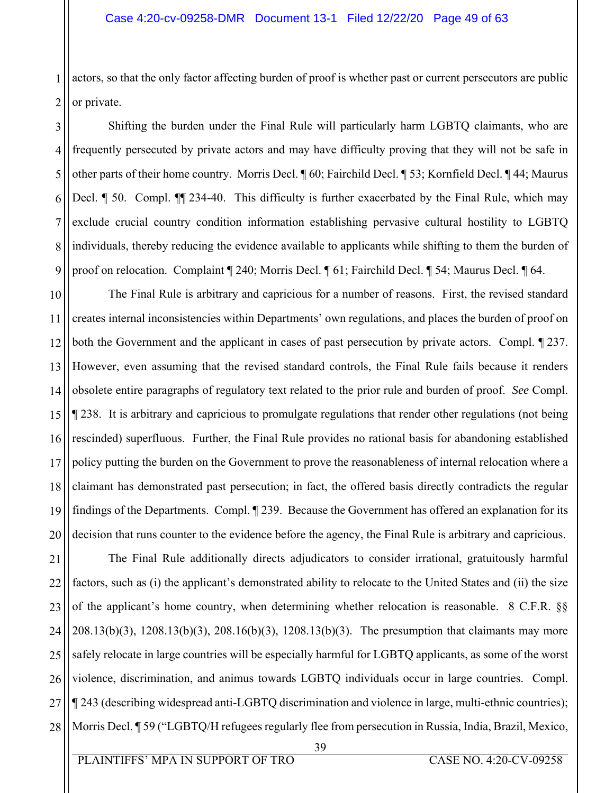1 2 actors, so that the only factor affecting burden of proof is whether past or current persecutors are public or private.

3 4 5 6 7 8 9 Shifting the burden under the Final Rule will particularly harm LGBTQ claimants, who are frequently persecuted by private actors and may have difficulty proving that they will not be safe in other parts of their home country. Morris Decl. ¶ 60; Fairchild Decl. ¶ 53; Kornfield Decl. ¶ 44; Maurus Decl. ¶ 50. Compl. ¶¶ 234-40. This difficulty is further exacerbated by the Final Rule, which may exclude crucial country condition information establishing pervasive cultural hostility to LGBTQ individuals, thereby reducing the evidence available to applicants while shifting to them the burden of proof on relocation. Complaint ¶ 240; Morris Decl. ¶ 61; Fairchild Decl. ¶ 54; Maurus Decl. ¶ 64.

10 11 12 13 14 15 16 17 18 19 20 The Final Rule is arbitrary and capricious for a number of reasons. First, the revised standard creates internal inconsistencies within Departments' own regulations, and places the burden of proof on both the Government and the applicant in cases of past persecution by private actors. Compl. ¶ 237. However, even assuming that the revised standard controls, the Final Rule fails because it renders obsolete entire paragraphs of regulatory text related to the prior rule and burden of proof. *See* Compl. ¶ 238. It is arbitrary and capricious to promulgate regulations that render other regulations (not being rescinded) superfluous. Further, the Final Rule provides no rational basis for abandoning established policy putting the burden on the Government to prove the reasonableness of internal relocation where a claimant has demonstrated past persecution; in fact, the offered basis directly contradicts the regular findings of the Departments. Compl. ¶ 239. Because the Government has offered an explanation for its decision that runs counter to the evidence before the agency, the Final Rule is arbitrary and capricious.

21 22 23 24 25 26 27 28 The Final Rule additionally directs adjudicators to consider irrational, gratuitously harmful factors, such as (i) the applicant's demonstrated ability to relocate to the United States and (ii) the size of the applicant's home country, when determining whether relocation is reasonable. 8 C.F.R. §§ 208.13(b)(3), 1208.13(b)(3), 208.16(b)(3), 1208.13(b)(3). The presumption that claimants may more safely relocate in large countries will be especially harmful for LGBTQ applicants, as some of the worst violence, discrimination, and animus towards LGBTQ individuals occur in large countries. Compl. ¶ 243 (describing widespread anti-LGBTQ discrimination and violence in large, multi-ethnic countries); Morris Decl. ¶ 59 ("LGBTQ/H refugees regularly flee from persecution in Russia, India, Brazil, Mexico,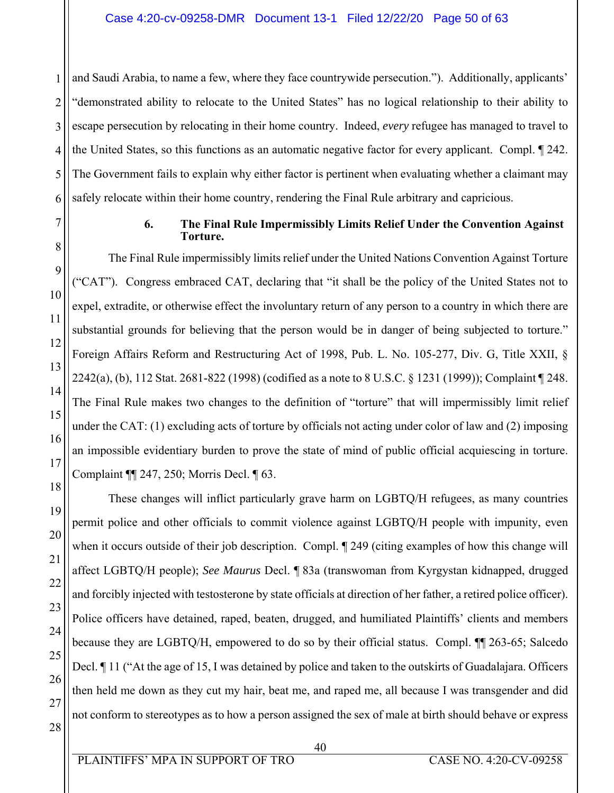1 2 3 4 5 6 and Saudi Arabia, to name a few, where they face countrywide persecution."). Additionally, applicants' "demonstrated ability to relocate to the United States" has no logical relationship to their ability to escape persecution by relocating in their home country. Indeed, *every* refugee has managed to travel to the United States, so this functions as an automatic negative factor for every applicant. Compl. ¶ 242. The Government fails to explain why either factor is pertinent when evaluating whether a claimant may safely relocate within their home country, rendering the Final Rule arbitrary and capricious.

7

8

9

10

11

12

13

14

15

16

17

18

19

20

21

22

23

24

25

26

27

28

#### **6. The Final Rule Impermissibly Limits Relief Under the Convention Against Torture.**

The Final Rule impermissibly limits relief under the United Nations Convention Against Torture ("CAT"). Congress embraced CAT, declaring that "it shall be the policy of the United States not to expel, extradite, or otherwise effect the involuntary return of any person to a country in which there are substantial grounds for believing that the person would be in danger of being subjected to torture." Foreign Affairs Reform and Restructuring Act of 1998, Pub. L. No. 105-277, Div. G, Title XXII, § 2242(a), (b), 112 Stat. 2681-822 (1998) (codified as a note to 8 U.S.C. § 1231 (1999)); Complaint ¶ 248. The Final Rule makes two changes to the definition of "torture" that will impermissibly limit relief under the CAT: (1) excluding acts of torture by officials not acting under color of law and (2) imposing an impossible evidentiary burden to prove the state of mind of public official acquiescing in torture. Complaint ¶¶ 247, 250; Morris Decl. ¶ 63.

These changes will inflict particularly grave harm on LGBTQ/H refugees, as many countries permit police and other officials to commit violence against LGBTQ/H people with impunity, even when it occurs outside of their job description. Compl. ¶ 249 (citing examples of how this change will affect LGBTQ/H people); *See Maurus* Decl. ¶ 83a (transwoman from Kyrgystan kidnapped, drugged and forcibly injected with testosterone by state officials at direction of her father, a retired police officer). Police officers have detained, raped, beaten, drugged, and humiliated Plaintiffs' clients and members because they are LGBTQ/H, empowered to do so by their official status. Compl. ¶¶ 263-65; Salcedo Decl. ¶ 11 ("At the age of 15, I was detained by police and taken to the outskirts of Guadalajara. Officers then held me down as they cut my hair, beat me, and raped me, all because I was transgender and did not conform to stereotypes as to how a person assigned the sex of male at birth should behave or express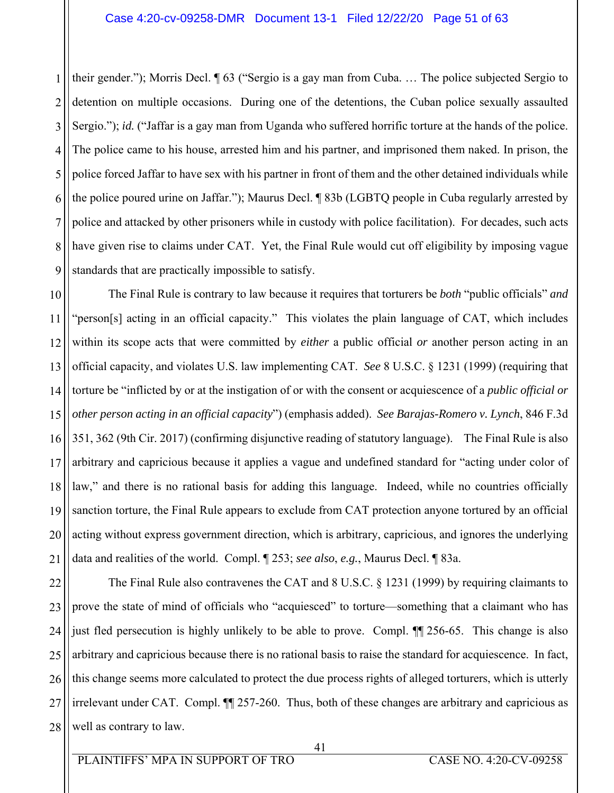1 2 3 4 5 6 7 8 9 their gender."); Morris Decl. ¶ 63 ("Sergio is a gay man from Cuba. … The police subjected Sergio to detention on multiple occasions. During one of the detentions, the Cuban police sexually assaulted Sergio."); *id.* ("Jaffar is a gay man from Uganda who suffered horrific torture at the hands of the police. The police came to his house, arrested him and his partner, and imprisoned them naked. In prison, the police forced Jaffar to have sex with his partner in front of them and the other detained individuals while the police poured urine on Jaffar."); Maurus Decl. ¶ 83b (LGBTQ people in Cuba regularly arrested by police and attacked by other prisoners while in custody with police facilitation). For decades, such acts have given rise to claims under CAT. Yet, the Final Rule would cut off eligibility by imposing vague standards that are practically impossible to satisfy.

10 11 12 13 14 15 16 17 18 19 20 21 The Final Rule is contrary to law because it requires that torturers be *both* "public officials" *and* "person[s] acting in an official capacity." This violates the plain language of CAT, which includes within its scope acts that were committed by *either* a public official *or* another person acting in an official capacity, and violates U.S. law implementing CAT. *See* 8 U.S.C. § 1231 (1999) (requiring that torture be "inflicted by or at the instigation of or with the consent or acquiescence of a *public official or other person acting in an official capacity*") (emphasis added). *See Barajas-Romero v. Lynch*, 846 F.3d 351, 362 (9th Cir. 2017) (confirming disjunctive reading of statutory language). The Final Rule is also arbitrary and capricious because it applies a vague and undefined standard for "acting under color of law," and there is no rational basis for adding this language. Indeed, while no countries officially sanction torture, the Final Rule appears to exclude from CAT protection anyone tortured by an official acting without express government direction, which is arbitrary, capricious, and ignores the underlying data and realities of the world. Compl. ¶ 253; *see also*, *e.g.*, Maurus Decl. ¶ 83a.

22 23 24 25 26 27 28 The Final Rule also contravenes the CAT and 8 U.S.C. § 1231 (1999) by requiring claimants to prove the state of mind of officials who "acquiesced" to torture—something that a claimant who has just fled persecution is highly unlikely to be able to prove. Compl. ¶¶ 256-65. This change is also arbitrary and capricious because there is no rational basis to raise the standard for acquiescence. In fact, this change seems more calculated to protect the due process rights of alleged torturers, which is utterly irrelevant under CAT. Compl. ¶¶ 257-260. Thus, both of these changes are arbitrary and capricious as well as contrary to law.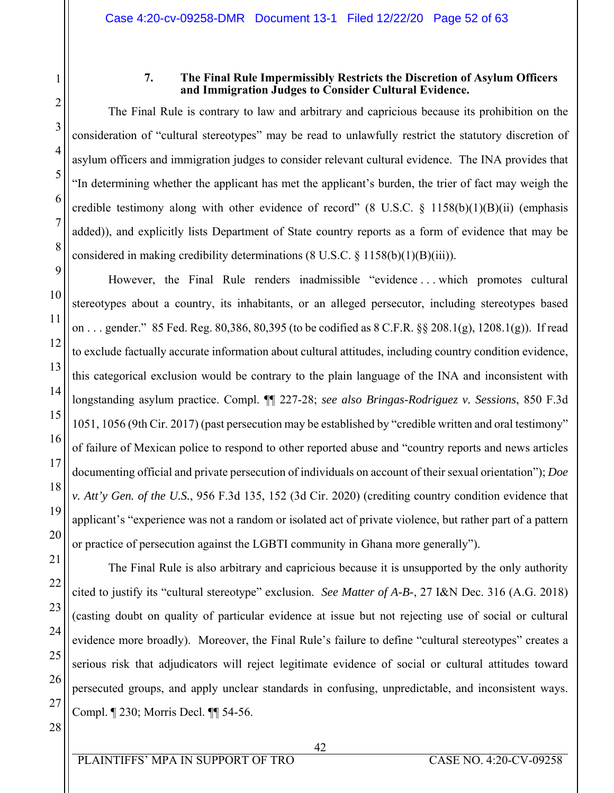1

2

### **7. The Final Rule Impermissibly Restricts the Discretion of Asylum Officers and Immigration Judges to Consider Cultural Evidence.**

The Final Rule is contrary to law and arbitrary and capricious because its prohibition on the consideration of "cultural stereotypes" may be read to unlawfully restrict the statutory discretion of asylum officers and immigration judges to consider relevant cultural evidence. The INA provides that "In determining whether the applicant has met the applicant's burden, the trier of fact may weigh the credible testimony along with other evidence of record"  $(8 \text{ U.S.C. } § 1158(b)(1)(B)(ii)$  (emphasis added)), and explicitly lists Department of State country reports as a form of evidence that may be considered in making credibility determinations  $(8 \text{ U.S.C. } 8 \text{ 1158(b)(1)(B)(iii)})$ .

However, the Final Rule renders inadmissible "evidence . . . which promotes cultural stereotypes about a country, its inhabitants, or an alleged persecutor, including stereotypes based on . . . gender." 85 Fed. Reg. 80,386, 80,395 (to be codified as 8 C.F.R. §§ 208.1(g), 1208.1(g)). If read to exclude factually accurate information about cultural attitudes, including country condition evidence, this categorical exclusion would be contrary to the plain language of the INA and inconsistent with longstanding asylum practice. Compl. ¶¶ 227-28; *see also Bringas-Rodriguez v. Sessions*, 850 F.3d 1051, 1056 (9th Cir. 2017) (past persecution may be established by "credible written and oral testimony" of failure of Mexican police to respond to other reported abuse and "country reports and news articles documenting official and private persecution of individuals on account of their sexual orientation"); *Doe v. Att'y Gen. of the U.S.*, 956 F.3d 135, 152 (3d Cir. 2020) (crediting country condition evidence that applicant's "experience was not a random or isolated act of private violence, but rather part of a pattern or practice of persecution against the LGBTI community in Ghana more generally").

The Final Rule is also arbitrary and capricious because it is unsupported by the only authority cited to justify its "cultural stereotype" exclusion. *See Matter of A-B-*, 27 I&N Dec. 316 (A.G. 2018) (casting doubt on quality of particular evidence at issue but not rejecting use of social or cultural evidence more broadly). Moreover, the Final Rule's failure to define "cultural stereotypes" creates a serious risk that adjudicators will reject legitimate evidence of social or cultural attitudes toward persecuted groups, and apply unclear standards in confusing, unpredictable, and inconsistent ways. Compl. ¶ 230; Morris Decl. ¶¶ 54-56.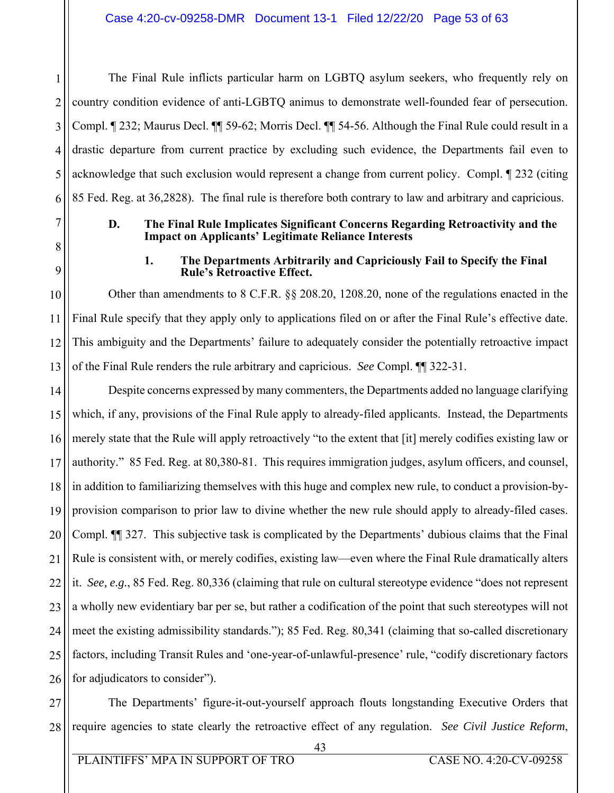2 3 4 5 6 The Final Rule inflicts particular harm on LGBTQ asylum seekers, who frequently rely on country condition evidence of anti-LGBTQ animus to demonstrate well-founded fear of persecution. Compl. ¶ 232; Maurus Decl. ¶¶ 59-62; Morris Decl. ¶¶ 54-56. Although the Final Rule could result in a drastic departure from current practice by excluding such evidence, the Departments fail even to acknowledge that such exclusion would represent a change from current policy. Compl. ¶ 232 (citing 85 Fed. Reg. at 36,2828). The final rule is therefore both contrary to law and arbitrary and capricious.

### **D. The Final Rule Implicates Significant Concerns Regarding Retroactivity and the Impact on Applicants' Legitimate Reliance Interests**

#### **1. The Departments Arbitrarily and Capriciously Fail to Specify the Final Rule's Retroactive Effect.**

Other than amendments to 8 C.F.R. §§ 208.20, 1208.20, none of the regulations enacted in the Final Rule specify that they apply only to applications filed on or after the Final Rule's effective date. This ambiguity and the Departments' failure to adequately consider the potentially retroactive impact

of the Final Rule renders the rule arbitrary and capricious. *See* Compl. ¶¶ 322-31.

Despite concerns expressed by many commenters, the Departments added no language clarifying which, if any, provisions of the Final Rule apply to already-filed applicants. Instead, the Departments merely state that the Rule will apply retroactively "to the extent that [it] merely codifies existing law or authority." 85 Fed. Reg. at 80,380-81. This requires immigration judges, asylum officers, and counsel, in addition to familiarizing themselves with this huge and complex new rule, to conduct a provision-byprovision comparison to prior law to divine whether the new rule should apply to already-filed cases. Compl. ¶¶ 327. This subjective task is complicated by the Departments' dubious claims that the Final Rule is consistent with, or merely codifies, existing law—even where the Final Rule dramatically alters it. *See, e.g.*, 85 Fed. Reg. 80,336 (claiming that rule on cultural stereotype evidence "does not represent a wholly new evidentiary bar per se, but rather a codification of the point that such stereotypes will not meet the existing admissibility standards."); 85 Fed. Reg. 80,341 (claiming that so-called discretionary factors, including Transit Rules and 'one-year-of-unlawful-presence' rule, "codify discretionary factors for adjudicators to consider").

27 28 The Departments' figure-it-out-yourself approach flouts longstanding Executive Orders that require agencies to state clearly the retroactive effect of any regulation. *See Civil Justice Reform*,

1

7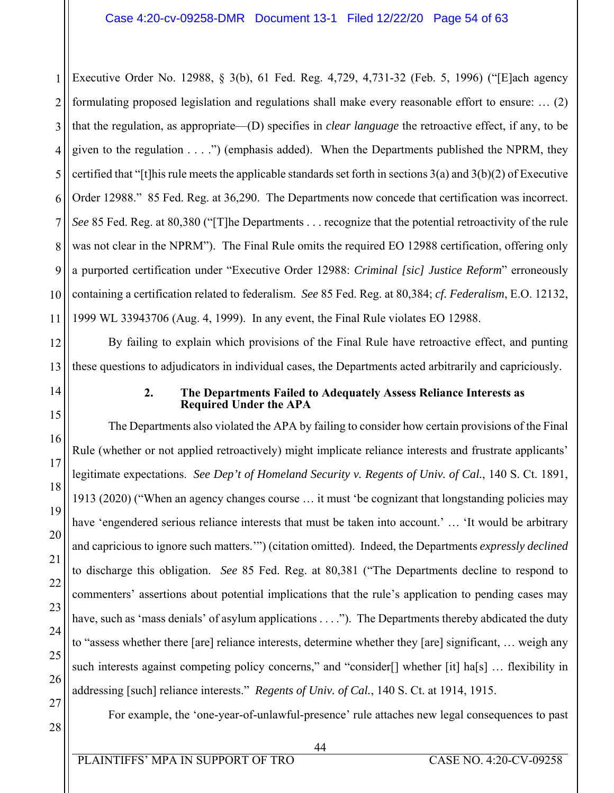1 2 3 4 5 6 7 8 9 10 11 Executive Order No. 12988, § 3(b), 61 Fed. Reg. 4,729, 4,731-32 (Feb. 5, 1996) ("[E]ach agency formulating proposed legislation and regulations shall make every reasonable effort to ensure: … (2) that the regulation, as appropriate—(D) specifies in *clear language* the retroactive effect, if any, to be given to the regulation . . . .") (emphasis added). When the Departments published the NPRM, they certified that "[t]his rule meets the applicable standards set forth in sections 3(a) and 3(b)(2) of Executive Order 12988." 85 Fed. Reg. at 36,290. The Departments now concede that certification was incorrect. *See* 85 Fed. Reg. at 80,380 ("[T]he Departments . . . recognize that the potential retroactivity of the rule was not clear in the NPRM"). The Final Rule omits the required EO 12988 certification, offering only a purported certification under "Executive Order 12988: *Criminal [sic] Justice Reform*" erroneously containing a certification related to federalism. *See* 85 Fed. Reg. at 80,384; *cf. Federalism*, E.O. 12132, 1999 WL 33943706 (Aug. 4, 1999). In any event, the Final Rule violates EO 12988.

12 13 By failing to explain which provisions of the Final Rule have retroactive effect, and punting these questions to adjudicators in individual cases, the Departments acted arbitrarily and capriciously.

14

15

16

17

18

19

20

21

22

23

24

25

26

# **2. The Departments Failed to Adequately Assess Reliance Interests as Required Under the APA**

The Departments also violated the APA by failing to consider how certain provisions of the Final Rule (whether or not applied retroactively) might implicate reliance interests and frustrate applicants' legitimate expectations. *See Dep't of Homeland Security v. Regents of Univ. of Cal.*, 140 S. Ct. 1891, 1913 (2020) ("When an agency changes course … it must 'be cognizant that longstanding policies may have 'engendered serious reliance interests that must be taken into account.' ... 'It would be arbitrary and capricious to ignore such matters.'") (citation omitted). Indeed, the Departments *expressly declined* to discharge this obligation. *See* 85 Fed. Reg. at 80,381 ("The Departments decline to respond to commenters' assertions about potential implications that the rule's application to pending cases may have, such as 'mass denials' of asylum applications . . . ."). The Departments thereby abdicated the duty to "assess whether there [are] reliance interests, determine whether they [are] significant, … weigh any such interests against competing policy concerns," and "consider<sup>[]</sup> whether [it] ha<sup>[s]</sup> ... flexibility in addressing [such] reliance interests." *Regents of Univ. of Cal.*, 140 S. Ct. at 1914, 1915.

27

28

For example, the 'one-year-of-unlawful-presence' rule attaches new legal consequences to past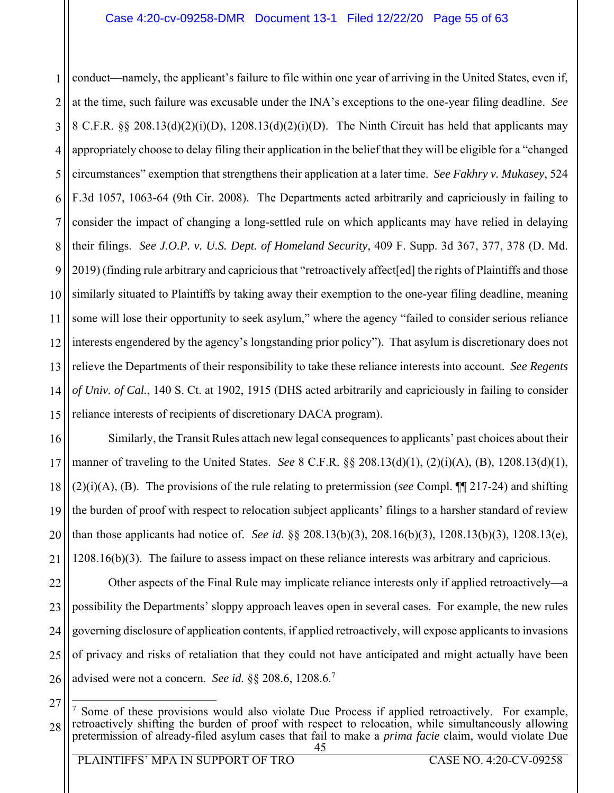1 2 3 4 5 6 7 8 9 10 11 12 13 14 15 conduct—namely, the applicant's failure to file within one year of arriving in the United States, even if, at the time, such failure was excusable under the INA's exceptions to the one-year filing deadline. *See*  8 C.F.R. §§ 208.13(d)(2)(i)(D), 1208.13(d)(2)(i)(D). The Ninth Circuit has held that applicants may appropriately choose to delay filing their application in the belief that they will be eligible for a "changed circumstances" exemption that strengthens their application at a later time. *See Fakhry v. Mukasey*, 524 F.3d 1057, 1063-64 (9th Cir. 2008). The Departments acted arbitrarily and capriciously in failing to consider the impact of changing a long-settled rule on which applicants may have relied in delaying their filings. *See J.O.P. v. U.S. Dept. of Homeland Security*, 409 F. Supp. 3d 367, 377, 378 (D. Md. 2019) (finding rule arbitrary and capricious that "retroactively affect[ed] the rights of Plaintiffs and those similarly situated to Plaintiffs by taking away their exemption to the one-year filing deadline, meaning some will lose their opportunity to seek asylum," where the agency "failed to consider serious reliance interests engendered by the agency's longstanding prior policy"). That asylum is discretionary does not relieve the Departments of their responsibility to take these reliance interests into account. *See Regents of Univ. of Cal.*, 140 S. Ct. at 1902, 1915 (DHS acted arbitrarily and capriciously in failing to consider reliance interests of recipients of discretionary DACA program).

16 17 18 19 20 21 Similarly, the Transit Rules attach new legal consequences to applicants' past choices about their manner of traveling to the United States. *See* 8 C.F.R. §§ 208.13(d)(1), (2)(i)(A), (B), 1208.13(d)(1), (2)(i)(A), (B). The provisions of the rule relating to pretermission (*see* Compl. ¶¶ 217-24) and shifting the burden of proof with respect to relocation subject applicants' filings to a harsher standard of review than those applicants had notice of. *See id.* §§ 208.13(b)(3), 208.16(b)(3), 1208.13(b)(3), 1208.13(e),  $1208.16(b)(3)$ . The failure to assess impact on these reliance interests was arbitrary and capricious.

22 23 24 25 26 Other aspects of the Final Rule may implicate reliance interests only if applied retroactively—a possibility the Departments' sloppy approach leaves open in several cases. For example, the new rules governing disclosure of application contents, if applied retroactively, will expose applicants to invasions of privacy and risks of retaliation that they could not have anticipated and might actually have been advised were not a concern. *See id.* §§ 208.6, 1208.6.<sup>7</sup>

<sup>27</sup>

 <sup>45</sup>  28  $\overline{a}$ 7 Some of these provisions would also violate Due Process if applied retroactively. For example, retroactively shifting the burden of proof with respect to relocation, while simultaneously allowing pretermission of already-filed asylum cases that fail to make a *prima facie* claim, would violate Due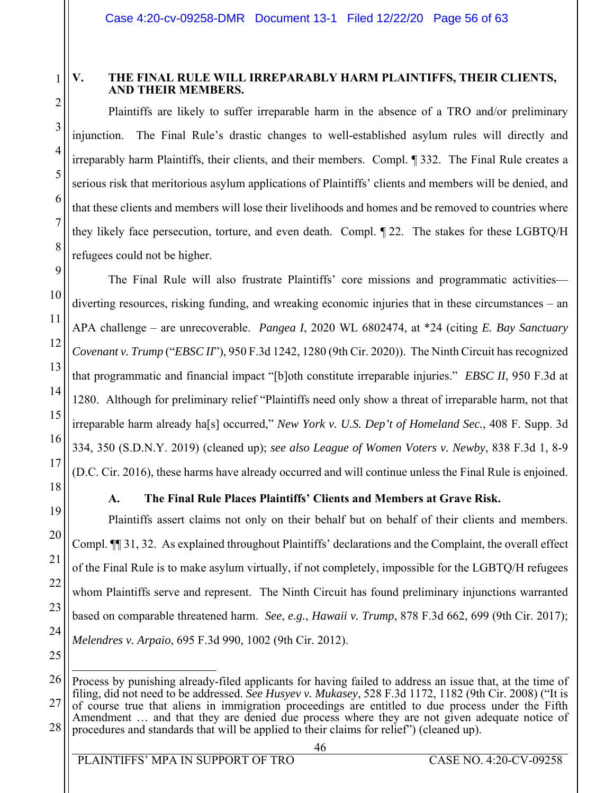# 1 2

3

4

5

6

7

8

9

10

11

12

13

14

15

16

17

18

19

20

21

22

23

24

# **V. THE FINAL RULE WILL IRREPARABLY HARM PLAINTIFFS, THEIR CLIENTS, AND THEIR MEMBERS.**

Plaintiffs are likely to suffer irreparable harm in the absence of a TRO and/or preliminary injunction. The Final Rule's drastic changes to well-established asylum rules will directly and irreparably harm Plaintiffs, their clients, and their members. Compl. ¶ 332. The Final Rule creates a serious risk that meritorious asylum applications of Plaintiffs' clients and members will be denied, and that these clients and members will lose their livelihoods and homes and be removed to countries where they likely face persecution, torture, and even death. Compl. ¶ 22. The stakes for these LGBTQ/H refugees could not be higher.

The Final Rule will also frustrate Plaintiffs' core missions and programmatic activities diverting resources, risking funding, and wreaking economic injuries that in these circumstances – an APA challenge – are unrecoverable. *Pangea I*, 2020 WL 6802474, at \*24 (citing *E. Bay Sanctuary Covenant v. Trump* ("*EBSC II*"), 950 F.3d 1242, 1280 (9th Cir. 2020)). The Ninth Circuit has recognized that programmatic and financial impact "[b]oth constitute irreparable injuries." *EBSC II*, 950 F.3d at 1280. Although for preliminary relief "Plaintiffs need only show a threat of irreparable harm, not that irreparable harm already ha[s] occurred," *New York v. U.S. Dep't of Homeland Sec.*, 408 F. Supp. 3d 334, 350 (S.D.N.Y. 2019) (cleaned up); *see also League of Women Voters v. Newby*, 838 F.3d 1, 8-9 (D.C. Cir. 2016), these harms have already occurred and will continue unless the Final Rule is enjoined.

# **A. The Final Rule Places Plaintiffs' Clients and Members at Grave Risk.**

Plaintiffs assert claims not only on their behalf but on behalf of their clients and members. Compl. ¶¶ 31, 32. As explained throughout Plaintiffs' declarations and the Complaint, the overall effect of the Final Rule is to make asylum virtually, if not completely, impossible for the LGBTQ/H refugees whom Plaintiffs serve and represent. The Ninth Circuit has found preliminary injunctions warranted based on comparable threatened harm. *See*, *e.g.*, *Hawaii v. Trump*, 878 F.3d 662, 699 (9th Cir. 2017); *Melendres v. Arpaio*, 695 F.3d 990, 1002 (9th Cir. 2012).

<sup>26</sup> 27 28 <u>.</u> Process by punishing already-filed applicants for having failed to address an issue that, at the time of filing, did not need to be addressed. *See Husyev v. Mukasey*, 528 F.3d 1172, 1182 (9th Cir. 2008) ("It is of course true that aliens in immigration proceedings are entitled to due process under the Fifth Amendment … and that they are denied due process where they are not given adequate notice of procedures and standards that will be applied to their claims for relief") (cleaned up).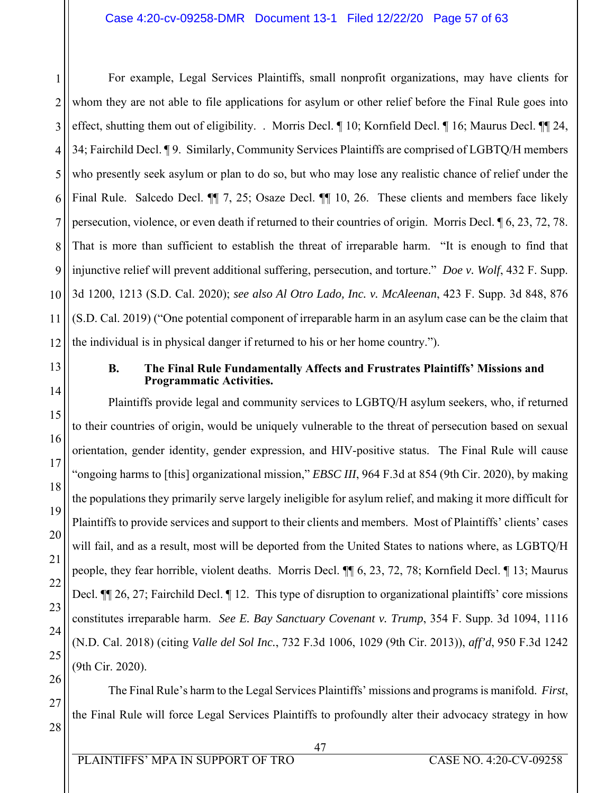1 2 3 4 5 6 7 8 9 10 11 12 For example, Legal Services Plaintiffs, small nonprofit organizations, may have clients for whom they are not able to file applications for asylum or other relief before the Final Rule goes into effect, shutting them out of eligibility. . Morris Decl. ¶ 10; Kornfield Decl. ¶ 16; Maurus Decl. ¶¶ 24, 34; Fairchild Decl. ¶ 9. Similarly, Community Services Plaintiffs are comprised of LGBTQ/H members who presently seek asylum or plan to do so, but who may lose any realistic chance of relief under the Final Rule. Salcedo Decl.  $\P$  7, 25; Osaze Decl.  $\P$  10, 26. These clients and members face likely persecution, violence, or even death if returned to their countries of origin. Morris Decl. ¶ 6, 23, 72, 78. That is more than sufficient to establish the threat of irreparable harm. "It is enough to find that injunctive relief will prevent additional suffering, persecution, and torture." *Doe v. Wolf*, 432 F. Supp. 3d 1200, 1213 (S.D. Cal. 2020); *see also Al Otro Lado, Inc. v. McAleenan*, 423 F. Supp. 3d 848, 876 (S.D. Cal. 2019) ("One potential component of irreparable harm in an asylum case can be the claim that the individual is in physical danger if returned to his or her home country.").

13

14

15

16

17

18

19

20

21

22

23

24

25

26

27

28

# **B. The Final Rule Fundamentally Affects and Frustrates Plaintiffs' Missions and Programmatic Activities.**

Plaintiffs provide legal and community services to LGBTQ/H asylum seekers, who, if returned to their countries of origin, would be uniquely vulnerable to the threat of persecution based on sexual orientation, gender identity, gender expression, and HIV-positive status. The Final Rule will cause "ongoing harms to [this] organizational mission," *EBSC III*, 964 F.3d at 854 (9th Cir. 2020), by making the populations they primarily serve largely ineligible for asylum relief, and making it more difficult for Plaintiffs to provide services and support to their clients and members. Most of Plaintiffs' clients' cases will fail, and as a result, most will be deported from the United States to nations where, as LGBTQ/H people, they fear horrible, violent deaths. Morris Decl. ¶¶ 6, 23, 72, 78; Kornfield Decl. ¶ 13; Maurus Decl.  $\P$  26, 27; Fairchild Decl.  $\P$  12. This type of disruption to organizational plaintiffs' core missions constitutes irreparable harm. *See E. Bay Sanctuary Covenant v. Trump*, 354 F. Supp. 3d 1094, 1116 (N.D. Cal. 2018) (citing *Valle del Sol Inc.*, 732 F.3d 1006, 1029 (9th Cir. 2013)), *aff'd*, 950 F.3d 1242 (9th Cir. 2020).

The Final Rule's harm to the Legal Services Plaintiffs' missions and programs is manifold. *First*, the Final Rule will force Legal Services Plaintiffs to profoundly alter their advocacy strategy in how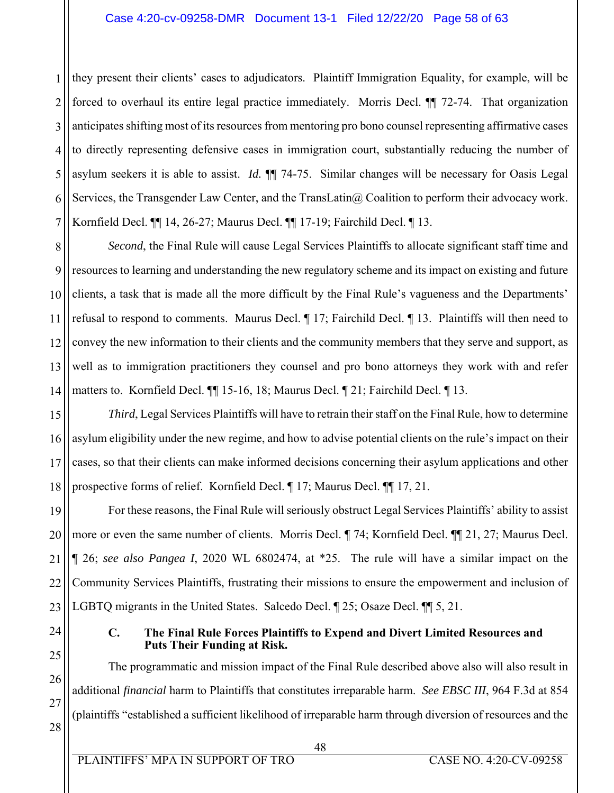#### Case 4:20-cv-09258-DMR Document 13-1 Filed 12/22/20 Page 58 of 63

1 2 3 4 5 6 7 they present their clients' cases to adjudicators. Plaintiff Immigration Equality, for example, will be forced to overhaul its entire legal practice immediately. Morris Decl. ¶¶ 72-74. That organization anticipates shifting most of its resources from mentoring pro bono counsel representing affirmative cases to directly representing defensive cases in immigration court, substantially reducing the number of asylum seekers it is able to assist. *Id.* ¶¶ 74-75. Similar changes will be necessary for Oasis Legal Services, the Transgender Law Center, and the TransLatin@ Coalition to perform their advocacy work. Kornfield Decl. ¶¶ 14, 26-27; Maurus Decl. ¶¶ 17-19; Fairchild Decl. ¶ 13.

8 9 10 11 12 13 14 *Second*, the Final Rule will cause Legal Services Plaintiffs to allocate significant staff time and resources to learning and understanding the new regulatory scheme and its impact on existing and future clients, a task that is made all the more difficult by the Final Rule's vagueness and the Departments' refusal to respond to comments. Maurus Decl. ¶ 17; Fairchild Decl. ¶ 13. Plaintiffs will then need to convey the new information to their clients and the community members that they serve and support, as well as to immigration practitioners they counsel and pro bono attorneys they work with and refer matters to. Kornfield Decl. ¶¶ 15-16, 18; Maurus Decl. ¶ 21; Fairchild Decl. ¶ 13.

15 16 17 18 *Third*, Legal Services Plaintiffs will have to retrain their staff on the Final Rule, how to determine asylum eligibility under the new regime, and how to advise potential clients on the rule's impact on their cases, so that their clients can make informed decisions concerning their asylum applications and other prospective forms of relief. Kornfield Decl. ¶ 17; Maurus Decl. ¶¶ 17, 21.

19 20 21 22 23 For these reasons, the Final Rule will seriously obstruct Legal Services Plaintiffs' ability to assist more or even the same number of clients. Morris Decl. ¶ 74; Kornfield Decl. ¶¶ 21, 27; Maurus Decl. ¶ 26; *see also Pangea I*, 2020 WL 6802474, at \*25. The rule will have a similar impact on the Community Services Plaintiffs, frustrating their missions to ensure the empowerment and inclusion of LGBTQ migrants in the United States. Salcedo Decl. ¶ 25; Osaze Decl. ¶ 5, 21.

24 25

27

#### **C. The Final Rule Forces Plaintiffs to Expend and Divert Limited Resources and Puts Their Funding at Risk.**

26 28 The programmatic and mission impact of the Final Rule described above also will also result in additional *financial* harm to Plaintiffs that constitutes irreparable harm. *See EBSC III*, 964 F.3d at 854 (plaintiffs "established a sufficient likelihood of irreparable harm through diversion of resources and the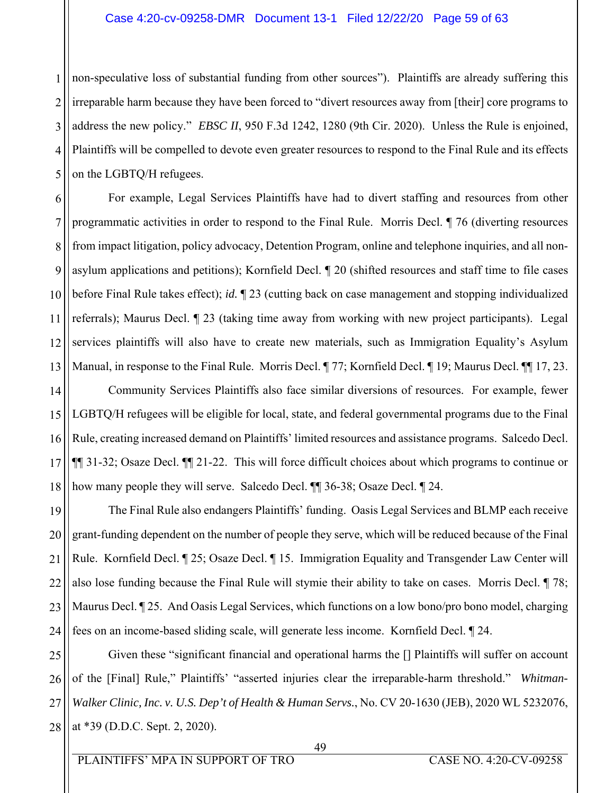1 2 3 4 5 non-speculative loss of substantial funding from other sources"). Plaintiffs are already suffering this irreparable harm because they have been forced to "divert resources away from [their] core programs to address the new policy." *EBSC II*, 950 F.3d 1242, 1280 (9th Cir. 2020). Unless the Rule is enjoined, Plaintiffs will be compelled to devote even greater resources to respond to the Final Rule and its effects on the LGBTQ/H refugees.

6 7 8 9 10 11 12 13 For example, Legal Services Plaintiffs have had to divert staffing and resources from other programmatic activities in order to respond to the Final Rule. Morris Decl. ¶ 76 (diverting resources from impact litigation, policy advocacy, Detention Program, online and telephone inquiries, and all nonasylum applications and petitions); Kornfield Decl. ¶ 20 (shifted resources and staff time to file cases before Final Rule takes effect); *id.* ¶ 23 (cutting back on case management and stopping individualized referrals); Maurus Decl. ¶ 23 (taking time away from working with new project participants). Legal services plaintiffs will also have to create new materials, such as Immigration Equality's Asylum Manual, in response to the Final Rule. Morris Decl. ¶ 77; Kornfield Decl. ¶ 19; Maurus Decl. ¶ 17, 23.

14 15 16 17 18 Community Services Plaintiffs also face similar diversions of resources. For example, fewer LGBTQ/H refugees will be eligible for local, state, and federal governmental programs due to the Final Rule, creating increased demand on Plaintiffs' limited resources and assistance programs. Salcedo Decl. ¶¶ 31-32; Osaze Decl. ¶¶ 21-22. This will force difficult choices about which programs to continue or how many people they will serve. Salcedo Decl. ¶¶ 36-38; Osaze Decl. ¶ 24.

19 20 21 22 23 24 The Final Rule also endangers Plaintiffs' funding. Oasis Legal Services and BLMP each receive grant-funding dependent on the number of people they serve, which will be reduced because of the Final Rule. Kornfield Decl. ¶ 25; Osaze Decl. ¶ 15. Immigration Equality and Transgender Law Center will also lose funding because the Final Rule will stymie their ability to take on cases. Morris Decl. ¶ 78; Maurus Decl. ¶ 25. And Oasis Legal Services, which functions on a low bono/pro bono model, charging fees on an income-based sliding scale, will generate less income. Kornfield Decl. ¶ 24.

25 26 27 28 Given these "significant financial and operational harms the [] Plaintiffs will suffer on account of the [Final] Rule," Plaintiffs' "asserted injuries clear the irreparable-harm threshold." *Whitman-Walker Clinic, Inc. v. U.S. Dep't of Health & Human Servs.*, No. CV 20-1630 (JEB), 2020 WL 5232076, at \*39 (D.D.C. Sept. 2, 2020).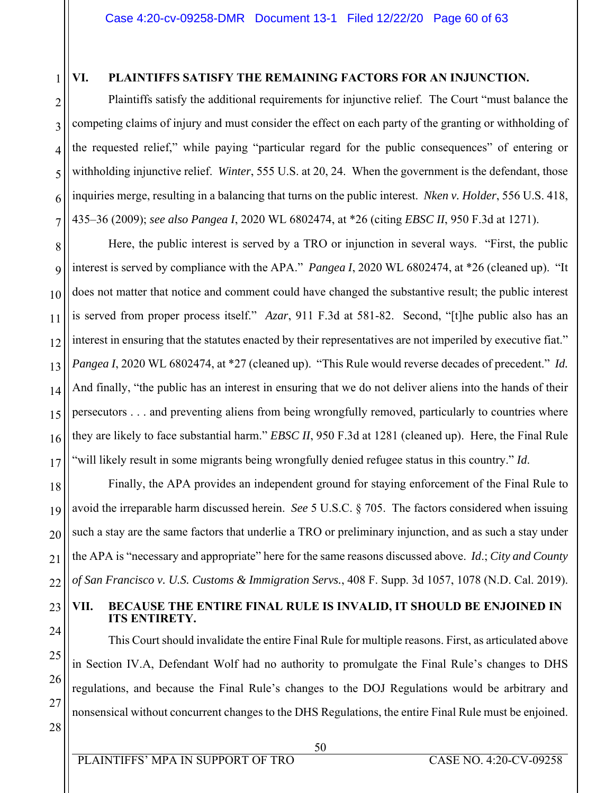1

18

19

20

21

22

23

24

25

26

27

28

# **VI. PLAINTIFFS SATISFY THE REMAINING FACTORS FOR AN INJUNCTION.**

2 3 4 5 6 7 Plaintiffs satisfy the additional requirements for injunctive relief. The Court "must balance the competing claims of injury and must consider the effect on each party of the granting or withholding of the requested relief," while paying "particular regard for the public consequences" of entering or withholding injunctive relief. *Winter*, 555 U.S. at 20, 24. When the government is the defendant, those inquiries merge, resulting in a balancing that turns on the public interest. *Nken v. Holder*, 556 U.S. 418, 435–36 (2009); *see also Pangea I*, 2020 WL 6802474, at \*26 (citing *EBSC II*, 950 F.3d at 1271).

8 9 10 11 12 13 14 15 16 17 Here, the public interest is served by a TRO or injunction in several ways. "First, the public interest is served by compliance with the APA." *Pangea I*, 2020 WL 6802474, at \*26 (cleaned up). "It does not matter that notice and comment could have changed the substantive result; the public interest is served from proper process itself." *Azar*, 911 F.3d at 581-82. Second, "[t]he public also has an interest in ensuring that the statutes enacted by their representatives are not imperiled by executive fiat." *Pangea I*, 2020 WL 6802474, at \*27 (cleaned up). "This Rule would reverse decades of precedent." *Id.*  And finally, "the public has an interest in ensuring that we do not deliver aliens into the hands of their persecutors . . . and preventing aliens from being wrongfully removed, particularly to countries where they are likely to face substantial harm." *EBSC II*, 950 F.3d at 1281 (cleaned up). Here, the Final Rule "will likely result in some migrants being wrongfully denied refugee status in this country." *Id*.

Finally, the APA provides an independent ground for staying enforcement of the Final Rule to avoid the irreparable harm discussed herein. *See* 5 U.S.C. § 705. The factors considered when issuing such a stay are the same factors that underlie a TRO or preliminary injunction, and as such a stay under the APA is "necessary and appropriate" here for the same reasons discussed above. *Id*.; *City and County of San Francisco v. U.S. Customs & Immigration Servs.*, 408 F. Supp. 3d 1057, 1078 (N.D. Cal. 2019).

# **VII. BECAUSE THE ENTIRE FINAL RULE IS INVALID, IT SHOULD BE ENJOINED IN ITS ENTIRETY.**

This Court should invalidate the entire Final Rule for multiple reasons. First, as articulated above in Section IV.A, Defendant Wolf had no authority to promulgate the Final Rule's changes to DHS regulations, and because the Final Rule's changes to the DOJ Regulations would be arbitrary and nonsensical without concurrent changes to the DHS Regulations, the entire Final Rule must be enjoined.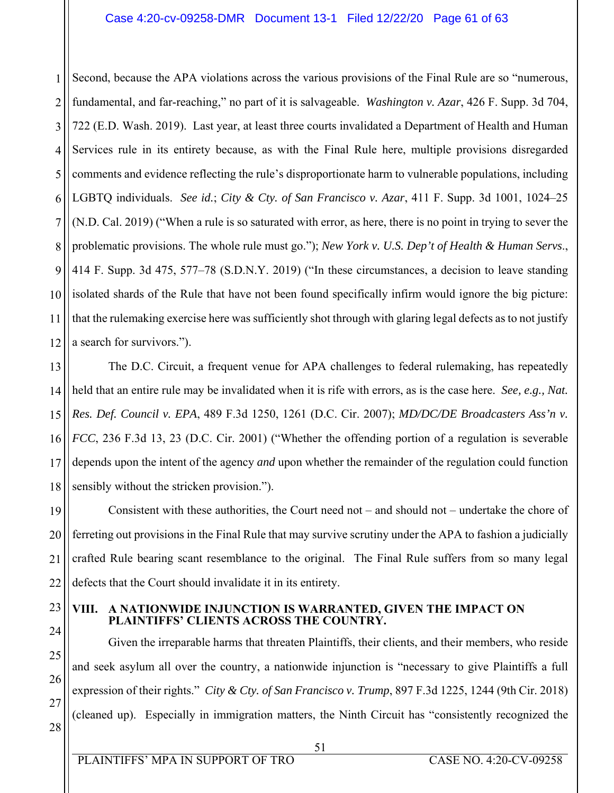1 2 3 4 5 6 7 8 9 10 11 12 Second, because the APA violations across the various provisions of the Final Rule are so "numerous, fundamental, and far-reaching," no part of it is salvageable. *Washington v. Azar*, 426 F. Supp. 3d 704, 722 (E.D. Wash. 2019). Last year, at least three courts invalidated a Department of Health and Human Services rule in its entirety because, as with the Final Rule here, multiple provisions disregarded comments and evidence reflecting the rule's disproportionate harm to vulnerable populations, including LGBTQ individuals. *See id.*; *City & Cty. of San Francisco v. Azar*, 411 F. Supp. 3d 1001, 1024–25 (N.D. Cal. 2019) ("When a rule is so saturated with error, as here, there is no point in trying to sever the problematic provisions. The whole rule must go."); *New York v. U.S. Dep't of Health & Human Servs*., 414 F. Supp. 3d 475, 577–78 (S.D.N.Y. 2019) ("In these circumstances, a decision to leave standing isolated shards of the Rule that have not been found specifically infirm would ignore the big picture: that the rulemaking exercise here was sufficiently shot through with glaring legal defects as to not justify a search for survivors.").

13 14 15 16 17 18 The D.C. Circuit, a frequent venue for APA challenges to federal rulemaking, has repeatedly held that an entire rule may be invalidated when it is rife with errors, as is the case here. *See, e.g., Nat. Res. Def. Council v. EPA*, 489 F.3d 1250, 1261 (D.C. Cir. 2007); *MD/DC/DE Broadcasters Ass'n v. FCC*, 236 F.3d 13, 23 (D.C. Cir. 2001) ("Whether the offending portion of a regulation is severable depends upon the intent of the agency *and* upon whether the remainder of the regulation could function sensibly without the stricken provision.").

19 20 21 22 Consistent with these authorities, the Court need not – and should not – undertake the chore of ferreting out provisions in the Final Rule that may survive scrutiny under the APA to fashion a judicially crafted Rule bearing scant resemblance to the original. The Final Rule suffers from so many legal defects that the Court should invalidate it in its entirety.

23 24

25

26

27

28

# **VIII. A NATIONWIDE INJUNCTION IS WARRANTED, GIVEN THE IMPACT ON PLAINTIFFS' CLIENTS ACROSS THE COUNTRY.**

Given the irreparable harms that threaten Plaintiffs, their clients, and their members, who reside and seek asylum all over the country, a nationwide injunction is "necessary to give Plaintiffs a full expression of their rights." *City & Cty. of San Francisco v. Trump*, 897 F.3d 1225, 1244 (9th Cir. 2018) (cleaned up). Especially in immigration matters, the Ninth Circuit has "consistently recognized the

 51 PLAINTIFFS' MPA IN SUPPORT OF TRO CASE NO. 4:20-CV-09258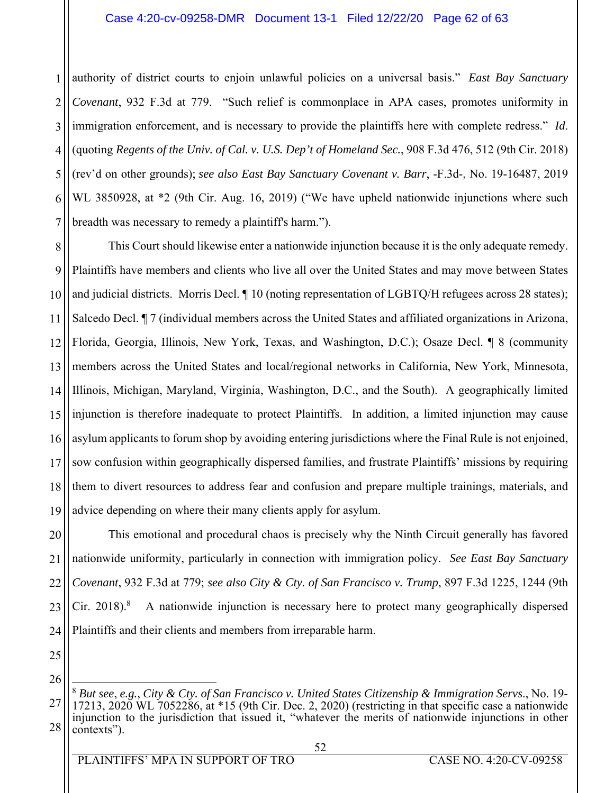#### Case 4:20-cv-09258-DMR Document 13-1 Filed 12/22/20 Page 62 of 63

1 2 3 4 5 6 7 authority of district courts to enjoin unlawful policies on a universal basis." *East Bay Sanctuary Covenant*, 932 F.3d at 779. "Such relief is commonplace in APA cases, promotes uniformity in immigration enforcement, and is necessary to provide the plaintiffs here with complete redress." *Id*. (quoting *Regents of the Univ. of Cal. v. U.S. Dep't of Homeland Sec.*, 908 F.3d 476, 512 (9th Cir. 2018) (rev'd on other grounds); *see also East Bay Sanctuary Covenant v. Barr*, -F.3d-, No. 19-16487, 2019 WL 3850928, at \*2 (9th Cir. Aug. 16, 2019) ("We have upheld nationwide injunctions where such breadth was necessary to remedy a plaintiff's harm.").

8 9 10 11 12 13 14 15 16 17 18 19 This Court should likewise enter a nationwide injunction because it is the only adequate remedy. Plaintiffs have members and clients who live all over the United States and may move between States and judicial districts. Morris Decl. ¶ 10 (noting representation of LGBTQ/H refugees across 28 states); Salcedo Decl. ¶ 7 (individual members across the United States and affiliated organizations in Arizona, Florida, Georgia, Illinois, New York, Texas, and Washington, D.C.); Osaze Decl. ¶ 8 (community members across the United States and local/regional networks in California, New York, Minnesota, Illinois, Michigan, Maryland, Virginia, Washington, D.C., and the South). A geographically limited injunction is therefore inadequate to protect Plaintiffs. In addition, a limited injunction may cause asylum applicants to forum shop by avoiding entering jurisdictions where the Final Rule is not enjoined, sow confusion within geographically dispersed families, and frustrate Plaintiffs' missions by requiring them to divert resources to address fear and confusion and prepare multiple trainings, materials, and advice depending on where their many clients apply for asylum.

20 21 22 23 24 This emotional and procedural chaos is precisely why the Ninth Circuit generally has favored nationwide uniformity, particularly in connection with immigration policy. *See East Bay Sanctuary Covenant*, 932 F.3d at 779; *see also City & Cty. of San Francisco v. Trump*, 897 F.3d 1225, 1244 (9th Cir. 2018). $8$  A nationwide injunction is necessary here to protect many geographically dispersed Plaintiffs and their clients and members from irreparable harm.

<sup>27</sup> 28  $\overline{a}$ <sup>8</sup> *But see*, *e.g.*, *City & Cty. of San Francisco v. United States Citizenship & Immigration Servs*., No. 19- 17213, 2020 WL 7052286, at \*15 (9th Cir. Dec. 2, 2020) (restricting in that specific case a nationwide injunction to the jurisdiction that issued it, "whatever the merits of nationwide injunctions in other contexts").